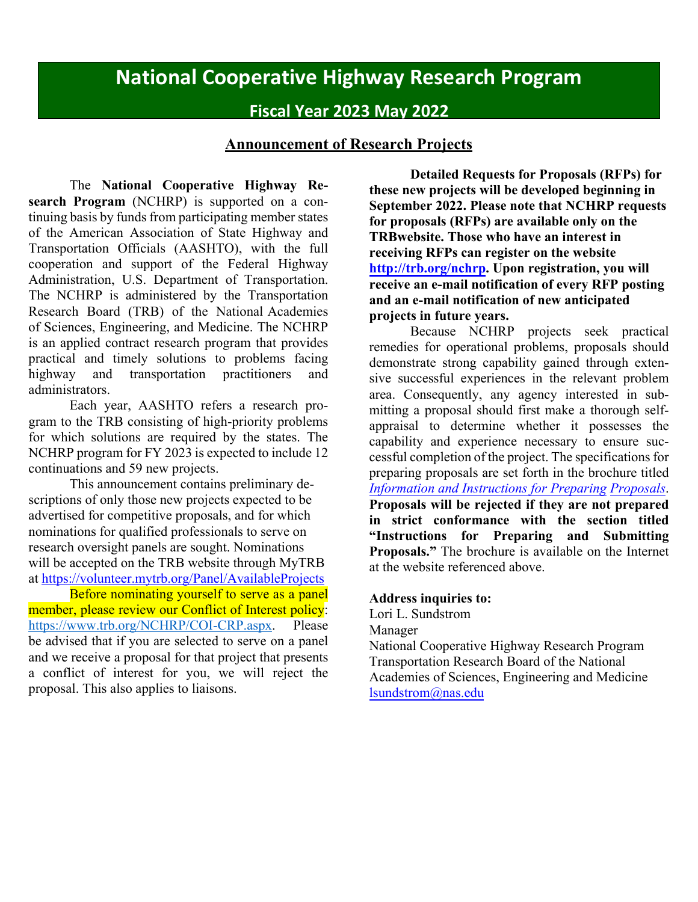# **National Cooperative Highway Research Program**

# **Fiscal Year 2023 May 2022**

## **Announcement of Research Projects**

The **National Cooperative Highway Research Program** (NCHRP) is supported on a continuing basis by funds from participating member states of the American Association of State Highway and Transportation Officials (AASHTO), with the full cooperation and support of the Federal Highway Administration, U.S. Department of Transportation. The NCHRP is administered by the Transportation Research Board (TRB) of the National Academies of Sciences, Engineering, and Medicine. The NCHRP is an applied contract research program that provides practical and timely solutions to problems facing highway and transportation practitioners and administrators.

Each year, AASHTO refers a research program to the TRB consisting of high-priority problems for which solutions are required by the states. The NCHRP program for FY 2023 is expected to include 12 continuations and 59 new projects.

This announcement contains preliminary descriptions of only those new projects expected to be advertised for competitive proposals, and for which nominations for qualified professionals to serve on research oversight panels are sought. Nominations will be accepted on the TRB website through MyTRB at<https://volunteer.mytrb.org/Panel/AvailableProjects>

Before nominating yourself to serve as a panel member, please review our Conflict of Interest policy: [https://www.trb.org/NCHRP/COI-CRP.aspx.](https://www.trb.org/NCHRP/COI-CRP.aspx) Please be advised that if you are selected to serve on a panel and we receive a proposal for that project that presents a conflict of interest for you, we will reject the proposal. This also applies to liaisons.

**Detailed Requests for Proposals (RFPs) for these new projects will be developed beginning in September 2022. Please note that NCHRP requests for proposals (RFPs) are available only on the TRBwebsite. Those who have an interest in receiving RFPs can register on the website [http://trb.org/nchrp.](http://trb.org/nchrp) Upon registration, you will receive an e-mail notification of every RFP posting and an e-mail notification of new anticipated projects in future years.**

Because NCHRP projects seek practical remedies for operational problems, proposals should demonstrate strong capability gained through extensive successful experiences in the relevant problem area. Consequently, any agency interested in submitting a proposal should first make a thorough selfappraisal to determine whether it possesses the capability and experience necessary to ensure successful completion of the project. The specifications for preparing proposals are set forth in the brochure titled *[Information and Instructions for Preparing Proposals](http://onlinepubs.trb.org/onlinepubs/crp/docs/ProposalPrep.pdf)*. **Proposals will be rejected if they are not prepared in strict conformance with the section titled "Instructions for Preparing and Submitting Proposals."** The brochure is available on the Internet at the website referenced above.

## **Address inquiries to:**

Lori L. Sundstrom

Manager

National Cooperative Highway Research Program Transportation Research Board of the National Academies of Sciences, Engineering and Medicine [lsundstrom@nas.edu](mailto:lsundstrom@nas.edu)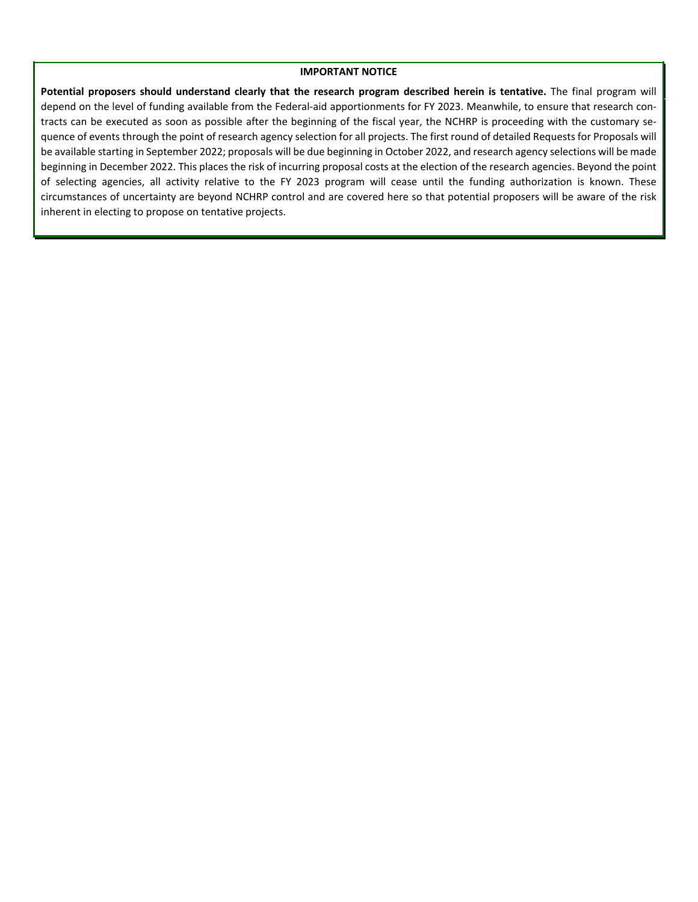#### **IMPORTANT NOTICE**

**Potential proposers should understand clearly that the research program described herein is tentative.** The final program will depend on the level of funding available from the Federal-aid apportionments for FY 2023. Meanwhile, to ensure that research contracts can be executed as soon as possible after the beginning of the fiscal year, the NCHRP is proceeding with the customary sequence of events through the point of research agency selection for all projects. The first round of detailed Requests for Proposals will be available starting in September 2022; proposals will be due beginning in October 2022, and research agency selections will be made beginning in December 2022. This places the risk of incurring proposal costs at the election of the research agencies. Beyond the point of selecting agencies, all activity relative to the FY 2023 program will cease until the funding authorization is known. These circumstances of uncertainty are beyond NCHRP control and are covered here so that potential proposers will be aware of the risk inherent in electing to propose on tentative projects.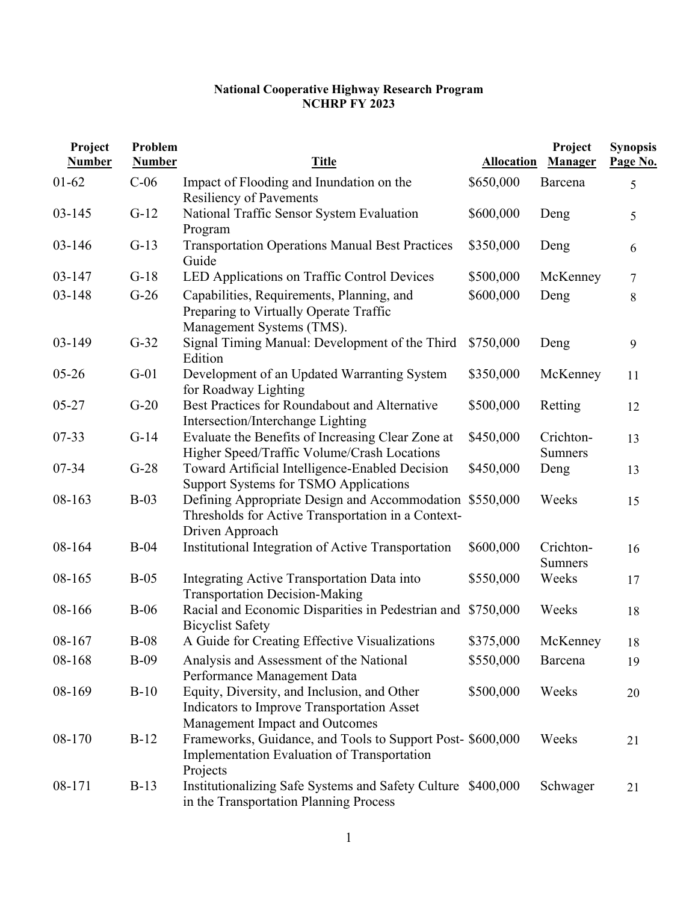#### **National Cooperative Highway Research Program NCHRP FY 2023**

| Project<br><b>Number</b> | Problem<br><b>Number</b> | <b>Title</b>                                                                                                                     | <b>Allocation</b> | Project<br>Manager   | <b>Synopsis</b><br>Page No. |
|--------------------------|--------------------------|----------------------------------------------------------------------------------------------------------------------------------|-------------------|----------------------|-----------------------------|
| $01 - 62$                | $C-06$                   | Impact of Flooding and Inundation on the<br><b>Resiliency of Pavements</b>                                                       | \$650,000         | Barcena              | 5                           |
| $03 - 145$               | $G-12$                   | National Traffic Sensor System Evaluation<br>Program                                                                             | \$600,000         | Deng                 | 5                           |
| $03 - 146$               | $G-13$                   | <b>Transportation Operations Manual Best Practices</b><br>Guide                                                                  | \$350,000         | Deng                 | 6                           |
| $03 - 147$               | $G-18$                   | LED Applications on Traffic Control Devices                                                                                      | \$500,000         | McKenney             | 7                           |
| 03-148                   | $G-26$                   | Capabilities, Requirements, Planning, and<br>Preparing to Virtually Operate Traffic<br>Management Systems (TMS).                 | \$600,000         | Deng                 | 8                           |
| 03-149                   | $G-32$                   | Signal Timing Manual: Development of the Third<br>Edition                                                                        | \$750,000         | Deng                 | 9                           |
| $05 - 26$                | $G-01$                   | Development of an Updated Warranting System<br>for Roadway Lighting                                                              | \$350,000         | McKenney             | 11                          |
| $05 - 27$                | $G-20$                   | Best Practices for Roundabout and Alternative<br>Intersection/Interchange Lighting                                               | \$500,000         | Retting              | 12                          |
| $07 - 33$                | $G-14$                   | Evaluate the Benefits of Increasing Clear Zone at<br>Higher Speed/Traffic Volume/Crash Locations                                 | \$450,000         | Crichton-<br>Sumners | 13                          |
| 07-34                    | $G-28$                   | Toward Artificial Intelligence-Enabled Decision<br>Support Systems for TSMO Applications                                         | \$450,000         | Deng                 | 13                          |
| 08-163                   | $B-03$                   | Defining Appropriate Design and Accommodation \$550,000<br>Thresholds for Active Transportation in a Context-<br>Driven Approach |                   | Weeks                | 15                          |
| 08-164                   | $B-04$                   | Institutional Integration of Active Transportation                                                                               | \$600,000         | Crichton-<br>Sumners | 16                          |
| 08-165                   | $B-05$                   | Integrating Active Transportation Data into<br><b>Transportation Decision-Making</b>                                             | \$550,000         | Weeks                | 17                          |
| 08-166                   | $B-06$                   | Racial and Economic Disparities in Pedestrian and \$750,000<br><b>Bicyclist Safety</b>                                           |                   | Weeks                | 18                          |
| 08-167                   | $B-08$                   | A Guide for Creating Effective Visualizations                                                                                    | \$375,000         | McKenney             | 18                          |
| 08-168                   | $B-09$                   | Analysis and Assessment of the National<br>Performance Management Data                                                           | \$550,000         | Barcena              | 19                          |
| 08-169                   | $B-10$                   | Equity, Diversity, and Inclusion, and Other<br>Indicators to Improve Transportation Asset<br>Management Impact and Outcomes      | \$500,000         | Weeks                | 20                          |
| 08-170                   | $B-12$                   | Frameworks, Guidance, and Tools to Support Post- \$600,000<br>Implementation Evaluation of Transportation<br>Projects            |                   | Weeks                | 21                          |
| 08-171                   | $B-13$                   | Institutionalizing Safe Systems and Safety Culture \$400,000<br>in the Transportation Planning Process                           |                   | Schwager             | 21                          |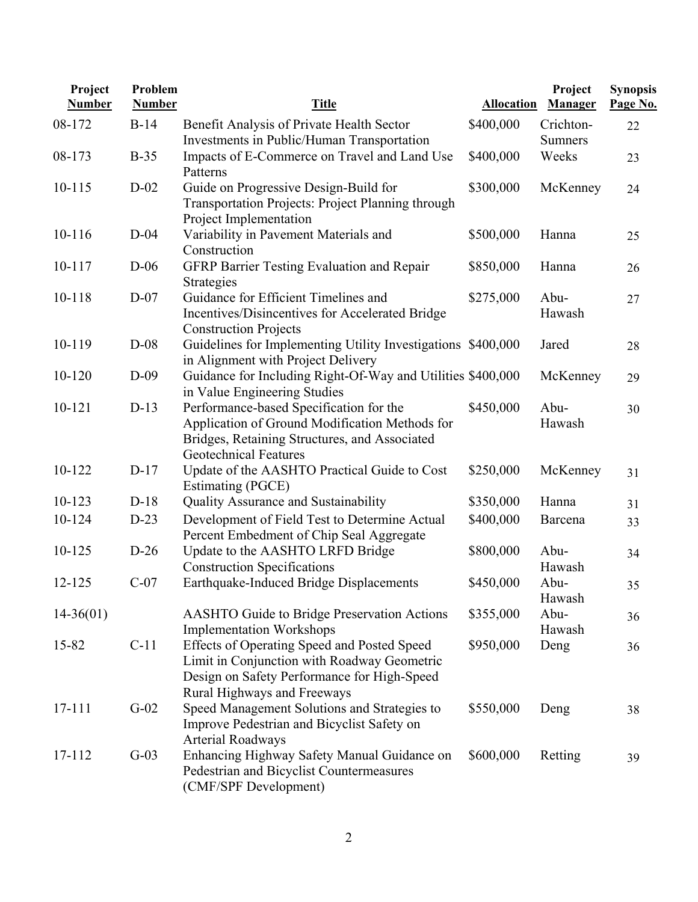| Project<br><b>Number</b> | Problem<br><b>Number</b> | <b>Title</b>                                                                                                                                                               | <b>Allocation</b> | Project<br>Manager | <b>Synopsis</b><br>Page No. |
|--------------------------|--------------------------|----------------------------------------------------------------------------------------------------------------------------------------------------------------------------|-------------------|--------------------|-----------------------------|
| 08-172                   | $B-14$                   | Benefit Analysis of Private Health Sector                                                                                                                                  | \$400,000         | Crichton-          | 22                          |
|                          |                          | Investments in Public/Human Transportation                                                                                                                                 |                   | <b>Sumners</b>     |                             |
| 08-173                   | $B-35$                   | Impacts of E-Commerce on Travel and Land Use<br>Patterns                                                                                                                   | \$400,000         | Weeks              | 23                          |
| $10 - 115$               | $D-02$                   | Guide on Progressive Design-Build for<br>Transportation Projects: Project Planning through<br>Project Implementation                                                       | \$300,000         | McKenney           | 24                          |
| 10-116                   | $D-04$                   | Variability in Pavement Materials and<br>Construction                                                                                                                      | \$500,000         | Hanna              | 25                          |
| 10-117                   | $D-06$                   | GFRP Barrier Testing Evaluation and Repair<br>Strategies                                                                                                                   | \$850,000         | Hanna              | 26                          |
| 10-118                   | $D-07$                   | Guidance for Efficient Timelines and<br>Incentives/Disincentives for Accelerated Bridge<br><b>Construction Projects</b>                                                    | \$275,000         | Abu-<br>Hawash     | 27                          |
| 10-119                   | $D-08$                   | Guidelines for Implementing Utility Investigations \$400,000<br>in Alignment with Project Delivery                                                                         |                   | Jared              | 28                          |
| 10-120                   | $D-09$                   | Guidance for Including Right-Of-Way and Utilities \$400,000<br>in Value Engineering Studies                                                                                |                   | McKenney           | 29                          |
| 10-121                   | $D-13$                   | Performance-based Specification for the<br>Application of Ground Modification Methods for<br>Bridges, Retaining Structures, and Associated<br><b>Geotechnical Features</b> | \$450,000         | Abu-<br>Hawash     | 30                          |
| 10-122                   | $D-17$                   | Update of the AASHTO Practical Guide to Cost<br>Estimating (PGCE)                                                                                                          | \$250,000         | McKenney           | 31                          |
| $10 - 123$               | $D-18$                   | Quality Assurance and Sustainability                                                                                                                                       | \$350,000         | Hanna              | 31                          |
| 10-124                   | $D-23$                   | Development of Field Test to Determine Actual<br>Percent Embedment of Chip Seal Aggregate                                                                                  | \$400,000         | Barcena            | 33                          |
| 10-125                   | $D-26$                   | Update to the AASHTO LRFD Bridge<br><b>Construction Specifications</b>                                                                                                     | \$800,000         | Abu-<br>Hawash     | 34                          |
| 12-125                   | $C-07$                   | Earthquake-Induced Bridge Displacements                                                                                                                                    | \$450,000         | Abu-<br>Hawash     | 35                          |
| $14 - 36(01)$            |                          | <b>AASHTO Guide to Bridge Preservation Actions</b><br><b>Implementation Workshops</b>                                                                                      | \$355,000         | Abu-<br>Hawash     | 36                          |
| 15-82                    | $C-11$                   | Effects of Operating Speed and Posted Speed<br>Limit in Conjunction with Roadway Geometric<br>Design on Safety Performance for High-Speed<br>Rural Highways and Freeways   | \$950,000         | Deng               | 36                          |
| $17 - 111$               | $G-02$                   | Speed Management Solutions and Strategies to<br>Improve Pedestrian and Bicyclist Safety on<br><b>Arterial Roadways</b>                                                     | \$550,000         | Deng               | 38                          |
| 17-112                   | $G-03$                   | Enhancing Highway Safety Manual Guidance on<br>Pedestrian and Bicyclist Countermeasures<br>(CMF/SPF Development)                                                           | \$600,000         | Retting            | 39                          |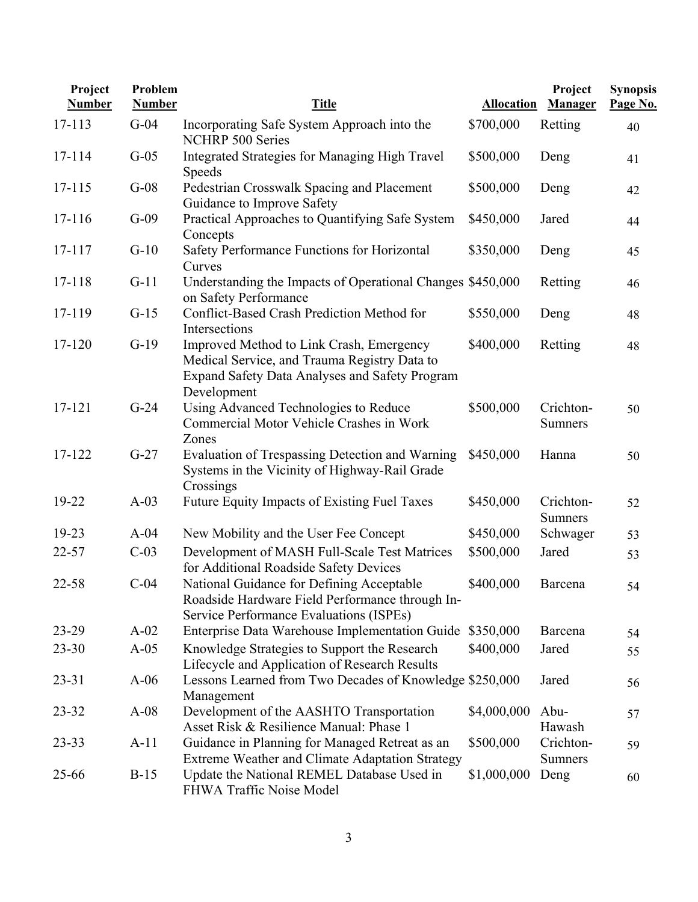| Project<br><b>Number</b> | Problem<br><b>Number</b> | <b>Title</b>                                                                                                                                              | <b>Allocation</b> | Project<br><b>Manager</b>   | <b>Synopsis</b><br>Page No. |
|--------------------------|--------------------------|-----------------------------------------------------------------------------------------------------------------------------------------------------------|-------------------|-----------------------------|-----------------------------|
| $17 - 113$               | $G-04$                   | Incorporating Safe System Approach into the<br>NCHRP 500 Series                                                                                           | \$700,000         | Retting                     | 40                          |
| 17-114                   | $G-05$                   | Integrated Strategies for Managing High Travel<br><b>Speeds</b>                                                                                           | \$500,000         | Deng                        | 41                          |
| 17-115                   | $G-08$                   | Pedestrian Crosswalk Spacing and Placement<br>Guidance to Improve Safety                                                                                  | \$500,000         | Deng                        | 42                          |
| 17-116                   | $G-09$                   | Practical Approaches to Quantifying Safe System<br>Concepts                                                                                               | \$450,000         | Jared                       | 44                          |
| $17 - 117$               | $G-10$                   | Safety Performance Functions for Horizontal<br>Curves                                                                                                     | \$350,000         | Deng                        | 45                          |
| 17-118                   | $G-11$                   | Understanding the Impacts of Operational Changes \$450,000<br>on Safety Performance                                                                       |                   | Retting                     | 46                          |
| 17-119                   | $G-15$                   | Conflict-Based Crash Prediction Method for<br>Intersections                                                                                               | \$550,000         | Deng                        | 48                          |
| 17-120                   | $G-19$                   | Improved Method to Link Crash, Emergency<br>Medical Service, and Trauma Registry Data to<br>Expand Safety Data Analyses and Safety Program<br>Development | \$400,000         | Retting                     | 48                          |
| 17-121                   | $G-24$                   | Using Advanced Technologies to Reduce<br>Commercial Motor Vehicle Crashes in Work<br>Zones                                                                | \$500,000         | Crichton-<br><b>Sumners</b> | 50                          |
| 17-122                   | $G-27$                   | Evaluation of Trespassing Detection and Warning<br>Systems in the Vicinity of Highway-Rail Grade<br>Crossings                                             | \$450,000         | Hanna                       | 50                          |
| 19-22                    | $A-03$                   | Future Equity Impacts of Existing Fuel Taxes                                                                                                              | \$450,000         | Crichton-<br><b>Sumners</b> | 52                          |
| 19-23                    | $A-04$                   | New Mobility and the User Fee Concept                                                                                                                     | \$450,000         | Schwager                    | 53                          |
| $22 - 57$                | $C-03$                   | Development of MASH Full-Scale Test Matrices<br>for Additional Roadside Safety Devices                                                                    | \$500,000         | Jared                       | 53                          |
| $22 - 58$                | $C-04$                   | National Guidance for Defining Acceptable<br>Roadside Hardware Field Performance through In-<br>Service Performance Evaluations (ISPEs)                   | \$400,000         | Barcena                     | 54                          |
| $23-29$                  | $A-02$                   | Enterprise Data Warehouse Implementation Guide                                                                                                            | \$350,000         | Barcena                     | 54                          |
| $23 - 30$                | $A-05$                   | Knowledge Strategies to Support the Research<br>Lifecycle and Application of Research Results                                                             | \$400,000         | Jared                       | 55                          |
| $23 - 31$                | $A-06$                   | Lessons Learned from Two Decades of Knowledge \$250,000<br>Management                                                                                     |                   | Jared                       | 56                          |
| 23-32                    | $A-08$                   | Development of the AASHTO Transportation<br>Asset Risk & Resilience Manual: Phase 1                                                                       | \$4,000,000       | Abu-<br>Hawash              | 57                          |
| $23 - 33$                | $A-11$                   | Guidance in Planning for Managed Retreat as an<br>Extreme Weather and Climate Adaptation Strategy                                                         | \$500,000         | Crichton-<br><b>Sumners</b> | 59                          |
| 25-66                    | $B-15$                   | Update the National REMEL Database Used in<br>FHWA Traffic Noise Model                                                                                    | \$1,000,000       | Deng                        | 60                          |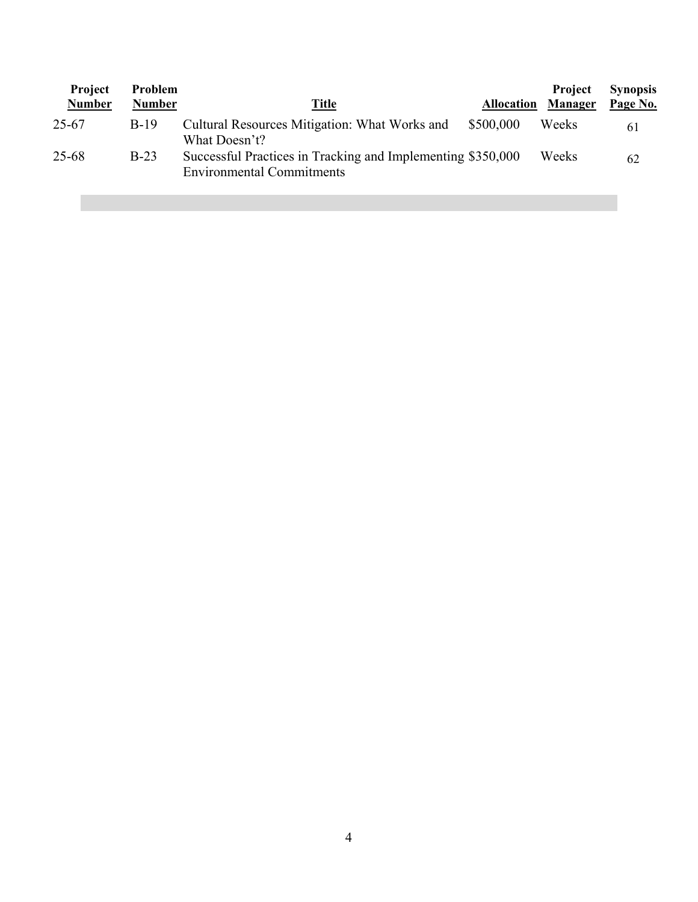| Project<br><b>Number</b> | Problem<br><b>Number</b> | Title                                                                                           | <b>Allocation</b> | <b>Project</b><br><b>Manager</b> | <b>Synopsis</b><br>Page No. |
|--------------------------|--------------------------|-------------------------------------------------------------------------------------------------|-------------------|----------------------------------|-----------------------------|
| 25-67                    | $B-19$                   | Cultural Resources Mitigation: What Works and<br>What Doesn't?                                  | \$500,000         | Weeks                            | 61                          |
| $25 - 68$                | $B-23$                   | Successful Practices in Tracking and Implementing \$350,000<br><b>Environmental Commitments</b> |                   | Weeks                            | 62                          |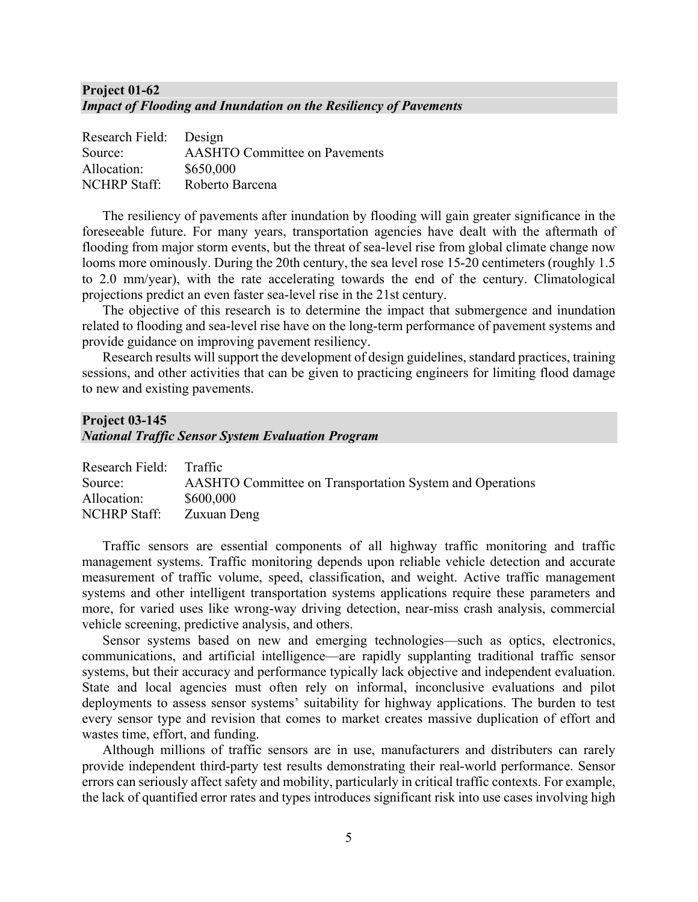#### **Project 01-62** *Impact of Flooding and Inundation on the Resiliency of Pavements*

| Research Field: Design |                                      |
|------------------------|--------------------------------------|
| Source:                | <b>AASHTO Committee on Pavements</b> |
| Allocation:            | \$650,000                            |
| <b>NCHRP Staff:</b>    | Roberto Barcena                      |

The resiliency of pavements after inundation by flooding will gain greater significance in the foreseeable future. For many years, transportation agencies have dealt with the aftermath of flooding from major storm events, but the threat of sea-level rise from global climate change now looms more ominously. During the 20th century, the sea level rose 15-20 centimeters (roughly 1.5) to 2.0 mm/year), with the rate accelerating towards the end of the century. Climatological projections predict an even faster sea-level rise in the 21st century.

The objective of this research is to determine the impact that submergence and inundation related to flooding and sea-level rise have on the long-term performance of pavement systems and provide guidance on improving pavement resiliency.

Research results will support the development of design guidelines, standard practices, training sessions, and other activities that can be given to practicing engineers for limiting flood damage to new and existing pavements.

## **Project 03-145** *National Traffic Sensor System Evaluation Program*

| Research Field: Traffic |                                                                 |
|-------------------------|-----------------------------------------------------------------|
| Source:                 | <b>AASHTO Committee on Transportation System and Operations</b> |
| Allocation:             | \$600,000                                                       |
| NCHRP Staff:            | Zuxuan Deng                                                     |

Traffic sensors are essential components of all highway traffic monitoring and traffic management systems. Traffic monitoring depends upon reliable vehicle detection and accurate measurement of traffic volume, speed, classification, and weight. Active traffic management systems and other intelligent transportation systems applications require these parameters and more, for varied uses like wrong-way driving detection, near-miss crash analysis, commercial vehicle screening, predictive analysis, and others.

Sensor systems based on new and emerging technologies—such as optics, electronics, communications, and artificial intelligence—are rapidly supplanting traditional traffic sensor systems, but their accuracy and performance typically lack objective and independent evaluation. State and local agencies must often rely on informal, inconclusive evaluations and pilot deployments to assess sensor systems' suitability for highway applications. The burden to test every sensor type and revision that comes to market creates massive duplication of effort and wastes time, effort, and funding.

Although millions of traffic sensors are in use, manufacturers and distributers can rarely provide independent third-party test results demonstrating their real-world performance. Sensor errors can seriously affect safety and mobility, particularly in critical traffic contexts. For example, the lack of quantified error rates and types introduces significant risk into use cases involving high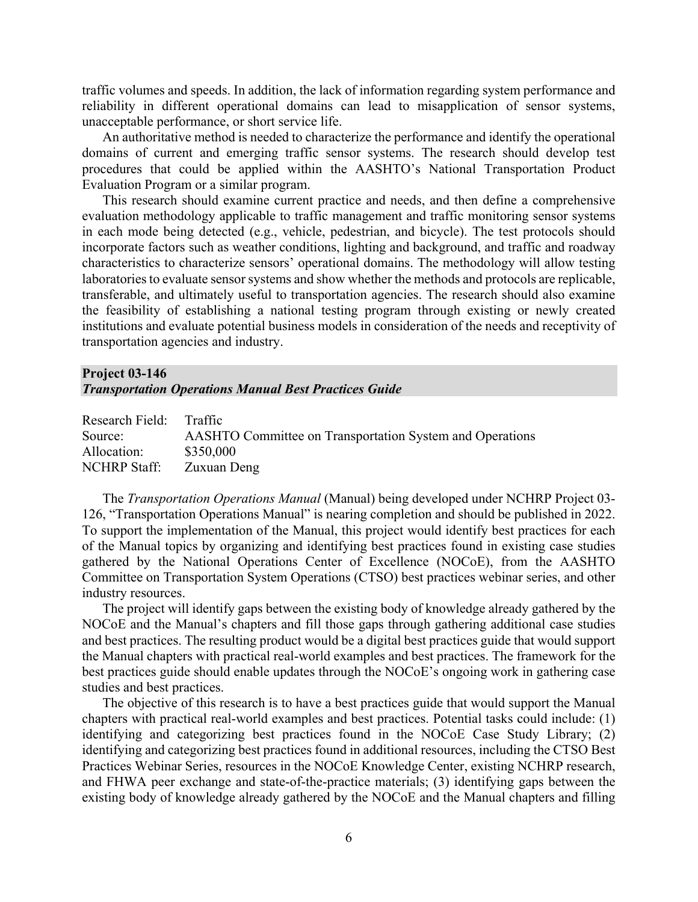traffic volumes and speeds. In addition, the lack of information regarding system performance and reliability in different operational domains can lead to misapplication of sensor systems, unacceptable performance, or short service life.

An authoritative method is needed to characterize the performance and identify the operational domains of current and emerging traffic sensor systems. The research should develop test procedures that could be applied within the AASHTO's National Transportation Product Evaluation Program or a similar program.

This research should examine current practice and needs, and then define a comprehensive evaluation methodology applicable to traffic management and traffic monitoring sensor systems in each mode being detected (e.g., vehicle, pedestrian, and bicycle). The test protocols should incorporate factors such as weather conditions, lighting and background, and traffic and roadway characteristics to characterize sensors' operational domains. The methodology will allow testing laboratories to evaluate sensor systems and show whether the methods and protocols are replicable, transferable, and ultimately useful to transportation agencies. The research should also examine the feasibility of establishing a national testing program through existing or newly created institutions and evaluate potential business models in consideration of the needs and receptivity of transportation agencies and industry.

## **Project 03-146**  *Transportation Operations Manual Best Practices Guide*

| Research Field: Traffic |                                                                 |
|-------------------------|-----------------------------------------------------------------|
| Source:                 | <b>AASHTO</b> Committee on Transportation System and Operations |
| Allocation:             | \$350,000                                                       |
| <b>NCHRP</b> Staff:     | Zuxuan Deng                                                     |

The *Transportation Operations Manual* (Manual) being developed under NCHRP Project 03- 126, "Transportation Operations Manual" is nearing completion and should be published in 2022. To support the implementation of the Manual, this project would identify best practices for each of the Manual topics by organizing and identifying best practices found in existing case studies gathered by the National Operations Center of Excellence (NOCoE), from the AASHTO Committee on Transportation System Operations (CTSO) best practices webinar series, and other industry resources.

The project will identify gaps between the existing body of knowledge already gathered by the NOCoE and the Manual's chapters and fill those gaps through gathering additional case studies and best practices. The resulting product would be a digital best practices guide that would support the Manual chapters with practical real-world examples and best practices. The framework for the best practices guide should enable updates through the NOCoE's ongoing work in gathering case studies and best practices.

The objective of this research is to have a best practices guide that would support the Manual chapters with practical real-world examples and best practices. Potential tasks could include: (1) identifying and categorizing best practices found in the NOCoE Case Study Library; (2) identifying and categorizing best practices found in additional resources, including the CTSO Best Practices Webinar Series, resources in the NOCoE Knowledge Center, existing NCHRP research, and FHWA peer exchange and state-of-the-practice materials; (3) identifying gaps between the existing body of knowledge already gathered by the NOCoE and the Manual chapters and filling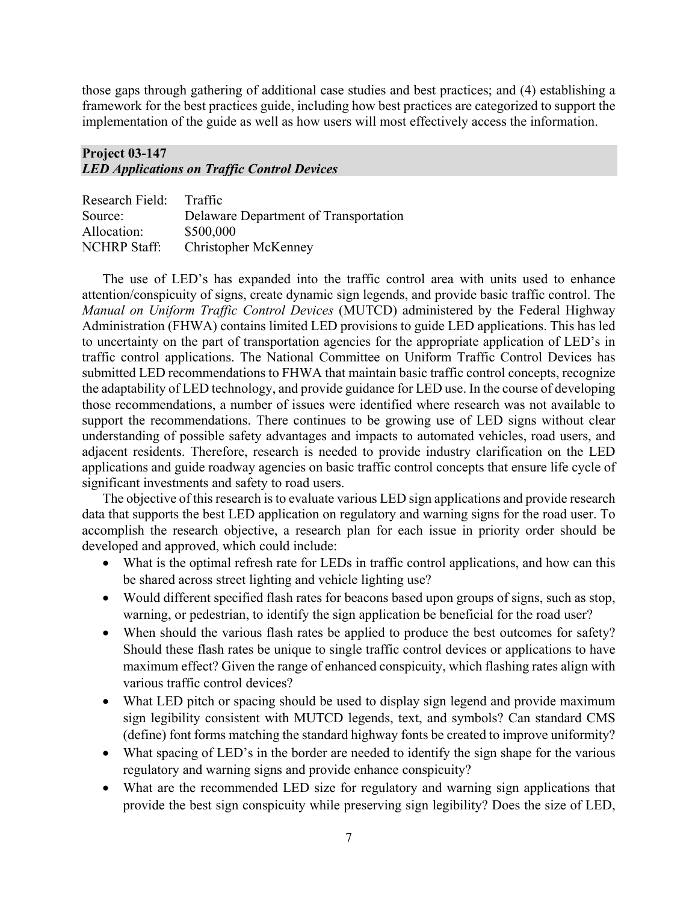those gaps through gathering of additional case studies and best practices; and (4) establishing a framework for the best practices guide, including how best practices are categorized to support the implementation of the guide as well as how users will most effectively access the information.

## **Project 03-147** *LED Applications on Traffic Control Devices*

| Research Field:     | Traffic                               |
|---------------------|---------------------------------------|
| Source:             | Delaware Department of Transportation |
| Allocation:         | \$500,000                             |
| <b>NCHRP</b> Staff: | <b>Christopher McKenney</b>           |

The use of LED's has expanded into the traffic control area with units used to enhance attention/conspicuity of signs, create dynamic sign legends, and provide basic traffic control. The *Manual on Uniform Traffic Control Devices* (MUTCD) administered by the Federal Highway Administration (FHWA) contains limited LED provisions to guide LED applications. This has led to uncertainty on the part of transportation agencies for the appropriate application of LED's in traffic control applications. The National Committee on Uniform Traffic Control Devices has submitted LED recommendations to FHWA that maintain basic traffic control concepts, recognize the adaptability of LED technology, and provide guidance for LED use. In the course of developing those recommendations, a number of issues were identified where research was not available to support the recommendations. There continues to be growing use of LED signs without clear understanding of possible safety advantages and impacts to automated vehicles, road users, and adjacent residents. Therefore, research is needed to provide industry clarification on the LED applications and guide roadway agencies on basic traffic control concepts that ensure life cycle of significant investments and safety to road users.

The objective of this research is to evaluate various LED sign applications and provide research data that supports the best LED application on regulatory and warning signs for the road user. To accomplish the research objective, a research plan for each issue in priority order should be developed and approved, which could include:

- What is the optimal refresh rate for LEDs in traffic control applications, and how can this be shared across street lighting and vehicle lighting use?
- Would different specified flash rates for beacons based upon groups of signs, such as stop, warning, or pedestrian, to identify the sign application be beneficial for the road user?
- When should the various flash rates be applied to produce the best outcomes for safety? Should these flash rates be unique to single traffic control devices or applications to have maximum effect? Given the range of enhanced conspicuity, which flashing rates align with various traffic control devices?
- What LED pitch or spacing should be used to display sign legend and provide maximum sign legibility consistent with MUTCD legends, text, and symbols? Can standard CMS (define) font forms matching the standard highway fonts be created to improve uniformity?
- What spacing of LED's in the border are needed to identify the sign shape for the various regulatory and warning signs and provide enhance conspicuity?
- What are the recommended LED size for regulatory and warning sign applications that provide the best sign conspicuity while preserving sign legibility? Does the size of LED,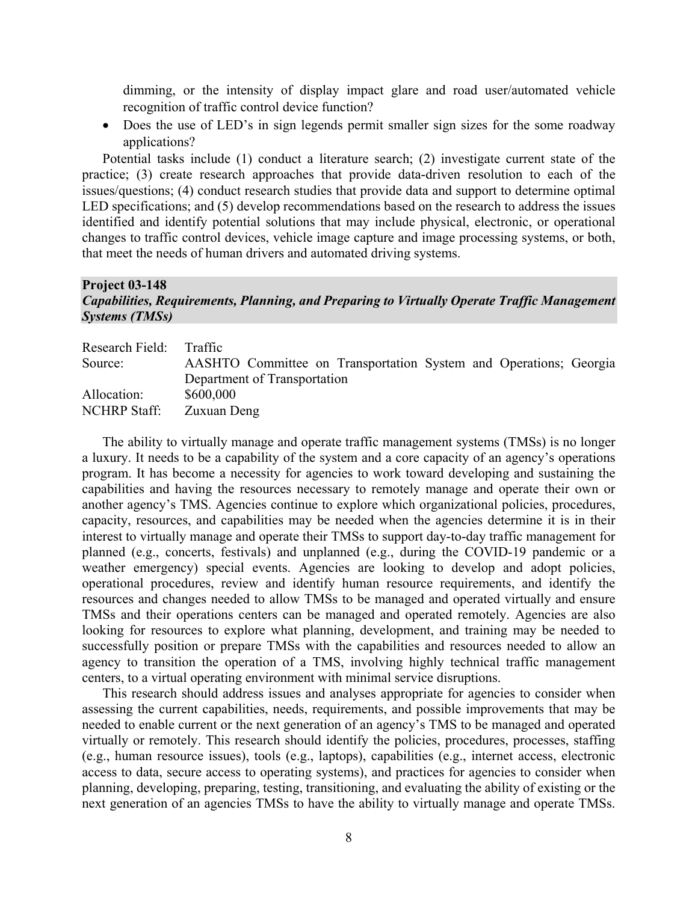dimming, or the intensity of display impact glare and road user/automated vehicle recognition of traffic control device function?

• Does the use of LED's in sign legends permit smaller sign sizes for the some roadway applications?

Potential tasks include (1) conduct a literature search; (2) investigate current state of the practice; (3) create research approaches that provide data-driven resolution to each of the issues/questions; (4) conduct research studies that provide data and support to determine optimal LED specifications; and (5) develop recommendations based on the research to address the issues identified and identify potential solutions that may include physical, electronic, or operational changes to traffic control devices, vehicle image capture and image processing systems, or both, that meet the needs of human drivers and automated driving systems.

#### **Project 03-148**  *Capabilities, Requirements, Planning, and Preparing to Virtually Operate Traffic Management Systems (TMSs)*

| Research Field: Traffic |                                                                   |
|-------------------------|-------------------------------------------------------------------|
| Source:                 | AASHTO Committee on Transportation System and Operations; Georgia |
|                         | Department of Transportation                                      |
| Allocation:             | \$600,000                                                         |
| <b>NCHRP</b> Staff:     | Zuxuan Deng                                                       |

The ability to virtually manage and operate traffic management systems (TMSs) is no longer a luxury. It needs to be a capability of the system and a core capacity of an agency's operations program. It has become a necessity for agencies to work toward developing and sustaining the capabilities and having the resources necessary to remotely manage and operate their own or another agency's TMS. Agencies continue to explore which organizational policies, procedures, capacity, resources, and capabilities may be needed when the agencies determine it is in their interest to virtually manage and operate their TMSs to support day-to-day traffic management for planned (e.g., concerts, festivals) and unplanned (e.g., during the COVID-19 pandemic or a weather emergency) special events. Agencies are looking to develop and adopt policies, operational procedures, review and identify human resource requirements, and identify the resources and changes needed to allow TMSs to be managed and operated virtually and ensure TMSs and their operations centers can be managed and operated remotely. Agencies are also looking for resources to explore what planning, development, and training may be needed to successfully position or prepare TMSs with the capabilities and resources needed to allow an agency to transition the operation of a TMS, involving highly technical traffic management centers, to a virtual operating environment with minimal service disruptions.

This research should address issues and analyses appropriate for agencies to consider when assessing the current capabilities, needs, requirements, and possible improvements that may be needed to enable current or the next generation of an agency's TMS to be managed and operated virtually or remotely. This research should identify the policies, procedures, processes, staffing (e.g., human resource issues), tools (e.g., laptops), capabilities (e.g., internet access, electronic access to data, secure access to operating systems), and practices for agencies to consider when planning, developing, preparing, testing, transitioning, and evaluating the ability of existing or the next generation of an agencies TMSs to have the ability to virtually manage and operate TMSs.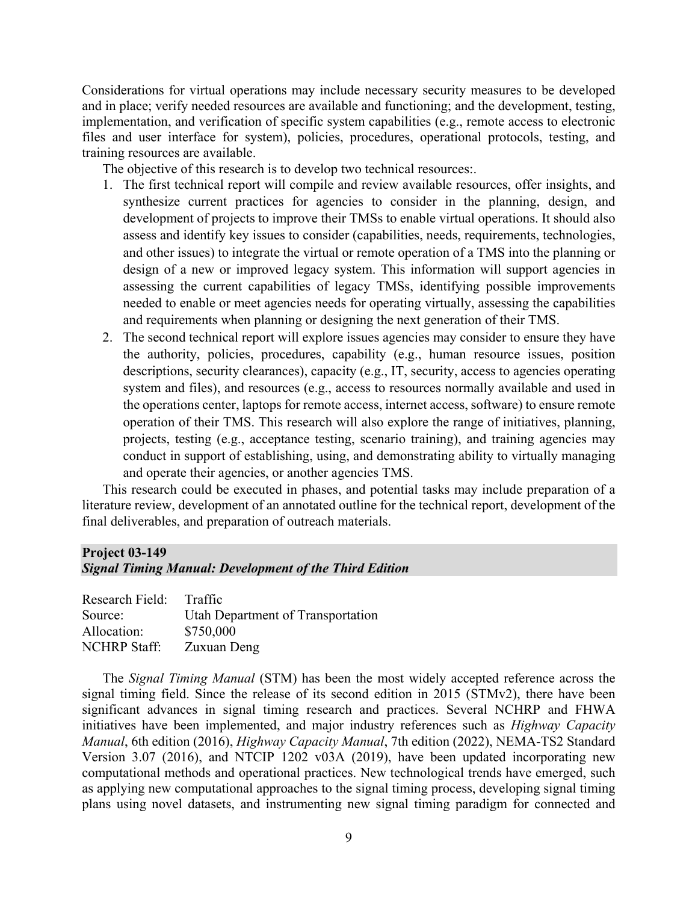Considerations for virtual operations may include necessary security measures to be developed and in place; verify needed resources are available and functioning; and the development, testing, implementation, and verification of specific system capabilities (e.g., remote access to electronic files and user interface for system), policies, procedures, operational protocols, testing, and training resources are available.

The objective of this research is to develop two technical resources:.

- 1. The first technical report will compile and review available resources, offer insights, and synthesize current practices for agencies to consider in the planning, design, and development of projects to improve their TMSs to enable virtual operations. It should also assess and identify key issues to consider (capabilities, needs, requirements, technologies, and other issues) to integrate the virtual or remote operation of a TMS into the planning or design of a new or improved legacy system. This information will support agencies in assessing the current capabilities of legacy TMSs, identifying possible improvements needed to enable or meet agencies needs for operating virtually, assessing the capabilities and requirements when planning or designing the next generation of their TMS.
- 2. The second technical report will explore issues agencies may consider to ensure they have the authority, policies, procedures, capability (e.g., human resource issues, position descriptions, security clearances), capacity (e.g., IT, security, access to agencies operating system and files), and resources (e.g., access to resources normally available and used in the operations center, laptops for remote access, internet access, software) to ensure remote operation of their TMS. This research will also explore the range of initiatives, planning, projects, testing (e.g., acceptance testing, scenario training), and training agencies may conduct in support of establishing, using, and demonstrating ability to virtually managing and operate their agencies, or another agencies TMS.

This research could be executed in phases, and potential tasks may include preparation of a literature review, development of an annotated outline for the technical report, development of the final deliverables, and preparation of outreach materials.

## **Project 03-149**

*Signal Timing Manual: Development of the Third Edition*

| Research Field:     | Traffic                           |
|---------------------|-----------------------------------|
| Source:             | Utah Department of Transportation |
| Allocation:         | \$750,000                         |
| <b>NCHRP Staff:</b> | Zuxuan Deng                       |

The *Signal Timing Manual* (STM) has been the most widely accepted reference across the signal timing field. Since the release of its second edition in 2015 (STMv2), there have been significant advances in signal timing research and practices. Several NCHRP and FHWA initiatives have been implemented, and major industry references such as *Highway Capacity Manual*, 6th edition (2016), *Highway Capacity Manual*, 7th edition (2022), NEMA-TS2 Standard Version 3.07 (2016), and NTCIP 1202 v03A (2019), have been updated incorporating new computational methods and operational practices. New technological trends have emerged, such as applying new computational approaches to the signal timing process, developing signal timing plans using novel datasets, and instrumenting new signal timing paradigm for connected and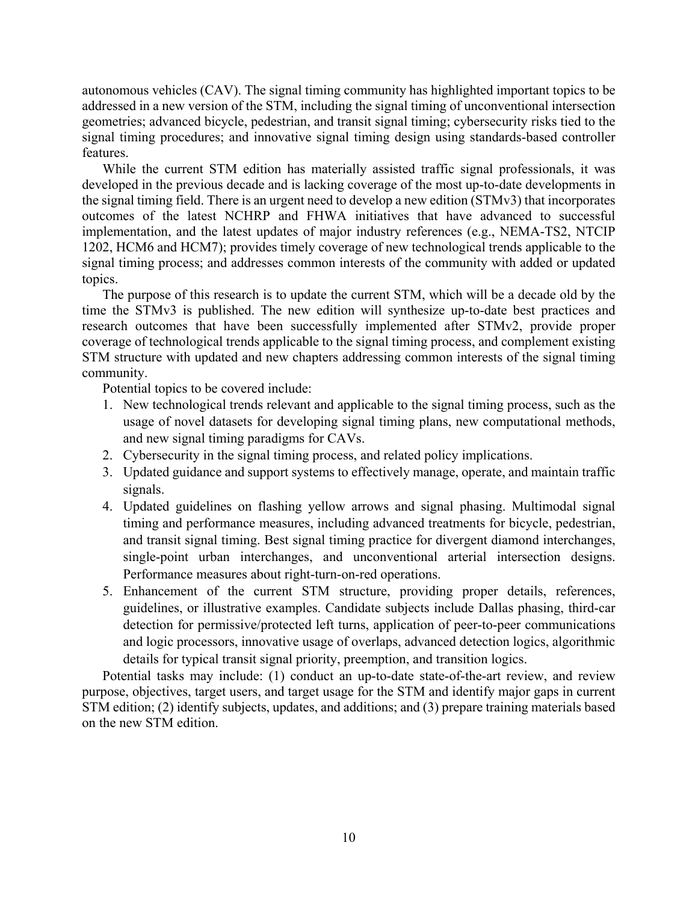autonomous vehicles (CAV). The signal timing community has highlighted important topics to be addressed in a new version of the STM, including the signal timing of unconventional intersection geometries; advanced bicycle, pedestrian, and transit signal timing; cybersecurity risks tied to the signal timing procedures; and innovative signal timing design using standards-based controller features.

While the current STM edition has materially assisted traffic signal professionals, it was developed in the previous decade and is lacking coverage of the most up-to-date developments in the signal timing field. There is an urgent need to develop a new edition (STMv3) that incorporates outcomes of the latest NCHRP and FHWA initiatives that have advanced to successful implementation, and the latest updates of major industry references (e.g., NEMA-TS2, NTCIP 1202, HCM6 and HCM7); provides timely coverage of new technological trends applicable to the signal timing process; and addresses common interests of the community with added or updated topics.

The purpose of this research is to update the current STM, which will be a decade old by the time the STMv3 is published. The new edition will synthesize up-to-date best practices and research outcomes that have been successfully implemented after STMv2, provide proper coverage of technological trends applicable to the signal timing process, and complement existing STM structure with updated and new chapters addressing common interests of the signal timing community.

Potential topics to be covered include:

- 1. New technological trends relevant and applicable to the signal timing process, such as the usage of novel datasets for developing signal timing plans, new computational methods, and new signal timing paradigms for CAVs.
- 2. Cybersecurity in the signal timing process, and related policy implications.
- 3. Updated guidance and support systems to effectively manage, operate, and maintain traffic signals.
- 4. Updated guidelines on flashing yellow arrows and signal phasing. Multimodal signal timing and performance measures, including advanced treatments for bicycle, pedestrian, and transit signal timing. Best signal timing practice for divergent diamond interchanges, single-point urban interchanges, and unconventional arterial intersection designs. Performance measures about right-turn-on-red operations.
- 5. Enhancement of the current STM structure, providing proper details, references, guidelines, or illustrative examples. Candidate subjects include Dallas phasing, third-car detection for permissive/protected left turns, application of peer-to-peer communications and logic processors, innovative usage of overlaps, advanced detection logics, algorithmic details for typical transit signal priority, preemption, and transition logics.

Potential tasks may include: (1) conduct an up-to-date state-of-the-art review, and review purpose, objectives, target users, and target usage for the STM and identify major gaps in current STM edition; (2) identify subjects, updates, and additions; and (3) prepare training materials based on the new STM edition.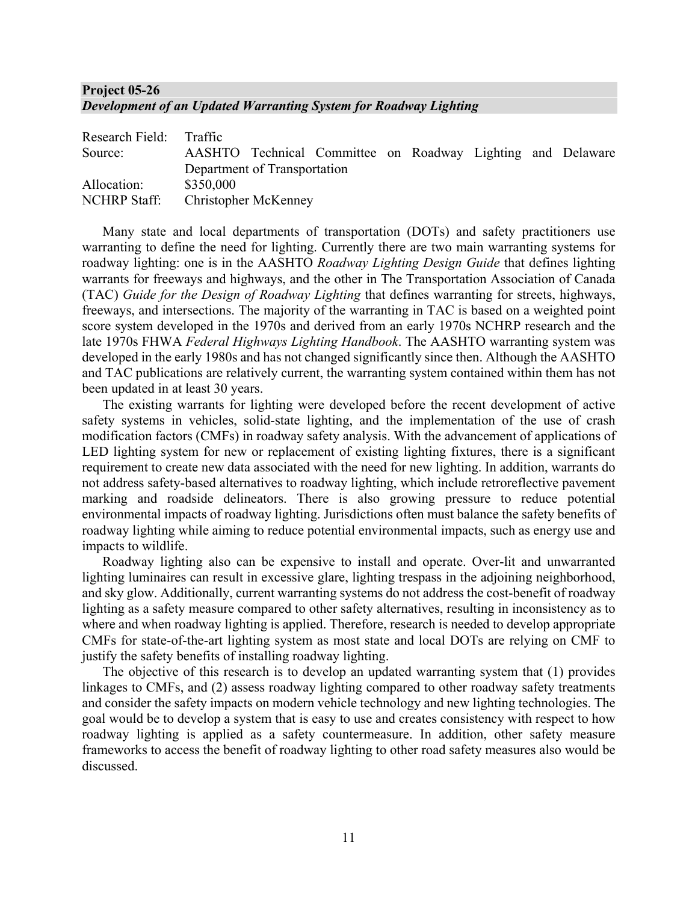## **Project 05-26** *Development of an Updated Warranting System for Roadway Lighting*

| Research Field: Traffic |                      |                              |                                                             |  |  |  |
|-------------------------|----------------------|------------------------------|-------------------------------------------------------------|--|--|--|
| Source:                 |                      |                              | AASHTO Technical Committee on Roadway Lighting and Delaware |  |  |  |
|                         |                      | Department of Transportation |                                                             |  |  |  |
| Allocation:             | \$350,000            |                              |                                                             |  |  |  |
| <b>NCHRP</b> Staff:     | Christopher McKenney |                              |                                                             |  |  |  |

Many state and local departments of transportation (DOTs) and safety practitioners use warranting to define the need for lighting. Currently there are two main warranting systems for roadway lighting: one is in the AASHTO *Roadway Lighting Design Guide* that defines lighting warrants for freeways and highways, and the other in The Transportation Association of Canada (TAC) *Guide for the Design of Roadway Lighting* that defines warranting for streets, highways, freeways, and intersections. The majority of the warranting in TAC is based on a weighted point score system developed in the 1970s and derived from an early 1970s NCHRP research and the late 1970s FHWA *Federal Highways Lighting Handbook*. The AASHTO warranting system was developed in the early 1980s and has not changed significantly since then. Although the AASHTO and TAC publications are relatively current, the warranting system contained within them has not been updated in at least 30 years.

The existing warrants for lighting were developed before the recent development of active safety systems in vehicles, solid-state lighting, and the implementation of the use of crash modification factors (CMFs) in roadway safety analysis. With the advancement of applications of LED lighting system for new or replacement of existing lighting fixtures, there is a significant requirement to create new data associated with the need for new lighting. In addition, warrants do not address safety-based alternatives to roadway lighting, which include retroreflective pavement marking and roadside delineators. There is also growing pressure to reduce potential environmental impacts of roadway lighting. Jurisdictions often must balance the safety benefits of roadway lighting while aiming to reduce potential environmental impacts, such as energy use and impacts to wildlife.

Roadway lighting also can be expensive to install and operate. Over-lit and unwarranted lighting luminaires can result in excessive glare, lighting trespass in the adjoining neighborhood, and sky glow. Additionally, current warranting systems do not address the cost-benefit of roadway lighting as a safety measure compared to other safety alternatives, resulting in inconsistency as to where and when roadway lighting is applied. Therefore, research is needed to develop appropriate CMFs for state-of-the-art lighting system as most state and local DOTs are relying on CMF to justify the safety benefits of installing roadway lighting.

The objective of this research is to develop an updated warranting system that (1) provides linkages to CMFs, and (2) assess roadway lighting compared to other roadway safety treatments and consider the safety impacts on modern vehicle technology and new lighting technologies. The goal would be to develop a system that is easy to use and creates consistency with respect to how roadway lighting is applied as a safety countermeasure. In addition, other safety measure frameworks to access the benefit of roadway lighting to other road safety measures also would be discussed.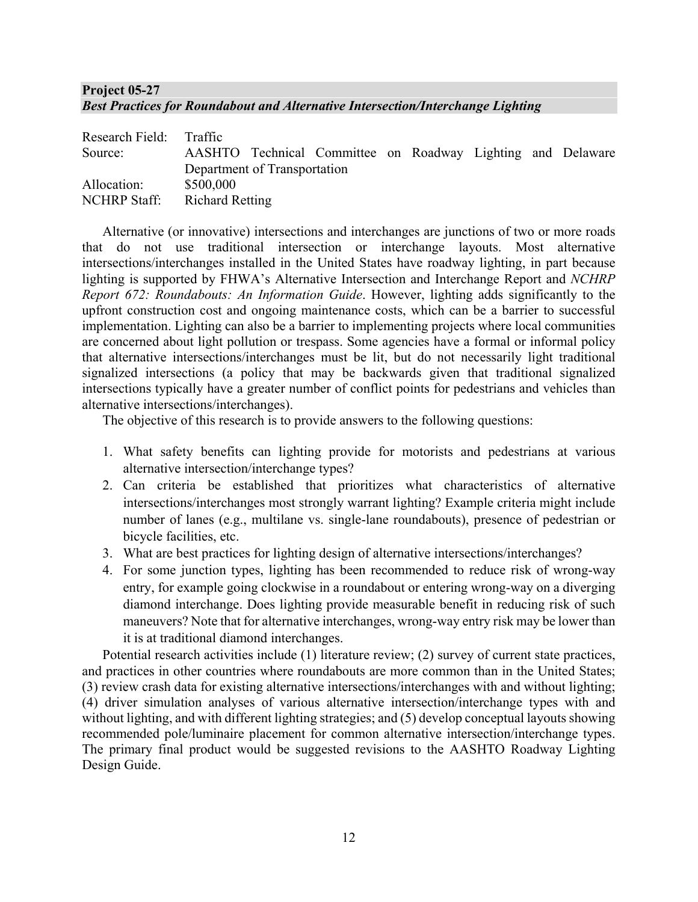## **Project 05-27** *Best Practices for Roundabout and Alternative Intersection/Interchange Lighting*

| Research Field: Traffic |                              |                                                             |  |  |  |
|-------------------------|------------------------------|-------------------------------------------------------------|--|--|--|
| Source:                 |                              | AASHTO Technical Committee on Roadway Lighting and Delaware |  |  |  |
|                         | Department of Transportation |                                                             |  |  |  |
| Allocation:             | \$500,000                    |                                                             |  |  |  |
| NCHRP Staff:            | <b>Richard Retting</b>       |                                                             |  |  |  |

Alternative (or innovative) intersections and interchanges are junctions of two or more roads that do not use traditional intersection or interchange layouts. Most alternative intersections/interchanges installed in the United States have roadway lighting, in part because lighting is supported by FHWA's Alternative Intersection and Interchange Report and *NCHRP Report 672: Roundabouts: An Information Guide*. However, lighting adds significantly to the upfront construction cost and ongoing maintenance costs, which can be a barrier to successful implementation. Lighting can also be a barrier to implementing projects where local communities are concerned about light pollution or trespass. Some agencies have a formal or informal policy that alternative intersections/interchanges must be lit, but do not necessarily light traditional signalized intersections (a policy that may be backwards given that traditional signalized intersections typically have a greater number of conflict points for pedestrians and vehicles than alternative intersections/interchanges).

The objective of this research is to provide answers to the following questions:

- 1. What safety benefits can lighting provide for motorists and pedestrians at various alternative intersection/interchange types?
- 2. Can criteria be established that prioritizes what characteristics of alternative intersections/interchanges most strongly warrant lighting? Example criteria might include number of lanes (e.g., multilane vs. single-lane roundabouts), presence of pedestrian or bicycle facilities, etc.
- 3. What are best practices for lighting design of alternative intersections/interchanges?
- 4. For some junction types, lighting has been recommended to reduce risk of wrong-way entry, for example going clockwise in a roundabout or entering wrong-way on a diverging diamond interchange. Does lighting provide measurable benefit in reducing risk of such maneuvers? Note that for alternative interchanges, wrong-way entry risk may be lower than it is at traditional diamond interchanges.

Potential research activities include (1) literature review; (2) survey of current state practices, and practices in other countries where roundabouts are more common than in the United States; (3) review crash data for existing alternative intersections/interchanges with and without lighting; (4) driver simulation analyses of various alternative intersection/interchange types with and without lighting, and with different lighting strategies; and (5) develop conceptual layouts showing recommended pole/luminaire placement for common alternative intersection/interchange types. The primary final product would be suggested revisions to the AASHTO Roadway Lighting Design Guide.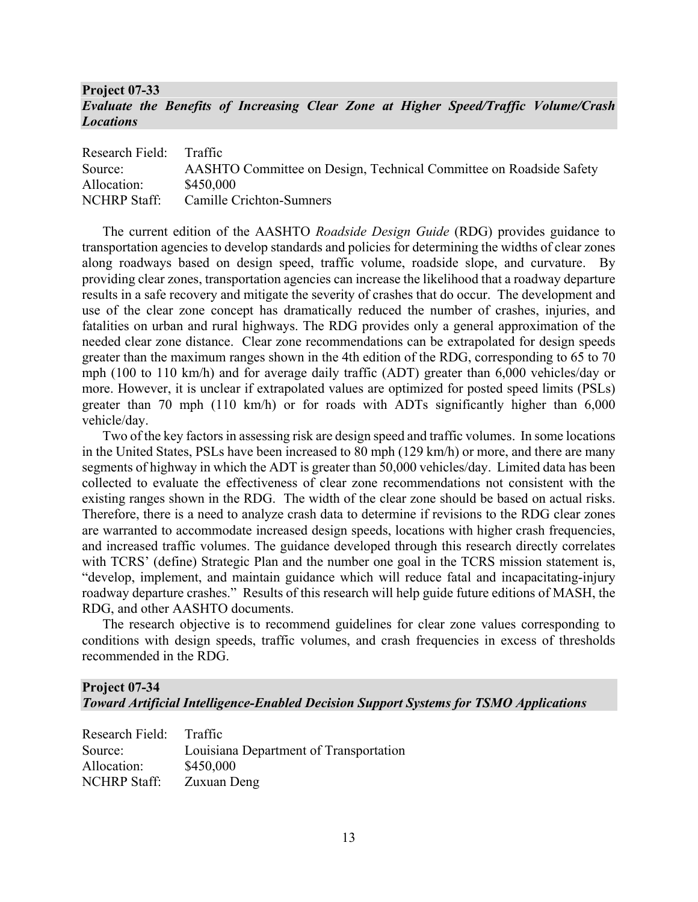## **Project 07-33**  *Evaluate the Benefits of Increasing Clear Zone at Higher Speed/Traffic Volume/Crash Locations*

| Research Field:     | <b>Traffic</b>                                                     |
|---------------------|--------------------------------------------------------------------|
| Source:             | AASHTO Committee on Design, Technical Committee on Roadside Safety |
| Allocation:         | \$450,000                                                          |
| <b>NCHRP Staff:</b> | Camille Crichton-Sumners                                           |

The current edition of the AASHTO *Roadside Design Guide* (RDG) provides guidance to transportation agencies to develop standards and policies for determining the widths of clear zones along roadways based on design speed, traffic volume, roadside slope, and curvature. By providing clear zones, transportation agencies can increase the likelihood that a roadway departure results in a safe recovery and mitigate the severity of crashes that do occur. The development and use of the clear zone concept has dramatically reduced the number of crashes, injuries, and fatalities on urban and rural highways. The RDG provides only a general approximation of the needed clear zone distance. Clear zone recommendations can be extrapolated for design speeds greater than the maximum ranges shown in the 4th edition of the RDG, corresponding to 65 to 70 mph (100 to 110 km/h) and for average daily traffic (ADT) greater than 6,000 vehicles/day or more. However, it is unclear if extrapolated values are optimized for posted speed limits (PSLs) greater than 70 mph (110 km/h) or for roads with ADTs significantly higher than 6,000 vehicle/day.

Two of the key factors in assessing risk are design speed and traffic volumes. In some locations in the United States, PSLs have been increased to 80 mph (129 km/h) or more, and there are many segments of highway in which the ADT is greater than 50,000 vehicles/day. Limited data has been collected to evaluate the effectiveness of clear zone recommendations not consistent with the existing ranges shown in the RDG. The width of the clear zone should be based on actual risks. Therefore, there is a need to analyze crash data to determine if revisions to the RDG clear zones are warranted to accommodate increased design speeds, locations with higher crash frequencies, and increased traffic volumes. The guidance developed through this research directly correlates with TCRS' (define) Strategic Plan and the number one goal in the TCRS mission statement is, "develop, implement, and maintain guidance which will reduce fatal and incapacitating-injury roadway departure crashes." Results of this research will help guide future editions of MASH, the RDG, and other AASHTO documents.

The research objective is to recommend guidelines for clear zone values corresponding to conditions with design speeds, traffic volumes, and crash frequencies in excess of thresholds recommended in the RDG.

## **Project 07-34**  *Toward Artificial Intelligence-Enabled Decision Support Systems for TSMO Applications*

| Research Field:     | Traffic                                |
|---------------------|----------------------------------------|
| Source:             | Louisiana Department of Transportation |
| Allocation:         | \$450,000                              |
| <b>NCHRP Staff:</b> | Zuxuan Deng                            |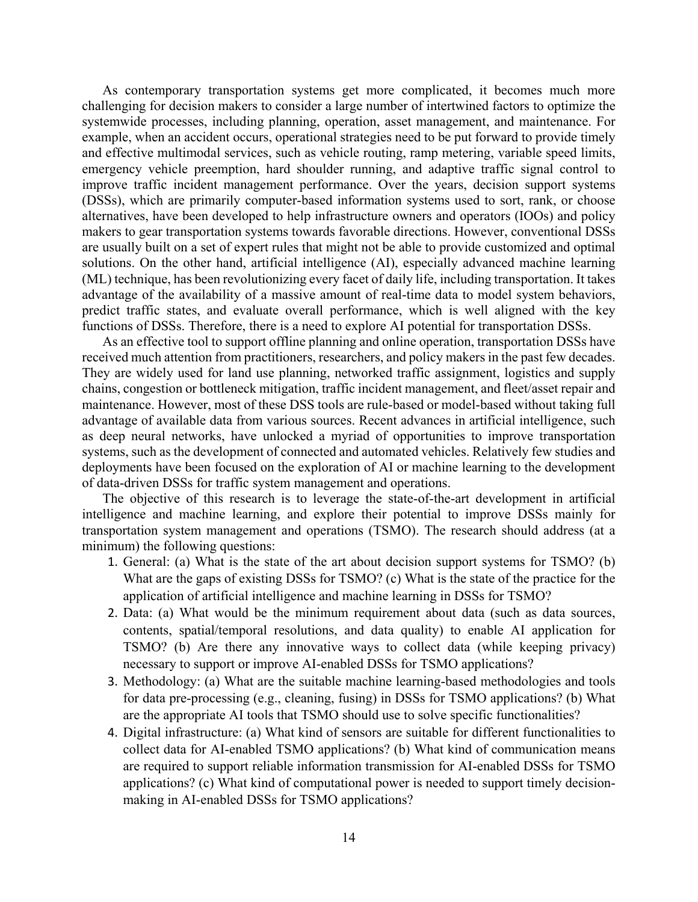As contemporary transportation systems get more complicated, it becomes much more challenging for decision makers to consider a large number of intertwined factors to optimize the systemwide processes, including planning, operation, asset management, and maintenance. For example, when an accident occurs, operational strategies need to be put forward to provide timely and effective multimodal services, such as vehicle routing, ramp metering, variable speed limits, emergency vehicle preemption, hard shoulder running, and adaptive traffic signal control to improve traffic incident management performance. Over the years, decision support systems (DSSs), which are primarily computer-based information systems used to sort, rank, or choose alternatives, have been developed to help infrastructure owners and operators (IOOs) and policy makers to gear transportation systems towards favorable directions. However, conventional DSSs are usually built on a set of expert rules that might not be able to provide customized and optimal solutions. On the other hand, artificial intelligence (AI), especially advanced machine learning (ML) technique, has been revolutionizing every facet of daily life, including transportation. It takes advantage of the availability of a massive amount of real-time data to model system behaviors, predict traffic states, and evaluate overall performance, which is well aligned with the key functions of DSSs. Therefore, there is a need to explore AI potential for transportation DSSs.

As an effective tool to support offline planning and online operation, transportation DSSs have received much attention from practitioners, researchers, and policy makers in the past few decades. They are widely used for land use planning, networked traffic assignment, logistics and supply chains, congestion or bottleneck mitigation, traffic incident management, and fleet/asset repair and maintenance. However, most of these DSS tools are rule-based or model-based without taking full advantage of available data from various sources. Recent advances in artificial intelligence, such as deep neural networks, have unlocked a myriad of opportunities to improve transportation systems, such as the development of connected and automated vehicles. Relatively few studies and deployments have been focused on the exploration of AI or machine learning to the development of data-driven DSSs for traffic system management and operations.

The objective of this research is to leverage the state-of-the-art development in artificial intelligence and machine learning, and explore their potential to improve DSSs mainly for transportation system management and operations (TSMO). The research should address (at a minimum) the following questions:

- 1. General: (a) What is the state of the art about decision support systems for TSMO? (b) What are the gaps of existing DSSs for TSMO? (c) What is the state of the practice for the application of artificial intelligence and machine learning in DSSs for TSMO?
- 2. Data: (a) What would be the minimum requirement about data (such as data sources, contents, spatial/temporal resolutions, and data quality) to enable AI application for TSMO? (b) Are there any innovative ways to collect data (while keeping privacy) necessary to support or improve AI-enabled DSSs for TSMO applications?
- 3. Methodology: (a) What are the suitable machine learning-based methodologies and tools for data pre-processing (e.g., cleaning, fusing) in DSSs for TSMO applications? (b) What are the appropriate AI tools that TSMO should use to solve specific functionalities?
- 4. Digital infrastructure: (a) What kind of sensors are suitable for different functionalities to collect data for AI-enabled TSMO applications? (b) What kind of communication means are required to support reliable information transmission for AI-enabled DSSs for TSMO applications? (c) What kind of computational power is needed to support timely decisionmaking in AI-enabled DSSs for TSMO applications?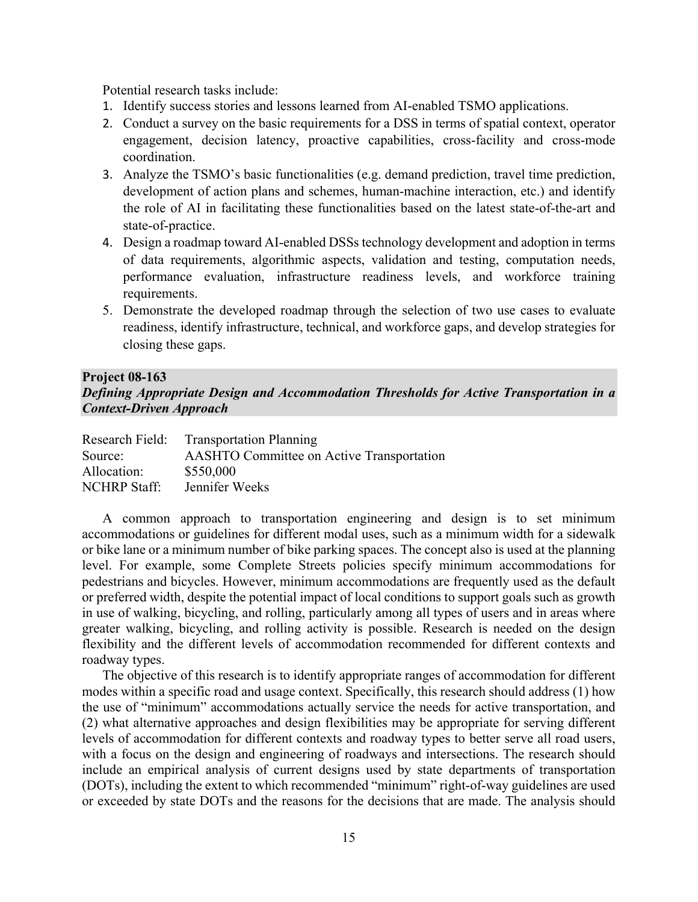Potential research tasks include:

- 1. Identify success stories and lessons learned from AI-enabled TSMO applications.
- 2. Conduct a survey on the basic requirements for a DSS in terms of spatial context, operator engagement, decision latency, proactive capabilities, cross-facility and cross-mode coordination.
- 3. Analyze the TSMO's basic functionalities (e.g. demand prediction, travel time prediction, development of action plans and schemes, human-machine interaction, etc.) and identify the role of AI in facilitating these functionalities based on the latest state-of-the-art and state-of-practice.
- 4. Design a roadmap toward AI-enabled DSSs technology development and adoption in terms of data requirements, algorithmic aspects, validation and testing, computation needs, performance evaluation, infrastructure readiness levels, and workforce training requirements.
- 5. Demonstrate the developed roadmap through the selection of two use cases to evaluate readiness, identify infrastructure, technical, and workforce gaps, and develop strategies for closing these gaps.

#### **Project 08-163**

## *Defining Appropriate Design and Accommodation Thresholds for Active Transportation in a Context-Driven Approach*

| <b>Transportation Planning</b>                   |
|--------------------------------------------------|
| <b>AASHTO Committee on Active Transportation</b> |
| \$550,000                                        |
| Jennifer Weeks                                   |
|                                                  |

A common approach to transportation engineering and design is to set minimum accommodations or guidelines for different modal uses, such as a minimum width for a sidewalk or bike lane or a minimum number of bike parking spaces. The concept also is used at the planning level. For example, some Complete Streets policies specify minimum accommodations for pedestrians and bicycles. However, minimum accommodations are frequently used as the default or preferred width, despite the potential impact of local conditions to support goals such as growth in use of walking, bicycling, and rolling, particularly among all types of users and in areas where greater walking, bicycling, and rolling activity is possible. Research is needed on the design flexibility and the different levels of accommodation recommended for different contexts and roadway types.

The objective of this research is to identify appropriate ranges of accommodation for different modes within a specific road and usage context. Specifically, this research should address (1) how the use of "minimum" accommodations actually service the needs for active transportation, and (2) what alternative approaches and design flexibilities may be appropriate for serving different levels of accommodation for different contexts and roadway types to better serve all road users, with a focus on the design and engineering of roadways and intersections. The research should include an empirical analysis of current designs used by state departments of transportation (DOTs), including the extent to which recommended "minimum" right-of-way guidelines are used or exceeded by state DOTs and the reasons for the decisions that are made. The analysis should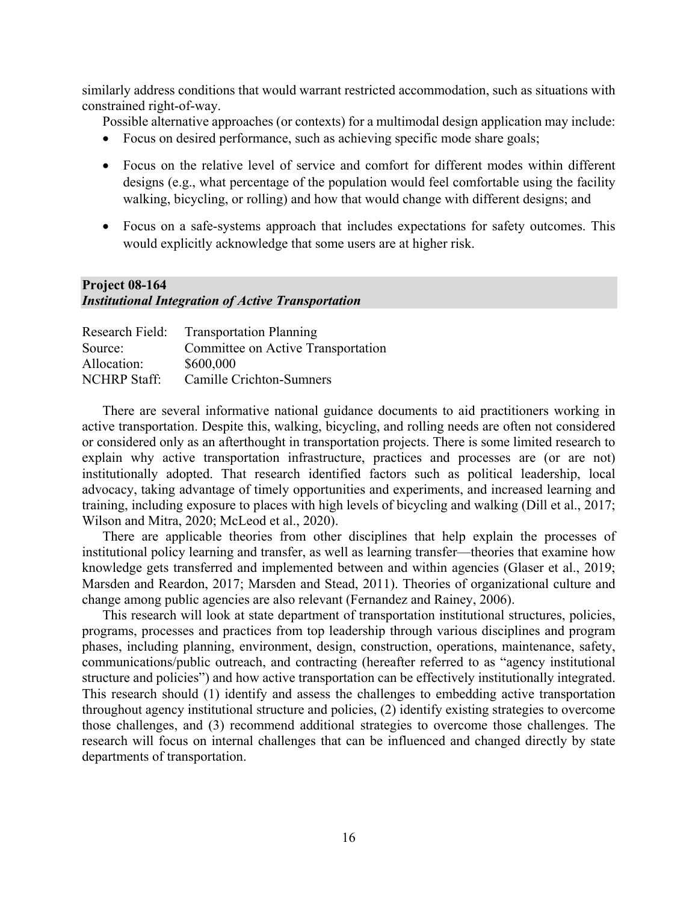similarly address conditions that would warrant restricted accommodation, such as situations with constrained right-of-way.

Possible alternative approaches (or contexts) for a multimodal design application may include:

- Focus on desired performance, such as achieving specific mode share goals;
- Focus on the relative level of service and comfort for different modes within different designs (e.g., what percentage of the population would feel comfortable using the facility walking, bicycling, or rolling) and how that would change with different designs; and
- Focus on a safe-systems approach that includes expectations for safety outcomes. This would explicitly acknowledge that some users are at higher risk.

## **Project 08-164** *Institutional Integration of Active Transportation*

| Research Field:     | <b>Transportation Planning</b>     |
|---------------------|------------------------------------|
| Source:             | Committee on Active Transportation |
| Allocation:         | \$600,000                          |
| <b>NCHRP Staff:</b> | Camille Crichton-Sumners           |

There are several informative national guidance documents to aid practitioners working in active transportation. Despite this, walking, bicycling, and rolling needs are often not considered or considered only as an afterthought in transportation projects. There is some limited research to explain why active transportation infrastructure, practices and processes are (or are not) institutionally adopted. That research identified factors such as political leadership, local advocacy, taking advantage of timely opportunities and experiments, and increased learning and training, including exposure to places with high levels of bicycling and walking (Dill et al., 2017; Wilson and Mitra, 2020; McLeod et al., 2020).

There are applicable theories from other disciplines that help explain the processes of institutional policy learning and transfer, as well as learning transfer—theories that examine how knowledge gets transferred and implemented between and within agencies (Glaser et al., 2019; Marsden and Reardon, 2017; Marsden and Stead, 2011). Theories of organizational culture and change among public agencies are also relevant (Fernandez and Rainey, 2006).

This research will look at state department of transportation institutional structures, policies, programs, processes and practices from top leadership through various disciplines and program phases, including planning, environment, design, construction, operations, maintenance, safety, communications/public outreach, and contracting (hereafter referred to as "agency institutional structure and policies") and how active transportation can be effectively institutionally integrated. This research should (1) identify and assess the challenges to embedding active transportation throughout agency institutional structure and policies, (2) identify existing strategies to overcome those challenges, and (3) recommend additional strategies to overcome those challenges. The research will focus on internal challenges that can be influenced and changed directly by state departments of transportation.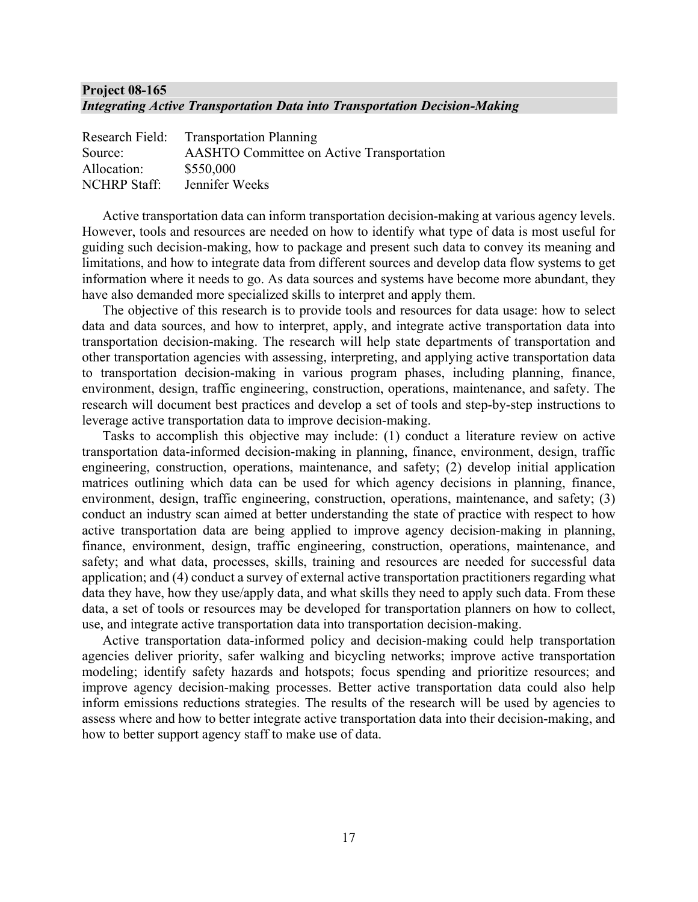## **Project 08-165**  *Integrating Active Transportation Data into Transportation Decision-Making*

| Research Field:     | <b>Transportation Planning</b>                   |
|---------------------|--------------------------------------------------|
| Source:             | <b>AASHTO Committee on Active Transportation</b> |
| Allocation:         | \$550,000                                        |
| <b>NCHRP</b> Staff: | Jennifer Weeks                                   |

Active transportation data can inform transportation decision-making at various agency levels. However, tools and resources are needed on how to identify what type of data is most useful for guiding such decision-making, how to package and present such data to convey its meaning and limitations, and how to integrate data from different sources and develop data flow systems to get information where it needs to go. As data sources and systems have become more abundant, they have also demanded more specialized skills to interpret and apply them.

The objective of this research is to provide tools and resources for data usage: how to select data and data sources, and how to interpret, apply, and integrate active transportation data into transportation decision-making. The research will help state departments of transportation and other transportation agencies with assessing, interpreting, and applying active transportation data to transportation decision-making in various program phases, including planning, finance, environment, design, traffic engineering, construction, operations, maintenance, and safety. The research will document best practices and develop a set of tools and step-by-step instructions to leverage active transportation data to improve decision-making.

Tasks to accomplish this objective may include: (1) conduct a literature review on active transportation data-informed decision-making in planning, finance, environment, design, traffic engineering, construction, operations, maintenance, and safety; (2) develop initial application matrices outlining which data can be used for which agency decisions in planning, finance, environment, design, traffic engineering, construction, operations, maintenance, and safety; (3) conduct an industry scan aimed at better understanding the state of practice with respect to how active transportation data are being applied to improve agency decision-making in planning, finance, environment, design, traffic engineering, construction, operations, maintenance, and safety; and what data, processes, skills, training and resources are needed for successful data application; and (4) conduct a survey of external active transportation practitioners regarding what data they have, how they use/apply data, and what skills they need to apply such data. From these data, a set of tools or resources may be developed for transportation planners on how to collect, use, and integrate active transportation data into transportation decision-making.

Active transportation data-informed policy and decision-making could help transportation agencies deliver priority, safer walking and bicycling networks; improve active transportation modeling; identify safety hazards and hotspots; focus spending and prioritize resources; and improve agency decision-making processes. Better active transportation data could also help inform emissions reductions strategies. The results of the research will be used by agencies to assess where and how to better integrate active transportation data into their decision-making, and how to better support agency staff to make use of data.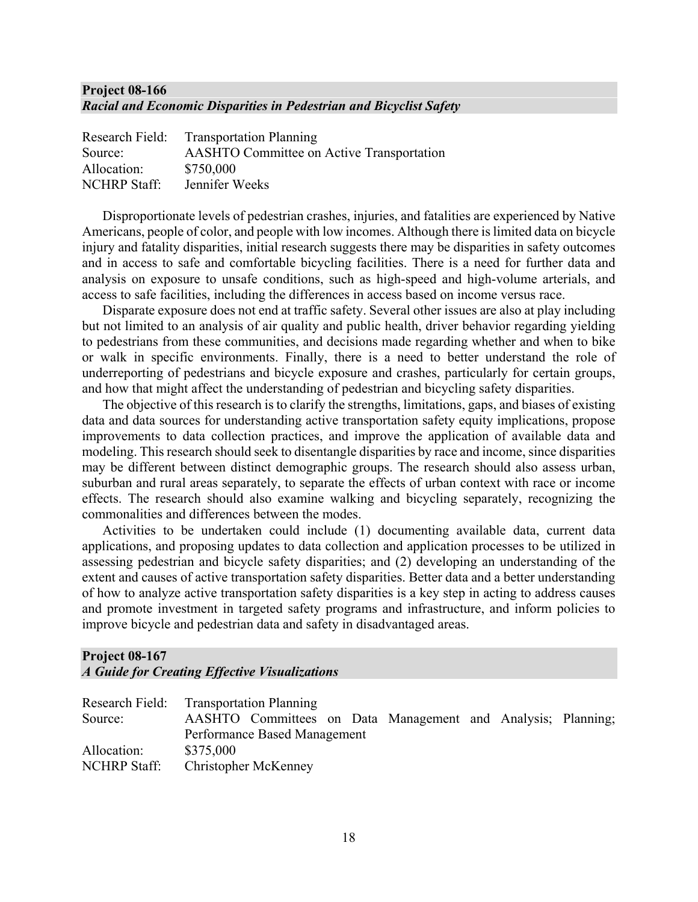## **Project 08-166**  *Racial and Economic Disparities in Pedestrian and Bicyclist Safety*

| Research Field:     | <b>Transportation Planning</b>                   |
|---------------------|--------------------------------------------------|
| Source:             | <b>AASHTO Committee on Active Transportation</b> |
| Allocation:         | \$750,000                                        |
| <b>NCHRP</b> Staff: | Jennifer Weeks                                   |

Disproportionate levels of pedestrian crashes, injuries, and fatalities are experienced by Native Americans, people of color, and people with low incomes. Although there is limited data on bicycle injury and fatality disparities, initial research suggests there may be disparities in safety outcomes and in access to safe and comfortable bicycling facilities. There is a need for further data and analysis on exposure to unsafe conditions, such as high-speed and high-volume arterials, and access to safe facilities, including the differences in access based on income versus race.

Disparate exposure does not end at traffic safety. Several other issues are also at play including but not limited to an analysis of air quality and public health, driver behavior regarding yielding to pedestrians from these communities, and decisions made regarding whether and when to bike or walk in specific environments. Finally, there is a need to better understand the role of underreporting of pedestrians and bicycle exposure and crashes, particularly for certain groups, and how that might affect the understanding of pedestrian and bicycling safety disparities.

The objective of this research is to clarify the strengths, limitations, gaps, and biases of existing data and data sources for understanding active transportation safety equity implications, propose improvements to data collection practices, and improve the application of available data and modeling. This research should seek to disentangle disparities by race and income, since disparities may be different between distinct demographic groups. The research should also assess urban, suburban and rural areas separately, to separate the effects of urban context with race or income effects. The research should also examine walking and bicycling separately, recognizing the commonalities and differences between the modes.

Activities to be undertaken could include (1) documenting available data, current data applications, and proposing updates to data collection and application processes to be utilized in assessing pedestrian and bicycle safety disparities; and (2) developing an understanding of the extent and causes of active transportation safety disparities. Better data and a better understanding of how to analyze active transportation safety disparities is a key step in acting to address causes and promote investment in targeted safety programs and infrastructure, and inform policies to improve bicycle and pedestrian data and safety in disadvantaged areas.

## **Project 08-167**  *A Guide for Creating Effective Visualizations*

| Research Field: Transportation Planning<br>Source: |           |                              |  |                                                              |  |  |
|----------------------------------------------------|-----------|------------------------------|--|--------------------------------------------------------------|--|--|
|                                                    |           |                              |  | AASHTO Committees on Data Management and Analysis; Planning; |  |  |
|                                                    |           | Performance Based Management |  |                                                              |  |  |
| Allocation:                                        | \$375,000 |                              |  |                                                              |  |  |
| NCHRP Staff:                                       |           | Christopher McKenney         |  |                                                              |  |  |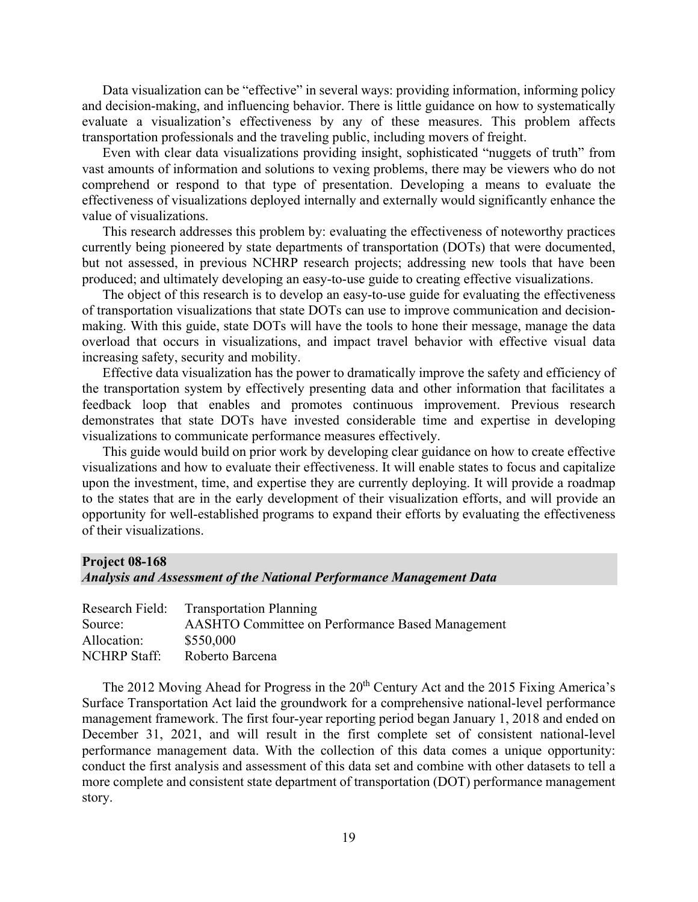Data visualization can be "effective" in several ways: providing information, informing policy and decision-making, and influencing behavior. There is little guidance on how to systematically evaluate a visualization's effectiveness by any of these measures. This problem affects transportation professionals and the traveling public, including movers of freight.

Even with clear data visualizations providing insight, sophisticated "nuggets of truth" from vast amounts of information and solutions to vexing problems, there may be viewers who do not comprehend or respond to that type of presentation. Developing a means to evaluate the effectiveness of visualizations deployed internally and externally would significantly enhance the value of visualizations.

This research addresses this problem by: evaluating the effectiveness of noteworthy practices currently being pioneered by state departments of transportation (DOTs) that were documented, but not assessed, in previous NCHRP research projects; addressing new tools that have been produced; and ultimately developing an easy-to-use guide to creating effective visualizations.

The object of this research is to develop an easy-to-use guide for evaluating the effectiveness of transportation visualizations that state DOTs can use to improve communication and decisionmaking. With this guide, state DOTs will have the tools to hone their message, manage the data overload that occurs in visualizations, and impact travel behavior with effective visual data increasing safety, security and mobility.

Effective data visualization has the power to dramatically improve the safety and efficiency of the transportation system by effectively presenting data and other information that facilitates a feedback loop that enables and promotes continuous improvement. Previous research demonstrates that state DOTs have invested considerable time and expertise in developing visualizations to communicate performance measures effectively.

This guide would build on prior work by developing clear guidance on how to create effective visualizations and how to evaluate their effectiveness. It will enable states to focus and capitalize upon the investment, time, and expertise they are currently deploying. It will provide a roadmap to the states that are in the early development of their visualization efforts, and will provide an opportunity for well-established programs to expand their efforts by evaluating the effectiveness of their visualizations.

# **Project 08-168** *Analysis and Assessment of the National Performance Management Data*

|                     | <b>Research Field:</b> Transportation Planning          |
|---------------------|---------------------------------------------------------|
| Source:             | <b>AASHTO Committee on Performance Based Management</b> |
| Allocation:         | \$550,000                                               |
| <b>NCHRP</b> Staff: | Roberto Barcena                                         |

The 2012 Moving Ahead for Progress in the 20<sup>th</sup> Century Act and the 2015 Fixing America's Surface Transportation Act laid the groundwork for a comprehensive national-level performance management framework. The first four-year reporting period began January 1, 2018 and ended on December 31, 2021, and will result in the first complete set of consistent national-level performance management data. With the collection of this data comes a unique opportunity: conduct the first analysis and assessment of this data set and combine with other datasets to tell a more complete and consistent state department of transportation (DOT) performance management story.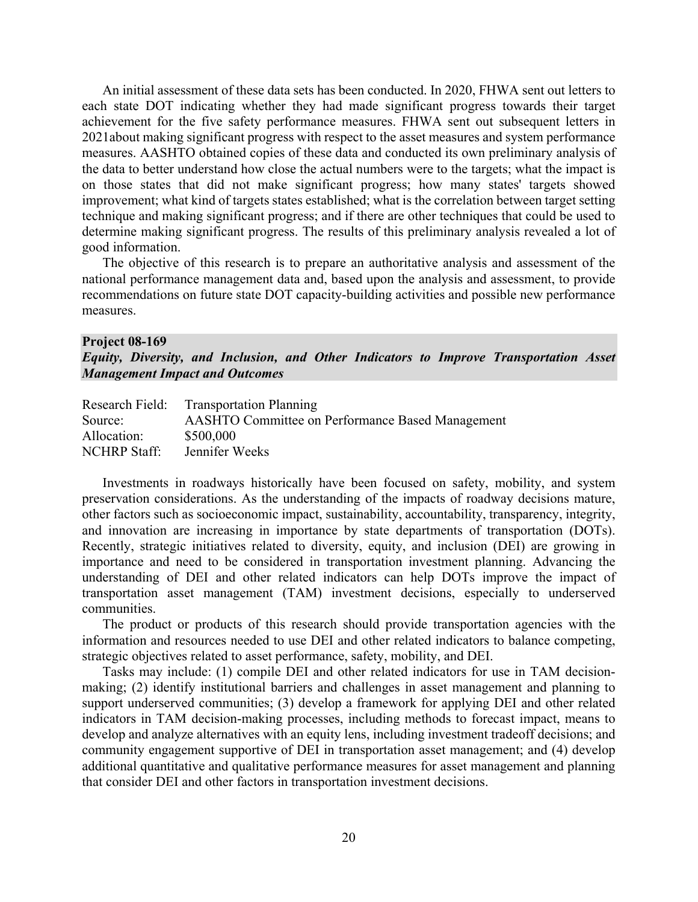An initial assessment of these data sets has been conducted. In 2020, FHWA sent out letters to each state DOT indicating whether they had made significant progress towards their target achievement for the five safety performance measures. FHWA sent out subsequent letters in 2021about making significant progress with respect to the asset measures and system performance measures. AASHTO obtained copies of these data and conducted its own preliminary analysis of the data to better understand how close the actual numbers were to the targets; what the impact is on those states that did not make significant progress; how many states' targets showed improvement; what kind of targets states established; what is the correlation between target setting technique and making significant progress; and if there are other techniques that could be used to determine making significant progress. The results of this preliminary analysis revealed a lot of good information.

The objective of this research is to prepare an authoritative analysis and assessment of the national performance management data and, based upon the analysis and assessment, to provide recommendations on future state DOT capacity-building activities and possible new performance measures.

#### **Project 08-169**

*Equity, Diversity, and Inclusion, and Other Indicators to Improve Transportation Asset Management Impact and Outcomes*

|                     | Research Field: Transportation Planning                 |
|---------------------|---------------------------------------------------------|
| Source:             | <b>AASHTO Committee on Performance Based Management</b> |
| Allocation:         | \$500,000                                               |
| <b>NCHRP</b> Staff: | Jennifer Weeks                                          |

Investments in roadways historically have been focused on safety, mobility, and system preservation considerations. As the understanding of the impacts of roadway decisions mature, other factors such as socioeconomic impact, sustainability, accountability, transparency, integrity, and innovation are increasing in importance by state departments of transportation (DOTs). Recently, strategic initiatives related to diversity, equity, and inclusion (DEI) are growing in importance and need to be considered in transportation investment planning. Advancing the understanding of DEI and other related indicators can help DOTs improve the impact of transportation asset management (TAM) investment decisions, especially to underserved communities.

The product or products of this research should provide transportation agencies with the information and resources needed to use DEI and other related indicators to balance competing, strategic objectives related to asset performance, safety, mobility, and DEI.

Tasks may include: (1) compile DEI and other related indicators for use in TAM decisionmaking; (2) identify institutional barriers and challenges in asset management and planning to support underserved communities; (3) develop a framework for applying DEI and other related indicators in TAM decision-making processes, including methods to forecast impact, means to develop and analyze alternatives with an equity lens, including investment tradeoff decisions; and community engagement supportive of DEI in transportation asset management; and (4) develop additional quantitative and qualitative performance measures for asset management and planning that consider DEI and other factors in transportation investment decisions.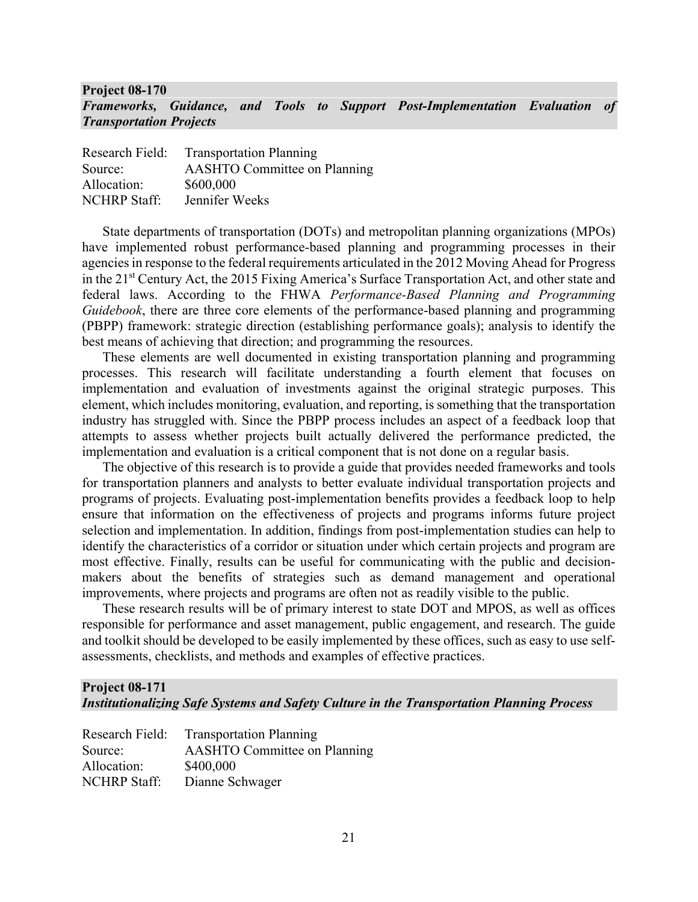## **Project 08-170**  *Frameworks, Guidance, and Tools to Support Post-Implementation Evaluation of Transportation Projects*

| Research Field:     | <b>Transportation Planning</b>      |
|---------------------|-------------------------------------|
| Source:             | <b>AASHTO Committee on Planning</b> |
| Allocation:         | \$600,000                           |
| <b>NCHRP Staff:</b> | Jennifer Weeks                      |

State departments of transportation (DOTs) and metropolitan planning organizations (MPOs) have implemented robust performance-based planning and programming processes in their agencies in response to the federal requirements articulated in the 2012 Moving Ahead for Progress in the 21<sup>st</sup> Century Act, the 2015 Fixing America's Surface Transportation Act, and other state and federal laws. According to the FHWA *Performance-Based Planning and Programming Guidebook*, there are three core elements of the performance-based planning and programming (PBPP) framework: strategic direction (establishing performance goals); analysis to identify the best means of achieving that direction; and programming the resources.

These elements are well documented in existing transportation planning and programming processes. This research will facilitate understanding a fourth element that focuses on implementation and evaluation of investments against the original strategic purposes. This element, which includes monitoring, evaluation, and reporting, is something that the transportation industry has struggled with. Since the PBPP process includes an aspect of a feedback loop that attempts to assess whether projects built actually delivered the performance predicted, the implementation and evaluation is a critical component that is not done on a regular basis.

The objective of this research is to provide a guide that provides needed frameworks and tools for transportation planners and analysts to better evaluate individual transportation projects and programs of projects. Evaluating post-implementation benefits provides a feedback loop to help ensure that information on the effectiveness of projects and programs informs future project selection and implementation. In addition, findings from post-implementation studies can help to identify the characteristics of a corridor or situation under which certain projects and program are most effective. Finally, results can be useful for communicating with the public and decisionmakers about the benefits of strategies such as demand management and operational improvements, where projects and programs are often not as readily visible to the public.

These research results will be of primary interest to state DOT and MPOS, as well as offices responsible for performance and asset management, public engagement, and research. The guide and toolkit should be developed to be easily implemented by these offices, such as easy to use selfassessments, checklists, and methods and examples of effective practices.

## **Project 08-171**

*Institutionalizing Safe Systems and Safety Culture in the Transportation Planning Process*

| Research Field:     | <b>Transportation Planning</b>      |
|---------------------|-------------------------------------|
| Source:             | <b>AASHTO</b> Committee on Planning |
| Allocation:         | \$400,000                           |
| <b>NCHRP Staff:</b> | Dianne Schwager                     |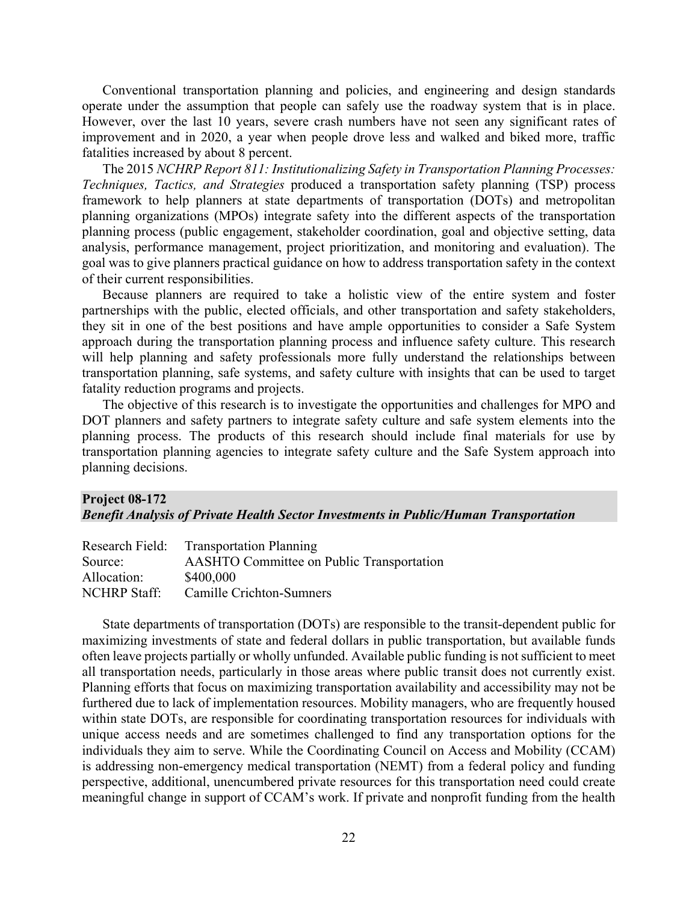Conventional transportation planning and policies, and engineering and design standards operate under the assumption that people can safely use the roadway system that is in place. However, over the last 10 years, severe crash numbers have not seen any significant rates of improvement and in 2020, a year when people drove less and walked and biked more, traffic fatalities increased by about 8 percent.

The 2015 *NCHRP Report 811: Institutionalizing Safety in Transportation Planning Processes: Techniques, Tactics, and Strategies* produced a transportation safety planning (TSP) process framework to help planners at state departments of transportation (DOTs) and metropolitan planning organizations (MPOs) integrate safety into the different aspects of the transportation planning process (public engagement, stakeholder coordination, goal and objective setting, data analysis, performance management, project prioritization, and monitoring and evaluation). The goal was to give planners practical guidance on how to address transportation safety in the context of their current responsibilities.

Because planners are required to take a holistic view of the entire system and foster partnerships with the public, elected officials, and other transportation and safety stakeholders, they sit in one of the best positions and have ample opportunities to consider a Safe System approach during the transportation planning process and influence safety culture. This research will help planning and safety professionals more fully understand the relationships between transportation planning, safe systems, and safety culture with insights that can be used to target fatality reduction programs and projects.

The objective of this research is to investigate the opportunities and challenges for MPO and DOT planners and safety partners to integrate safety culture and safe system elements into the planning process. The products of this research should include final materials for use by transportation planning agencies to integrate safety culture and the Safe System approach into planning decisions.

## **Project 08-172** *Benefit Analysis of Private Health Sector Investments in Public/Human Transportation*

| Research Field:     | <b>Transportation Planning</b>                   |
|---------------------|--------------------------------------------------|
| Source:             | <b>AASHTO Committee on Public Transportation</b> |
| Allocation:         | \$400,000                                        |
| <b>NCHRP</b> Staff: | Camille Crichton-Sumners                         |

State departments of transportation (DOTs) are responsible to the transit-dependent public for maximizing investments of state and federal dollars in public transportation, but available funds often leave projects partially or wholly unfunded. Available public funding is not sufficient to meet all transportation needs, particularly in those areas where public transit does not currently exist. Planning efforts that focus on maximizing transportation availability and accessibility may not be furthered due to lack of implementation resources. Mobility managers, who are frequently housed within state DOTs, are responsible for coordinating transportation resources for individuals with unique access needs and are sometimes challenged to find any transportation options for the individuals they aim to serve. While the Coordinating Council on Access and Mobility (CCAM) is addressing non-emergency medical transportation (NEMT) from a federal policy and funding perspective, additional, unencumbered private resources for this transportation need could create meaningful change in support of CCAM's work. If private and nonprofit funding from the health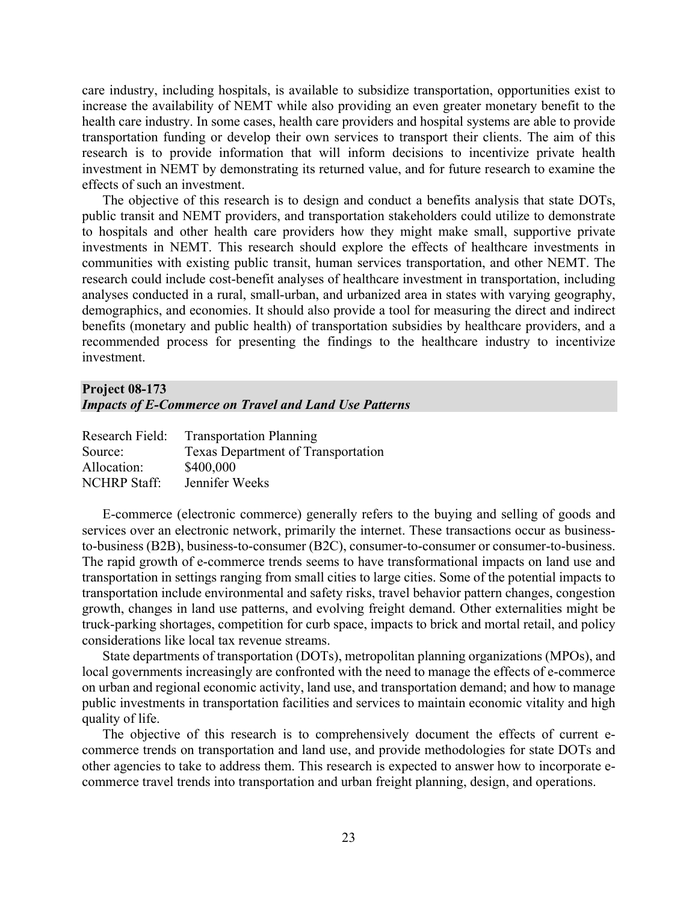care industry, including hospitals, is available to subsidize transportation, opportunities exist to increase the availability of NEMT while also providing an even greater monetary benefit to the health care industry. In some cases, health care providers and hospital systems are able to provide transportation funding or develop their own services to transport their clients. The aim of this research is to provide information that will inform decisions to incentivize private health investment in NEMT by demonstrating its returned value, and for future research to examine the effects of such an investment.

The objective of this research is to design and conduct a benefits analysis that state DOTs, public transit and NEMT providers, and transportation stakeholders could utilize to demonstrate to hospitals and other health care providers how they might make small, supportive private investments in NEMT. This research should explore the effects of healthcare investments in communities with existing public transit, human services transportation, and other NEMT. The research could include cost-benefit analyses of healthcare investment in transportation, including analyses conducted in a rural, small-urban, and urbanized area in states with varying geography, demographics, and economies. It should also provide a tool for measuring the direct and indirect benefits (monetary and public health) of transportation subsidies by healthcare providers, and a recommended process for presenting the findings to the healthcare industry to incentivize investment.

## **Project 08-173** *Impacts of E-Commerce on Travel and Land Use Patterns*

| Research Field:     | <b>Transportation Planning</b>     |
|---------------------|------------------------------------|
| Source:             | Texas Department of Transportation |
| Allocation:         | \$400,000                          |
| <b>NCHRP Staff:</b> | Jennifer Weeks                     |

E-commerce (electronic commerce) generally refers to the buying and selling of goods and services over an electronic network, primarily the internet. These transactions occur as businessto-business (B2B), business-to-consumer (B2C), consumer-to-consumer or consumer-to-business. The rapid growth of e-commerce trends seems to have transformational impacts on land use and transportation in settings ranging from small cities to large cities. Some of the potential impacts to transportation include environmental and safety risks, travel behavior pattern changes, congestion growth, changes in land use patterns, and evolving freight demand. Other externalities might be truck-parking shortages, competition for curb space, impacts to brick and mortal retail, and policy considerations like local tax revenue streams.

State departments of transportation (DOTs), metropolitan planning organizations (MPOs), and local governments increasingly are confronted with the need to manage the effects of e-commerce on urban and regional economic activity, land use, and transportation demand; and how to manage public investments in transportation facilities and services to maintain economic vitality and high quality of life.

The objective of this research is to comprehensively document the effects of current ecommerce trends on transportation and land use, and provide methodologies for state DOTs and other agencies to take to address them. This research is expected to answer how to incorporate ecommerce travel trends into transportation and urban freight planning, design, and operations.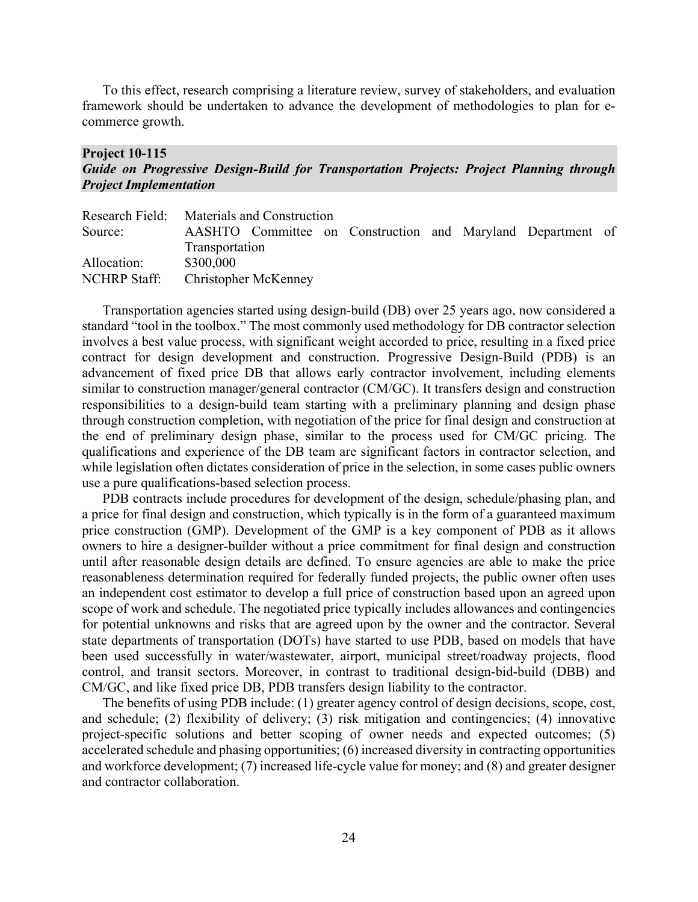To this effect, research comprising a literature review, survey of stakeholders, and evaluation framework should be undertaken to advance the development of methodologies to plan for ecommerce growth.

#### **Project 10-115**

## *Guide on Progressive Design-Build for Transportation Projects: Project Planning through Project Implementation*

|                                   | Research Field: Materials and Construction                  |  |  |  |  |  |  |  |
|-----------------------------------|-------------------------------------------------------------|--|--|--|--|--|--|--|
| Source:                           | AASHTO Committee on Construction and Maryland Department of |  |  |  |  |  |  |  |
|                                   | Transportation                                              |  |  |  |  |  |  |  |
| Allocation:                       | \$300,000                                                   |  |  |  |  |  |  |  |
| NCHRP Staff: Christopher McKenney |                                                             |  |  |  |  |  |  |  |

Transportation agencies started using design-build (DB) over 25 years ago, now considered a standard "tool in the toolbox." The most commonly used methodology for DB contractor selection involves a best value process, with significant weight accorded to price, resulting in a fixed price contract for design development and construction. Progressive Design-Build (PDB) is an advancement of fixed price DB that allows early contractor involvement, including elements similar to construction manager/general contractor (CM/GC). It transfers design and construction responsibilities to a design-build team starting with a preliminary planning and design phase through construction completion, with negotiation of the price for final design and construction at the end of preliminary design phase, similar to the process used for CM/GC pricing. The qualifications and experience of the DB team are significant factors in contractor selection, and while legislation often dictates consideration of price in the selection, in some cases public owners use a pure qualifications-based selection process.

PDB contracts include procedures for development of the design, schedule/phasing plan, and a price for final design and construction, which typically is in the form of a guaranteed maximum price construction (GMP). Development of the GMP is a key component of PDB as it allows owners to hire a designer-builder without a price commitment for final design and construction until after reasonable design details are defined. To ensure agencies are able to make the price reasonableness determination required for federally funded projects, the public owner often uses an independent cost estimator to develop a full price of construction based upon an agreed upon scope of work and schedule. The negotiated price typically includes allowances and contingencies for potential unknowns and risks that are agreed upon by the owner and the contractor. Several state departments of transportation (DOTs) have started to use PDB, based on models that have been used successfully in water/wastewater, airport, municipal street/roadway projects, flood control, and transit sectors. Moreover, in contrast to traditional design-bid-build (DBB) and CM/GC, and like fixed price DB, PDB transfers design liability to the contractor.

The benefits of using PDB include: (1) greater agency control of design decisions, scope, cost, and schedule; (2) flexibility of delivery; (3) risk mitigation and contingencies; (4) innovative project-specific solutions and better scoping of owner needs and expected outcomes; (5) accelerated schedule and phasing opportunities; (6) increased diversity in contracting opportunities and workforce development; (7) increased life-cycle value for money; and (8) and greater designer and contractor collaboration.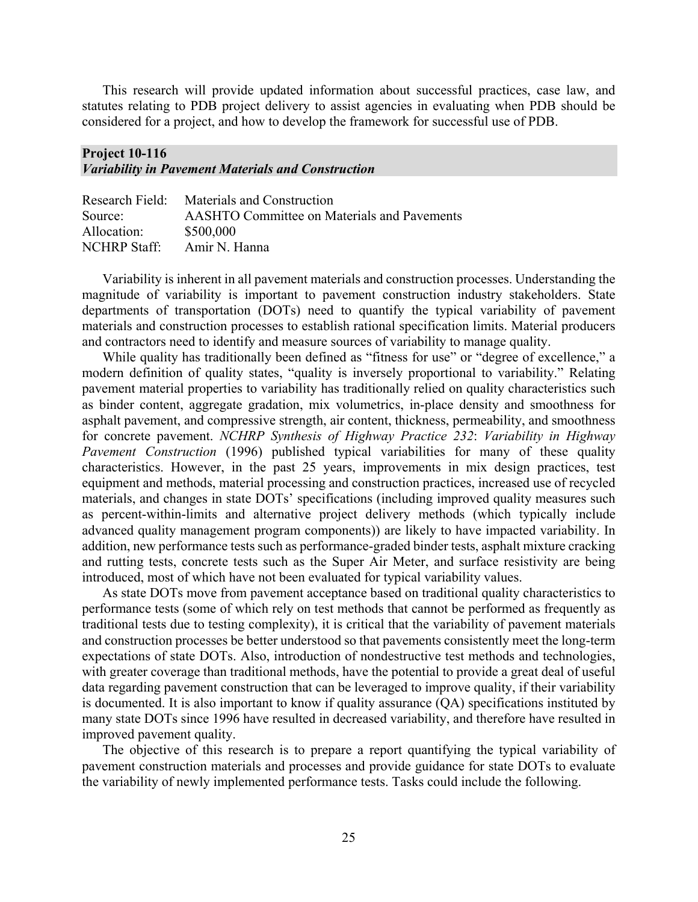This research will provide updated information about successful practices, case law, and statutes relating to PDB project delivery to assist agencies in evaluating when PDB should be considered for a project, and how to develop the framework for successful use of PDB.

#### **Project 10-116** *Variability in Pavement Materials and Construction*

|              | Research Field: Materials and Construction         |
|--------------|----------------------------------------------------|
| Source:      | <b>AASHTO Committee on Materials and Pavements</b> |
| Allocation:  | \$500,000                                          |
| NCHRP Staff: | Amir N. Hanna                                      |

Variability is inherent in all pavement materials and construction processes. Understanding the magnitude of variability is important to pavement construction industry stakeholders. State departments of transportation (DOTs) need to quantify the typical variability of pavement materials and construction processes to establish rational specification limits. Material producers and contractors need to identify and measure sources of variability to manage quality.

While quality has traditionally been defined as "fitness for use" or "degree of excellence," a modern definition of quality states, "quality is inversely proportional to variability." Relating pavement material properties to variability has traditionally relied on quality characteristics such as binder content, aggregate gradation, mix volumetrics, in-place density and smoothness for asphalt pavement, and compressive strength, air content, thickness, permeability, and smoothness for concrete pavement. *NCHRP Synthesis of Highway Practice 232*: *Variability in Highway Pavement Construction* (1996) published typical variabilities for many of these quality characteristics. However, in the past 25 years, improvements in mix design practices, test equipment and methods, material processing and construction practices, increased use of recycled materials, and changes in state DOTs' specifications (including improved quality measures such as percent-within-limits and alternative project delivery methods (which typically include advanced quality management program components)) are likely to have impacted variability. In addition, new performance tests such as performance-graded binder tests, asphalt mixture cracking and rutting tests, concrete tests such as the Super Air Meter, and surface resistivity are being introduced, most of which have not been evaluated for typical variability values.

As state DOTs move from pavement acceptance based on traditional quality characteristics to performance tests (some of which rely on test methods that cannot be performed as frequently as traditional tests due to testing complexity), it is critical that the variability of pavement materials and construction processes be better understood so that pavements consistently meet the long-term expectations of state DOTs. Also, introduction of nondestructive test methods and technologies, with greater coverage than traditional methods, have the potential to provide a great deal of useful data regarding pavement construction that can be leveraged to improve quality, if their variability is documented. It is also important to know if quality assurance (QA) specifications instituted by many state DOTs since 1996 have resulted in decreased variability, and therefore have resulted in improved pavement quality.

The objective of this research is to prepare a report quantifying the typical variability of pavement construction materials and processes and provide guidance for state DOTs to evaluate the variability of newly implemented performance tests. Tasks could include the following.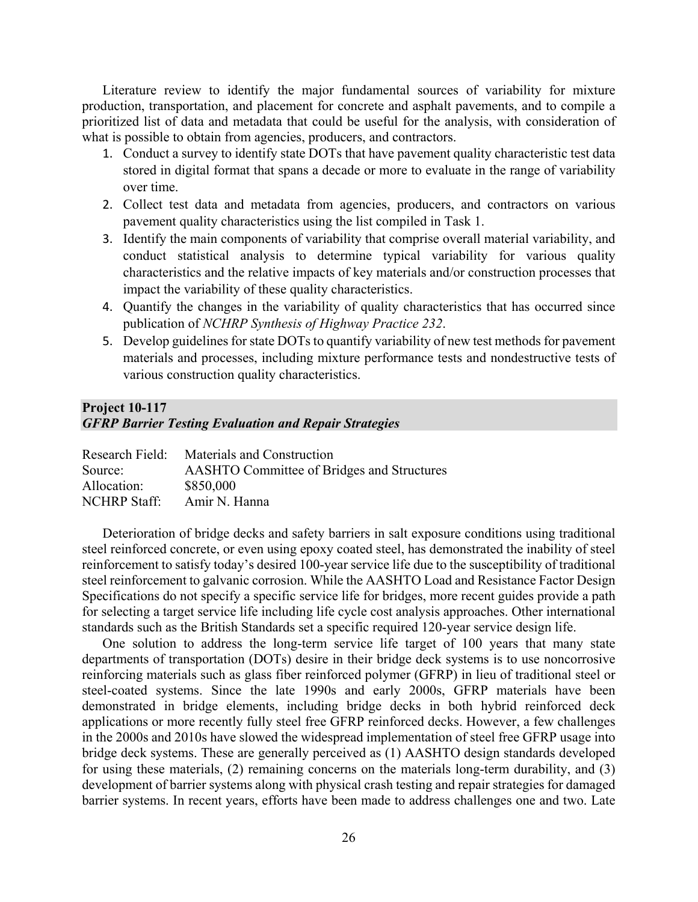Literature review to identify the major fundamental sources of variability for mixture production, transportation, and placement for concrete and asphalt pavements, and to compile a prioritized list of data and metadata that could be useful for the analysis, with consideration of what is possible to obtain from agencies, producers, and contractors.

- 1. Conduct a survey to identify state DOTs that have pavement quality characteristic test data stored in digital format that spans a decade or more to evaluate in the range of variability over time.
- 2. Collect test data and metadata from agencies, producers, and contractors on various pavement quality characteristics using the list compiled in Task 1.
- 3. Identify the main components of variability that comprise overall material variability, and conduct statistical analysis to determine typical variability for various quality characteristics and the relative impacts of key materials and/or construction processes that impact the variability of these quality characteristics.
- 4. Quantify the changes in the variability of quality characteristics that has occurred since publication of *NCHRP Synthesis of Highway Practice 232*.
- 5. Develop guidelines for state DOTs to quantify variability of new test methods for pavement materials and processes, including mixture performance tests and nondestructive tests of various construction quality characteristics.

# **Project 10-117**  *GFRP Barrier Testing Evaluation and Repair Strategies*

| Research Field:     | Materials and Construction                        |
|---------------------|---------------------------------------------------|
| Source:             | <b>AASHTO Committee of Bridges and Structures</b> |
| Allocation:         | \$850,000                                         |
| <b>NCHRP</b> Staff: | Amir N. Hanna                                     |

Deterioration of bridge decks and safety barriers in salt exposure conditions using traditional steel reinforced concrete, or even using epoxy coated steel, has demonstrated the inability of steel reinforcement to satisfy today's desired 100-year service life due to the susceptibility of traditional steel reinforcement to galvanic corrosion. While the AASHTO Load and Resistance Factor Design Specifications do not specify a specific service life for bridges, more recent guides provide a path for selecting a target service life including life cycle cost analysis approaches. Other international standards such as the British Standards set a specific required 120-year service design life.

One solution to address the long-term service life target of 100 years that many state departments of transportation (DOTs) desire in their bridge deck systems is to use noncorrosive reinforcing materials such as glass fiber reinforced polymer (GFRP) in lieu of traditional steel or steel-coated systems. Since the late 1990s and early 2000s, GFRP materials have been demonstrated in bridge elements, including bridge decks in both hybrid reinforced deck applications or more recently fully steel free GFRP reinforced decks. However, a few challenges in the 2000s and 2010s have slowed the widespread implementation of steel free GFRP usage into bridge deck systems. These are generally perceived as (1) AASHTO design standards developed for using these materials, (2) remaining concerns on the materials long-term durability, and (3) development of barrier systems along with physical crash testing and repair strategies for damaged barrier systems. In recent years, efforts have been made to address challenges one and two. Late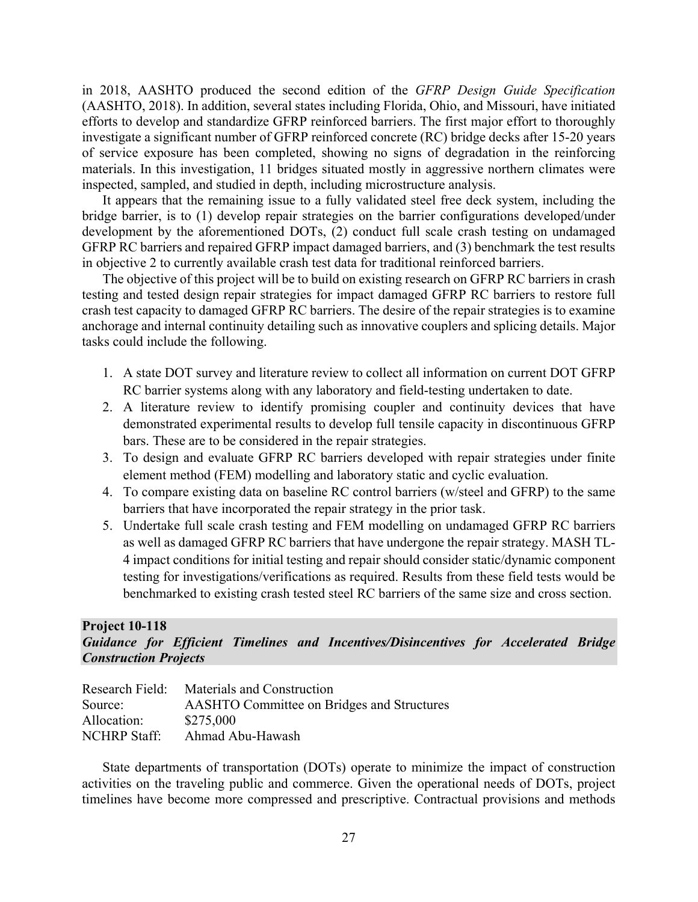in 2018, AASHTO produced the second edition of the *GFRP Design Guide Specification* (AASHTO, 2018). In addition, several states including Florida, Ohio, and Missouri, have initiated efforts to develop and standardize GFRP reinforced barriers. The first major effort to thoroughly investigate a significant number of GFRP reinforced concrete (RC) bridge decks after 15-20 years of service exposure has been completed, showing no signs of degradation in the reinforcing materials. In this investigation, 11 bridges situated mostly in aggressive northern climates were inspected, sampled, and studied in depth, including microstructure analysis.

It appears that the remaining issue to a fully validated steel free deck system, including the bridge barrier, is to (1) develop repair strategies on the barrier configurations developed/under development by the aforementioned DOTs, (2) conduct full scale crash testing on undamaged GFRP RC barriers and repaired GFRP impact damaged barriers, and (3) benchmark the test results in objective 2 to currently available crash test data for traditional reinforced barriers.

The objective of this project will be to build on existing research on GFRP RC barriers in crash testing and tested design repair strategies for impact damaged GFRP RC barriers to restore full crash test capacity to damaged GFRP RC barriers. The desire of the repair strategies is to examine anchorage and internal continuity detailing such as innovative couplers and splicing details. Major tasks could include the following.

- 1. A state DOT survey and literature review to collect all information on current DOT GFRP RC barrier systems along with any laboratory and field-testing undertaken to date.
- 2. A literature review to identify promising coupler and continuity devices that have demonstrated experimental results to develop full tensile capacity in discontinuous GFRP bars. These are to be considered in the repair strategies.
- 3. To design and evaluate GFRP RC barriers developed with repair strategies under finite element method (FEM) modelling and laboratory static and cyclic evaluation.
- 4. To compare existing data on baseline RC control barriers (w/steel and GFRP) to the same barriers that have incorporated the repair strategy in the prior task.
- 5. Undertake full scale crash testing and FEM modelling on undamaged GFRP RC barriers as well as damaged GFRP RC barriers that have undergone the repair strategy. MASH TL-4 impact conditions for initial testing and repair should consider static/dynamic component testing for investigations/verifications as required. Results from these field tests would be benchmarked to existing crash tested steel RC barriers of the same size and cross section.

#### **Project 10-118**

## *Guidance for Efficient Timelines and Incentives/Disincentives for Accelerated Bridge Construction Projects*

| Research Field:     | Materials and Construction                        |
|---------------------|---------------------------------------------------|
| Source:             | <b>AASHTO Committee on Bridges and Structures</b> |
| Allocation:         | \$275,000                                         |
| <b>NCHRP Staff:</b> | Ahmad Abu-Hawash                                  |

State departments of transportation (DOTs) operate to minimize the impact of construction activities on the traveling public and commerce. Given the operational needs of DOTs, project timelines have become more compressed and prescriptive. Contractual provisions and methods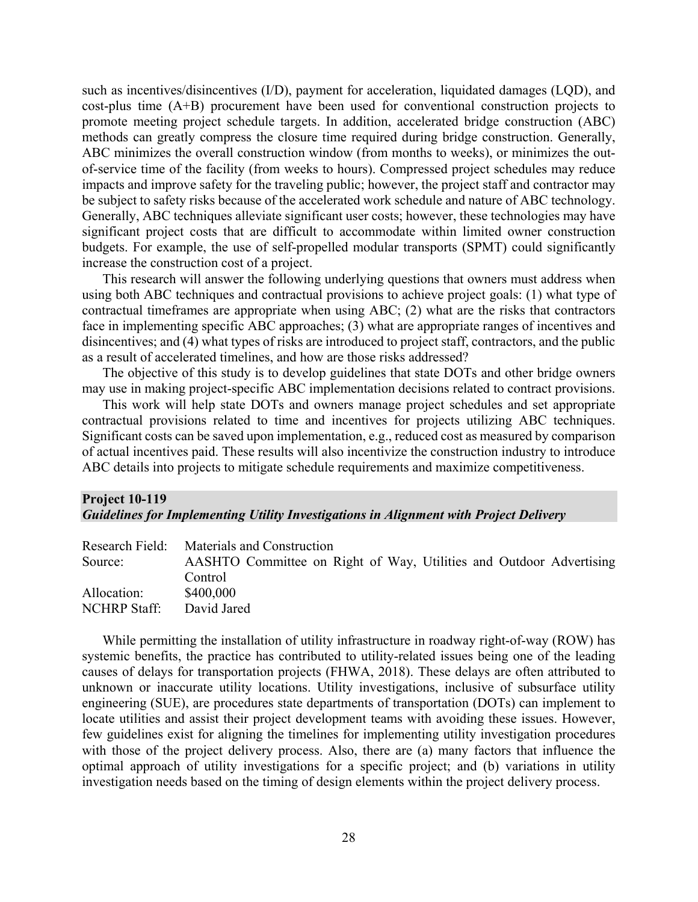such as incentives/disincentives (I/D), payment for acceleration, liquidated damages (LQD), and cost-plus time (A+B) procurement have been used for conventional construction projects to promote meeting project schedule targets. In addition, accelerated bridge construction (ABC) methods can greatly compress the closure time required during bridge construction. Generally, ABC minimizes the overall construction window (from months to weeks), or minimizes the outof-service time of the facility (from weeks to hours). Compressed project schedules may reduce impacts and improve safety for the traveling public; however, the project staff and contractor may be subject to safety risks because of the accelerated work schedule and nature of ABC technology. Generally, ABC techniques alleviate significant user costs; however, these technologies may have significant project costs that are difficult to accommodate within limited owner construction budgets. For example, the use of self-propelled modular transports (SPMT) could significantly increase the construction cost of a project.

This research will answer the following underlying questions that owners must address when using both ABC techniques and contractual provisions to achieve project goals: (1) what type of contractual timeframes are appropriate when using ABC; (2) what are the risks that contractors face in implementing specific ABC approaches; (3) what are appropriate ranges of incentives and disincentives; and (4) what types of risks are introduced to project staff, contractors, and the public as a result of accelerated timelines, and how are those risks addressed?

The objective of this study is to develop guidelines that state DOTs and other bridge owners may use in making project-specific ABC implementation decisions related to contract provisions.

This work will help state DOTs and owners manage project schedules and set appropriate contractual provisions related to time and incentives for projects utilizing ABC techniques. Significant costs can be saved upon implementation, e.g., reduced cost as measured by comparison of actual incentives paid. These results will also incentivize the construction industry to introduce ABC details into projects to mitigate schedule requirements and maximize competitiveness.

## **Project 10-119**  *Guidelines for Implementing Utility Investigations in Alignment with Project Delivery*

|              | Research Field: Materials and Construction                          |  |  |
|--------------|---------------------------------------------------------------------|--|--|
| Source:      | AASHTO Committee on Right of Way, Utilities and Outdoor Advertising |  |  |
|              | Control                                                             |  |  |
| Allocation:  | \$400,000                                                           |  |  |
| NCHRP Staff: | David Jared                                                         |  |  |

While permitting the installation of utility infrastructure in roadway right-of-way (ROW) has systemic benefits, the practice has contributed to utility-related issues being one of the leading causes of delays for transportation projects (FHWA, 2018). These delays are often attributed to unknown or inaccurate utility locations. Utility investigations, inclusive of subsurface utility engineering (SUE), are procedures state departments of transportation (DOTs) can implement to locate utilities and assist their project development teams with avoiding these issues. However, few guidelines exist for aligning the timelines for implementing utility investigation procedures with those of the project delivery process. Also, there are (a) many factors that influence the optimal approach of utility investigations for a specific project; and (b) variations in utility investigation needs based on the timing of design elements within the project delivery process.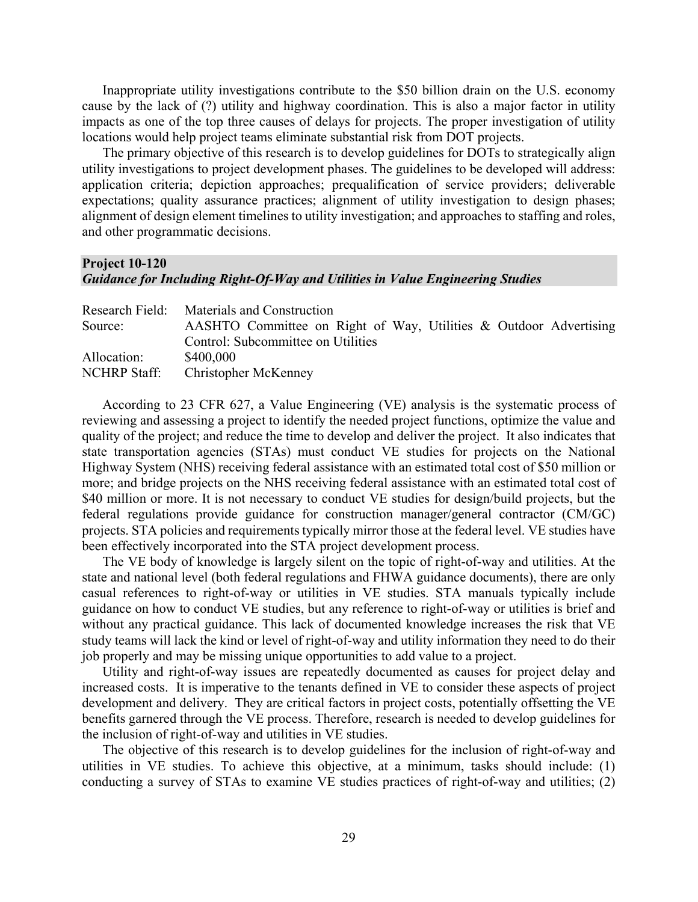Inappropriate utility investigations contribute to the \$50 billion drain on the U.S. economy cause by the lack of (?) utility and highway coordination. This is also a major factor in utility impacts as one of the top three causes of delays for projects. The proper investigation of utility locations would help project teams eliminate substantial risk from DOT projects.

The primary objective of this research is to develop guidelines for DOTs to strategically align utility investigations to project development phases. The guidelines to be developed will address: application criteria; depiction approaches; prequalification of service providers; deliverable expectations; quality assurance practices; alignment of utility investigation to design phases; alignment of design element timelines to utility investigation; and approaches to staffing and roles, and other programmatic decisions.

## **Project 10-120** *Guidance for Including Right-Of-Way and Utilities in Value Engineering Studies*

|              | Research Field: Materials and Construction                        |
|--------------|-------------------------------------------------------------------|
| Source:      | AASHTO Committee on Right of Way, Utilities & Outdoor Advertising |
|              | Control: Subcommittee on Utilities                                |
| Allocation:  | \$400,000                                                         |
| NCHRP Staff: | <b>Christopher McKenney</b>                                       |

According to 23 CFR 627, a Value Engineering (VE) analysis is the systematic process of reviewing and assessing a project to identify the needed project functions, optimize the value and quality of the project; and reduce the time to develop and deliver the project. It also indicates that state transportation agencies (STAs) must conduct VE studies for projects on the National Highway System (NHS) receiving federal assistance with an estimated total cost of \$50 million or more; and bridge projects on the NHS receiving federal assistance with an estimated total cost of \$40 million or more. It is not necessary to conduct VE studies for design/build projects, but the federal regulations provide guidance for construction manager/general contractor (CM/GC) projects. STA policies and requirements typically mirror those at the federal level. VE studies have been effectively incorporated into the STA project development process.

The VE body of knowledge is largely silent on the topic of right-of-way and utilities. At the state and national level (both federal regulations and FHWA guidance documents), there are only casual references to right-of-way or utilities in VE studies. STA manuals typically include guidance on how to conduct VE studies, but any reference to right-of-way or utilities is brief and without any practical guidance. This lack of documented knowledge increases the risk that VE study teams will lack the kind or level of right-of-way and utility information they need to do their job properly and may be missing unique opportunities to add value to a project.

Utility and right-of-way issues are repeatedly documented as causes for project delay and increased costs. It is imperative to the tenants defined in VE to consider these aspects of project development and delivery. They are critical factors in project costs, potentially offsetting the VE benefits garnered through the VE process. Therefore, research is needed to develop guidelines for the inclusion of right-of-way and utilities in VE studies.

The objective of this research is to develop guidelines for the inclusion of right-of-way and utilities in VE studies. To achieve this objective, at a minimum, tasks should include: (1) conducting a survey of STAs to examine VE studies practices of right-of-way and utilities; (2)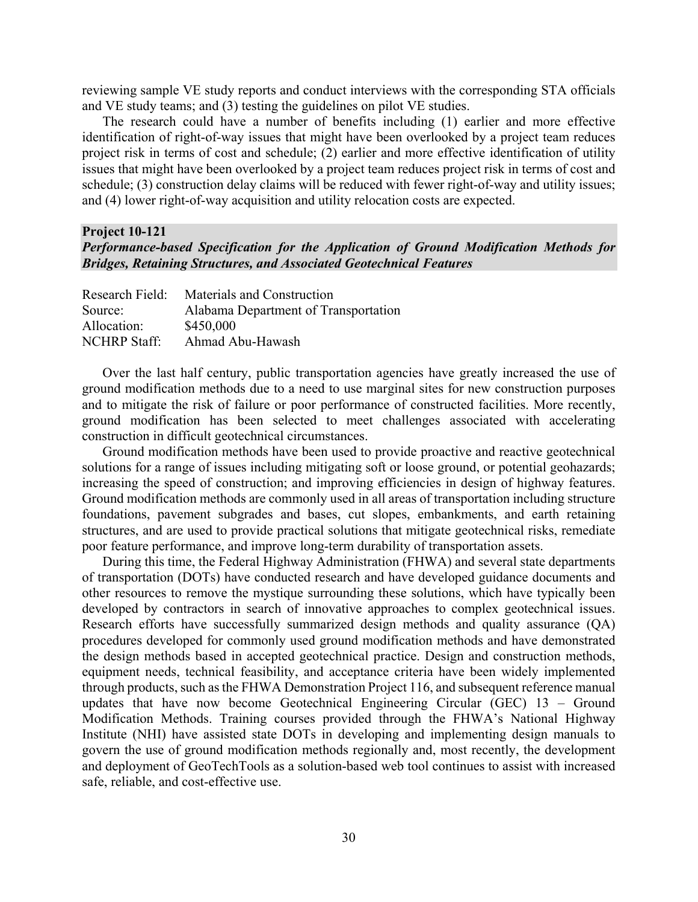reviewing sample VE study reports and conduct interviews with the corresponding STA officials and VE study teams; and (3) testing the guidelines on pilot VE studies.

The research could have a number of benefits including (1) earlier and more effective identification of right-of-way issues that might have been overlooked by a project team reduces project risk in terms of cost and schedule; (2) earlier and more effective identification of utility issues that might have been overlooked by a project team reduces project risk in terms of cost and schedule; (3) construction delay claims will be reduced with fewer right-of-way and utility issues; and (4) lower right-of-way acquisition and utility relocation costs are expected.

#### **Project 10-121** *Performance-based Specification for the Application of Ground Modification Methods for Bridges, Retaining Structures, and Associated Geotechnical Features*

| Research Field:     | Materials and Construction           |
|---------------------|--------------------------------------|
| Source:             | Alabama Department of Transportation |
| Allocation:         | \$450,000                            |
| <b>NCHRP Staff:</b> | Ahmad Abu-Hawash                     |

Over the last half century, public transportation agencies have greatly increased the use of ground modification methods due to a need to use marginal sites for new construction purposes and to mitigate the risk of failure or poor performance of constructed facilities. More recently, ground modification has been selected to meet challenges associated with accelerating construction in difficult geotechnical circumstances.

Ground modification methods have been used to provide proactive and reactive geotechnical solutions for a range of issues including mitigating soft or loose ground, or potential geohazards; increasing the speed of construction; and improving efficiencies in design of highway features. Ground modification methods are commonly used in all areas of transportation including structure foundations, pavement subgrades and bases, cut slopes, embankments, and earth retaining structures, and are used to provide practical solutions that mitigate geotechnical risks, remediate poor feature performance, and improve long-term durability of transportation assets.

During this time, the Federal Highway Administration (FHWA) and several state departments of transportation (DOTs) have conducted research and have developed guidance documents and other resources to remove the mystique surrounding these solutions, which have typically been developed by contractors in search of innovative approaches to complex geotechnical issues. Research efforts have successfully summarized design methods and quality assurance (QA) procedures developed for commonly used ground modification methods and have demonstrated the design methods based in accepted geotechnical practice. Design and construction methods, equipment needs, technical feasibility, and acceptance criteria have been widely implemented through products, such as the FHWA Demonstration Project 116, and subsequent reference manual updates that have now become Geotechnical Engineering Circular (GEC) 13 – Ground Modification Methods. Training courses provided through the FHWA's National Highway Institute (NHI) have assisted state DOTs in developing and implementing design manuals to govern the use of ground modification methods regionally and, most recently, the development and deployment of GeoTechTools as a solution-based web tool continues to assist with increased safe, reliable, and cost-effective use.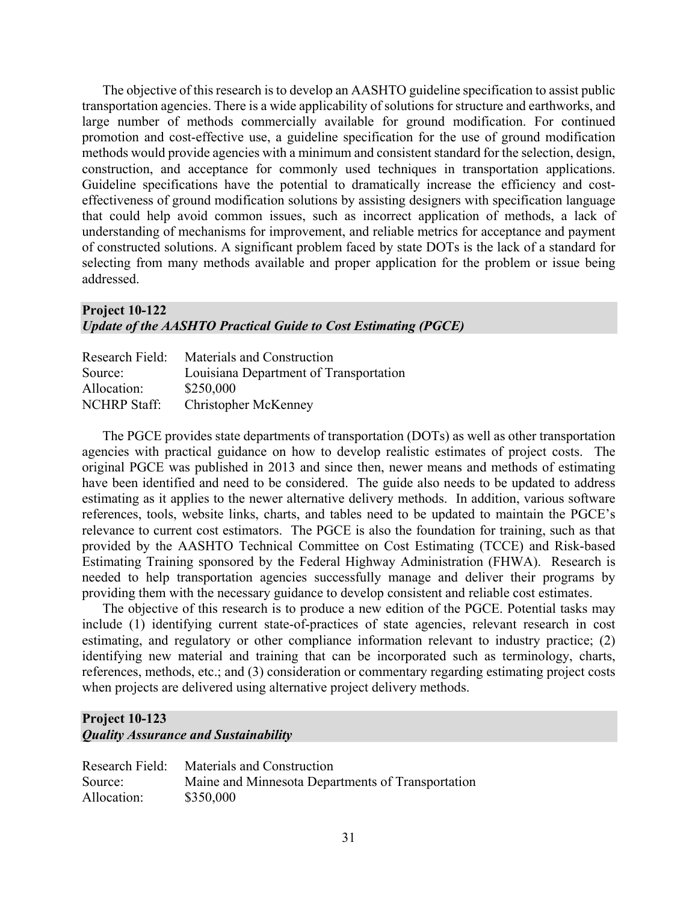The objective of this research is to develop an AASHTO guideline specification to assist public transportation agencies. There is a wide applicability of solutions for structure and earthworks, and large number of methods commercially available for ground modification. For continued promotion and cost-effective use, a guideline specification for the use of ground modification methods would provide agencies with a minimum and consistent standard for the selection, design, construction, and acceptance for commonly used techniques in transportation applications. Guideline specifications have the potential to dramatically increase the efficiency and costeffectiveness of ground modification solutions by assisting designers with specification language that could help avoid common issues, such as incorrect application of methods, a lack of understanding of mechanisms for improvement, and reliable metrics for acceptance and payment of constructed solutions. A significant problem faced by state DOTs is the lack of a standard for selecting from many methods available and proper application for the problem or issue being addressed.

## **Project 10-122**  *Update of the AASHTO Practical Guide to Cost Estimating (PGCE)*

| Research Field:     | Materials and Construction             |
|---------------------|----------------------------------------|
| Source:             | Louisiana Department of Transportation |
| Allocation:         | \$250,000                              |
| <b>NCHRP</b> Staff: | Christopher McKenney                   |

The PGCE provides state departments of transportation (DOTs) as well as other transportation agencies with practical guidance on how to develop realistic estimates of project costs. The original PGCE was published in 2013 and since then, newer means and methods of estimating have been identified and need to be considered. The guide also needs to be updated to address estimating as it applies to the newer alternative delivery methods. In addition, various software references, tools, website links, charts, and tables need to be updated to maintain the PGCE's relevance to current cost estimators. The PGCE is also the foundation for training, such as that provided by the AASHTO Technical Committee on Cost Estimating (TCCE) and Risk-based Estimating Training sponsored by the Federal Highway Administration (FHWA). Research is needed to help transportation agencies successfully manage and deliver their programs by providing them with the necessary guidance to develop consistent and reliable cost estimates.

The objective of this research is to produce a new edition of the PGCE. Potential tasks may include (1) identifying current state-of-practices of state agencies, relevant research in cost estimating, and regulatory or other compliance information relevant to industry practice; (2) identifying new material and training that can be incorporated such as terminology, charts, references, methods, etc.; and (3) consideration or commentary regarding estimating project costs when projects are delivered using alternative project delivery methods.

#### **Project 10-123**  *Quality Assurance and Sustainability*

| Research Field: | Materials and Construction                        |
|-----------------|---------------------------------------------------|
| Source:         | Maine and Minnesota Departments of Transportation |
| Allocation:     | \$350,000                                         |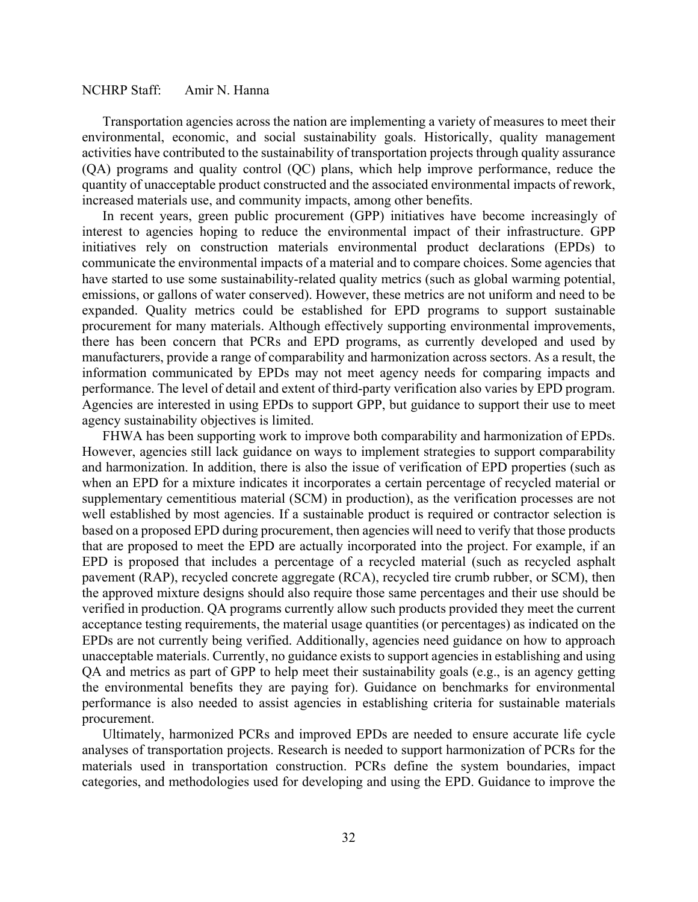#### NCHRP Staff: Amir N. Hanna

Transportation agencies across the nation are implementing a variety of measures to meet their environmental, economic, and social sustainability goals. Historically, quality management activities have contributed to the sustainability of transportation projects through quality assurance (QA) programs and quality control (QC) plans, which help improve performance, reduce the quantity of unacceptable product constructed and the associated environmental impacts of rework, increased materials use, and community impacts, among other benefits.

In recent years, green public procurement (GPP) initiatives have become increasingly of interest to agencies hoping to reduce the environmental impact of their infrastructure. GPP initiatives rely on construction materials environmental product declarations (EPDs) to communicate the environmental impacts of a material and to compare choices. Some agencies that have started to use some sustainability-related quality metrics (such as global warming potential, emissions, or gallons of water conserved). However, these metrics are not uniform and need to be expanded. Quality metrics could be established for EPD programs to support sustainable procurement for many materials. Although effectively supporting environmental improvements, there has been concern that PCRs and EPD programs, as currently developed and used by manufacturers, provide a range of comparability and harmonization across sectors. As a result, the information communicated by EPDs may not meet agency needs for comparing impacts and performance. The level of detail and extent of third-party verification also varies by EPD program. Agencies are interested in using EPDs to support GPP, but guidance to support their use to meet agency sustainability objectives is limited.

FHWA has been supporting work to improve both comparability and harmonization of EPDs. However, agencies still lack guidance on ways to implement strategies to support comparability and harmonization. In addition, there is also the issue of verification of EPD properties (such as when an EPD for a mixture indicates it incorporates a certain percentage of recycled material or supplementary cementitious material (SCM) in production), as the verification processes are not well established by most agencies. If a sustainable product is required or contractor selection is based on a proposed EPD during procurement, then agencies will need to verify that those products that are proposed to meet the EPD are actually incorporated into the project. For example, if an EPD is proposed that includes a percentage of a recycled material (such as recycled asphalt pavement (RAP), recycled concrete aggregate (RCA), recycled tire crumb rubber, or SCM), then the approved mixture designs should also require those same percentages and their use should be verified in production. QA programs currently allow such products provided they meet the current acceptance testing requirements, the material usage quantities (or percentages) as indicated on the EPDs are not currently being verified. Additionally, agencies need guidance on how to approach unacceptable materials. Currently, no guidance exists to support agencies in establishing and using QA and metrics as part of GPP to help meet their sustainability goals (e.g., is an agency getting the environmental benefits they are paying for). Guidance on benchmarks for environmental performance is also needed to assist agencies in establishing criteria for sustainable materials procurement.

Ultimately, harmonized PCRs and improved EPDs are needed to ensure accurate life cycle analyses of transportation projects. Research is needed to support harmonization of PCRs for the materials used in transportation construction. PCRs define the system boundaries, impact categories, and methodologies used for developing and using the EPD. Guidance to improve the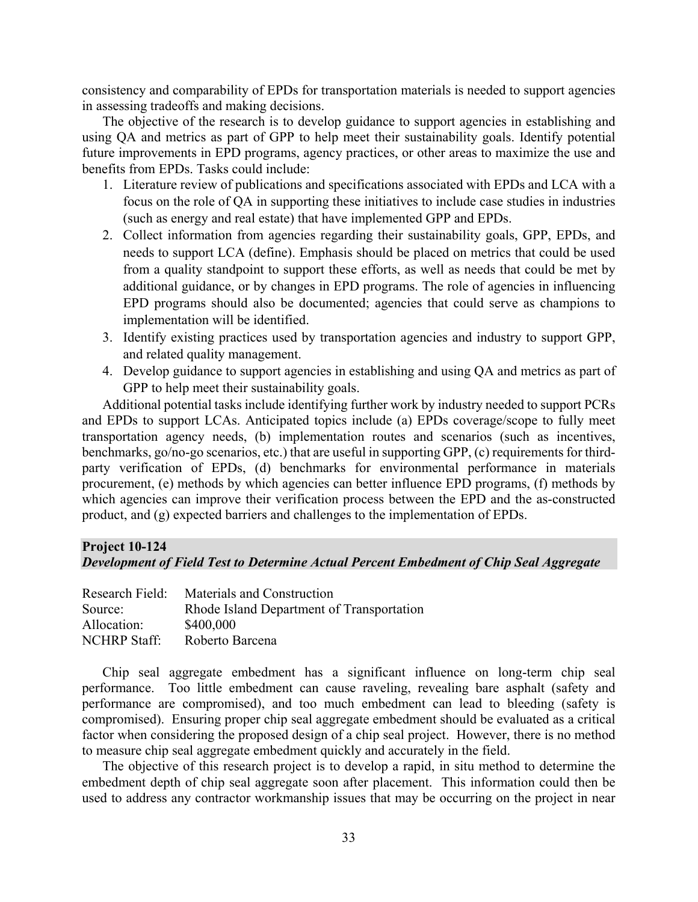consistency and comparability of EPDs for transportation materials is needed to support agencies in assessing tradeoffs and making decisions.

The objective of the research is to develop guidance to support agencies in establishing and using QA and metrics as part of GPP to help meet their sustainability goals. Identify potential future improvements in EPD programs, agency practices, or other areas to maximize the use and benefits from EPDs. Tasks could include:

- 1. Literature review of publications and specifications associated with EPDs and LCA with a focus on the role of QA in supporting these initiatives to include case studies in industries (such as energy and real estate) that have implemented GPP and EPDs.
- 2. Collect information from agencies regarding their sustainability goals, GPP, EPDs, and needs to support LCA (define). Emphasis should be placed on metrics that could be used from a quality standpoint to support these efforts, as well as needs that could be met by additional guidance, or by changes in EPD programs. The role of agencies in influencing EPD programs should also be documented; agencies that could serve as champions to implementation will be identified.
- 3. Identify existing practices used by transportation agencies and industry to support GPP, and related quality management.
- 4. Develop guidance to support agencies in establishing and using QA and metrics as part of GPP to help meet their sustainability goals.

Additional potential tasks include identifying further work by industry needed to support PCRs and EPDs to support LCAs. Anticipated topics include (a) EPDs coverage/scope to fully meet transportation agency needs, (b) implementation routes and scenarios (such as incentives, benchmarks, go/no-go scenarios, etc.) that are useful in supporting GPP, (c) requirements for thirdparty verification of EPDs, (d) benchmarks for environmental performance in materials procurement, (e) methods by which agencies can better influence EPD programs, (f) methods by which agencies can improve their verification process between the EPD and the as-constructed product, and (g) expected barriers and challenges to the implementation of EPDs.

#### **Project 10-124**

*Development of Field Test to Determine Actual Percent Embedment of Chip Seal Aggregate*

| Research Field:     | Materials and Construction                |
|---------------------|-------------------------------------------|
| Source:             | Rhode Island Department of Transportation |
| Allocation:         | \$400,000                                 |
| <b>NCHRP</b> Staff: | Roberto Barcena                           |

Chip seal aggregate embedment has a significant influence on long-term chip seal performance. Too little embedment can cause raveling, revealing bare asphalt (safety and performance are compromised), and too much embedment can lead to bleeding (safety is compromised). Ensuring proper chip seal aggregate embedment should be evaluated as a critical factor when considering the proposed design of a chip seal project. However, there is no method to measure chip seal aggregate embedment quickly and accurately in the field.

The objective of this research project is to develop a rapid, in situ method to determine the embedment depth of chip seal aggregate soon after placement. This information could then be used to address any contractor workmanship issues that may be occurring on the project in near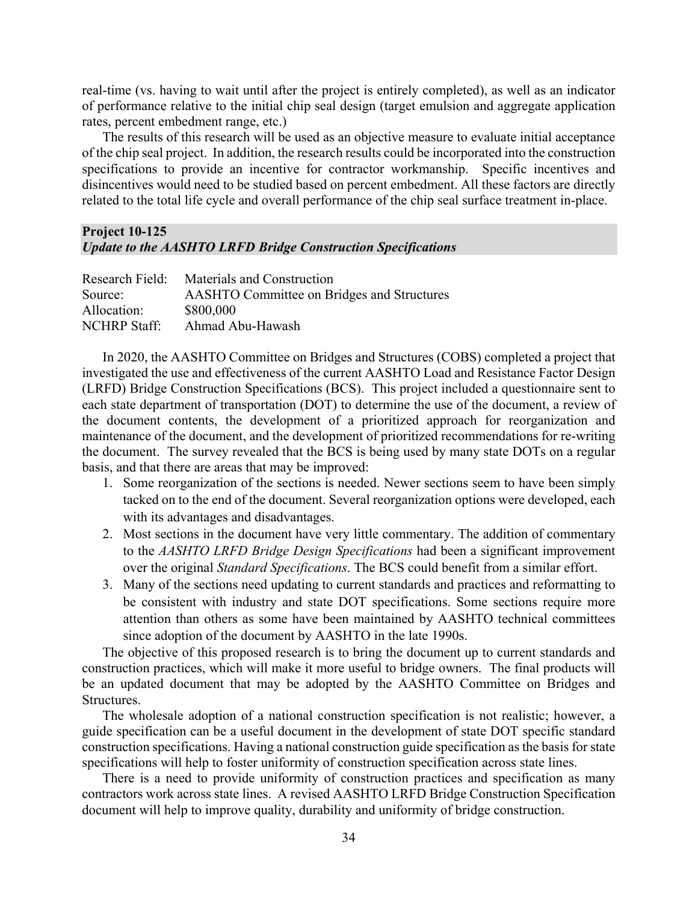real-time (vs. having to wait until after the project is entirely completed), as well as an indicator of performance relative to the initial chip seal design (target emulsion and aggregate application rates, percent embedment range, etc.)

The results of this research will be used as an objective measure to evaluate initial acceptance of the chip seal project. In addition, the research results could be incorporated into the construction specifications to provide an incentive for contractor workmanship. Specific incentives and disincentives would need to be studied based on percent embedment. All these factors are directly related to the total life cycle and overall performance of the chip seal surface treatment in-place.

#### **Project 10-125** *Update to the AASHTO LRFD Bridge Construction Specifications*

| Research Field:     | Materials and Construction                 |
|---------------------|--------------------------------------------|
| Source:             | AASHTO Committee on Bridges and Structures |
| Allocation:         | \$800,000                                  |
| <b>NCHRP</b> Staff: | Ahmad Abu-Hawash                           |

In 2020, the AASHTO Committee on Bridges and Structures (COBS) completed a project that investigated the use and effectiveness of the current AASHTO Load and Resistance Factor Design (LRFD) Bridge Construction Specifications (BCS). This project included a questionnaire sent to each state department of transportation (DOT) to determine the use of the document, a review of the document contents, the development of a prioritized approach for reorganization and maintenance of the document, and the development of prioritized recommendations for re-writing the document. The survey revealed that the BCS is being used by many state DOTs on a regular basis, and that there are areas that may be improved:

- 1. Some reorganization of the sections is needed. Newer sections seem to have been simply tacked on to the end of the document. Several reorganization options were developed, each with its advantages and disadvantages.
- 2. Most sections in the document have very little commentary. The addition of commentary to the *AASHTO LRFD Bridge Design Specifications* had been a significant improvement over the original *Standard Specifications*. The BCS could benefit from a similar effort.
- 3. Many of the sections need updating to current standards and practices and reformatting to be consistent with industry and state DOT specifications. Some sections require more attention than others as some have been maintained by AASHTO technical committees since adoption of the document by AASHTO in the late 1990s.

The objective of this proposed research is to bring the document up to current standards and construction practices, which will make it more useful to bridge owners. The final products will be an updated document that may be adopted by the AASHTO Committee on Bridges and Structures.

The wholesale adoption of a national construction specification is not realistic; however, a guide specification can be a useful document in the development of state DOT specific standard construction specifications. Having a national construction guide specification as the basis for state specifications will help to foster uniformity of construction specification across state lines.

There is a need to provide uniformity of construction practices and specification as many contractors work across state lines. A revised AASHTO LRFD Bridge Construction Specification document will help to improve quality, durability and uniformity of bridge construction.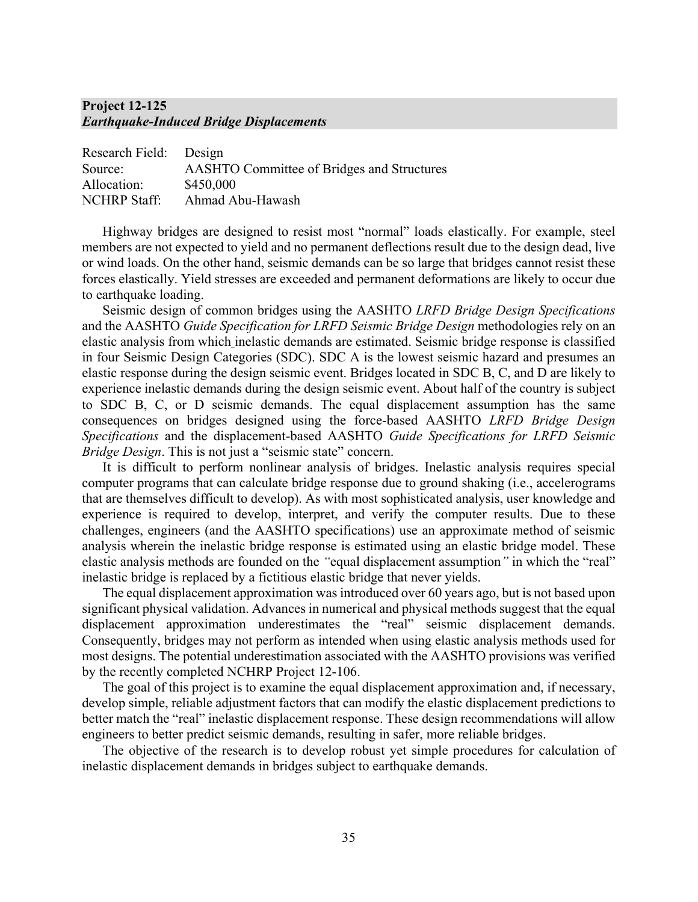## **Project 12-125** *Earthquake-Induced Bridge Displacements*

| Research Field: Design |                                                   |
|------------------------|---------------------------------------------------|
| Source:                | <b>AASHTO Committee of Bridges and Structures</b> |
| Allocation:            | \$450,000                                         |
| <b>NCHRP</b> Staff:    | Ahmad Abu-Hawash                                  |

Highway bridges are designed to resist most "normal" loads elastically. For example, steel members are not expected to yield and no permanent deflections result due to the design dead, live or wind loads. On the other hand, seismic demands can be so large that bridges cannot resist these forces elastically. Yield stresses are exceeded and permanent deformations are likely to occur due to earthquake loading.

Seismic design of common bridges using the AASHTO *LRFD Bridge Design Specifications* and the AASHTO *Guide Specification for LRFD Seismic Bridge Design* methodologies rely on an elastic analysis from which inelastic demands are estimated. Seismic bridge response is classified in four Seismic Design Categories (SDC). SDC A is the lowest seismic hazard and presumes an elastic response during the design seismic event. Bridges located in SDC B, C, and D are likely to experience inelastic demands during the design seismic event. About half of the country is subject to SDC B, C, or D seismic demands. The equal displacement assumption has the same consequences on bridges designed using the force-based AASHTO *LRFD Bridge Design Specifications* and the displacement-based AASHTO *Guide Specifications for LRFD Seismic Bridge Design*. This is not just a "seismic state" concern.

It is difficult to perform nonlinear analysis of bridges. Inelastic analysis requires special computer programs that can calculate bridge response due to ground shaking (i.e., accelerograms that are themselves difficult to develop). As with most sophisticated analysis, user knowledge and experience is required to develop, interpret, and verify the computer results. Due to these challenges, engineers (and the AASHTO specifications) use an approximate method of seismic analysis wherein the inelastic bridge response is estimated using an elastic bridge model. These elastic analysis methods are founded on the *"*equal displacement assumption*"* in which the "real" inelastic bridge is replaced by a fictitious elastic bridge that never yields.

The equal displacement approximation was introduced over 60 years ago, but is not based upon significant physical validation. Advances in numerical and physical methods suggest that the equal displacement approximation underestimates the "real" seismic displacement demands. Consequently, bridges may not perform as intended when using elastic analysis methods used for most designs. The potential underestimation associated with the AASHTO provisions was verified by the recently completed NCHRP Project 12-106.

The goal of this project is to examine the equal displacement approximation and, if necessary, develop simple, reliable adjustment factors that can modify the elastic displacement predictions to better match the "real" inelastic displacement response. These design recommendations will allow engineers to better predict seismic demands, resulting in safer, more reliable bridges.

The objective of the research is to develop robust yet simple procedures for calculation of inelastic displacement demands in bridges subject to earthquake demands.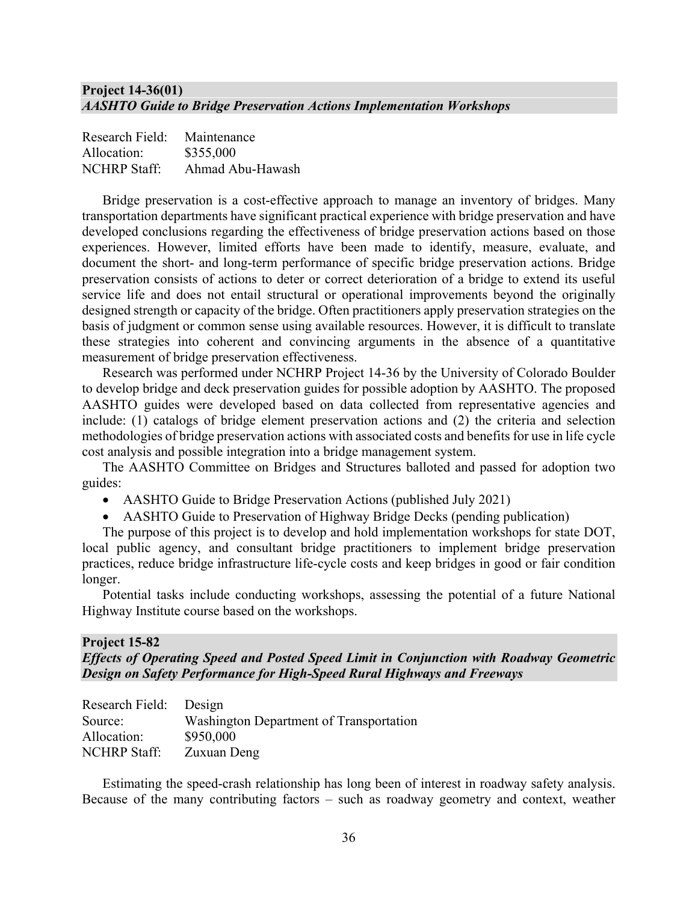## **Project 14-36(01)** *AASHTO Guide to Bridge Preservation Actions Implementation Workshops*

| Research Field:     | Maintenance      |
|---------------------|------------------|
| Allocation:         | \$355,000        |
| <b>NCHRP Staff:</b> | Ahmad Abu-Hawash |

Bridge preservation is a cost-effective approach to manage an inventory of bridges. Many transportation departments have significant practical experience with bridge preservation and have developed conclusions regarding the effectiveness of bridge preservation actions based on those experiences. However, limited efforts have been made to identify, measure, evaluate, and document the short- and long-term performance of specific bridge preservation actions. Bridge preservation consists of actions to deter or correct deterioration of a bridge to extend its useful service life and does not entail structural or operational improvements beyond the originally designed strength or capacity of the bridge. Often practitioners apply preservation strategies on the basis of judgment or common sense using available resources. However, it is difficult to translate these strategies into coherent and convincing arguments in the absence of a quantitative measurement of bridge preservation effectiveness.

Research was performed under NCHRP Project 14-36 by the University of Colorado Boulder to develop bridge and deck preservation guides for possible adoption by AASHTO. The proposed AASHTO guides were developed based on data collected from representative agencies and include: (1) catalogs of bridge element preservation actions and (2) the criteria and selection methodologies of bridge preservation actions with associated costs and benefits for use in life cycle cost analysis and possible integration into a bridge management system.

The AASHTO Committee on Bridges and Structures balloted and passed for adoption two guides:

- AASHTO Guide to Bridge Preservation Actions (published July 2021)
- AASHTO Guide to Preservation of Highway Bridge Decks (pending publication)

The purpose of this project is to develop and hold implementation workshops for state DOT, local public agency, and consultant bridge practitioners to implement bridge preservation practices, reduce bridge infrastructure life-cycle costs and keep bridges in good or fair condition longer.

Potential tasks include conducting workshops, assessing the potential of a future National Highway Institute course based on the workshops.

#### **Project 15-82**

## *Effects of Operating Speed and Posted Speed Limit in Conjunction with Roadway Geometric Design on Safety Performance for High-Speed Rural Highways and Freeways*

| Research Field: Design                  |
|-----------------------------------------|
| Washington Department of Transportation |
| \$950,000                               |
| Zuxuan Deng                             |
|                                         |

Estimating the speed-crash relationship has long been of interest in roadway safety analysis. Because of the many contributing factors – such as roadway geometry and context, weather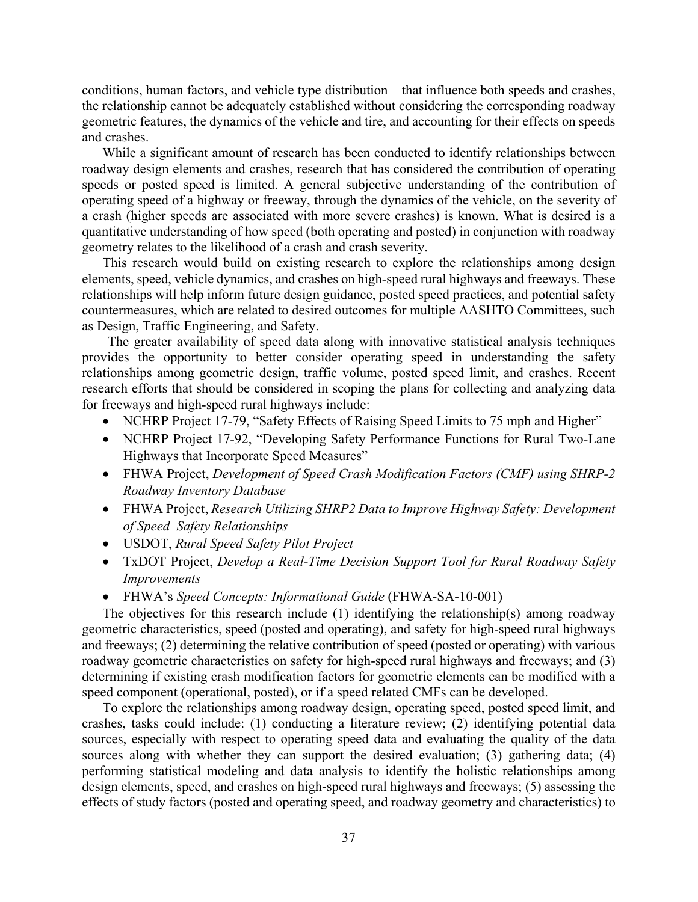conditions, human factors, and vehicle type distribution – that influence both speeds and crashes, the relationship cannot be adequately established without considering the corresponding roadway geometric features, the dynamics of the vehicle and tire, and accounting for their effects on speeds and crashes.

While a significant amount of research has been conducted to identify relationships between roadway design elements and crashes, research that has considered the contribution of operating speeds or posted speed is limited. A general subjective understanding of the contribution of operating speed of a highway or freeway, through the dynamics of the vehicle, on the severity of a crash (higher speeds are associated with more severe crashes) is known. What is desired is a quantitative understanding of how speed (both operating and posted) in conjunction with roadway geometry relates to the likelihood of a crash and crash severity.

This research would build on existing research to explore the relationships among design elements, speed, vehicle dynamics, and crashes on high-speed rural highways and freeways. These relationships will help inform future design guidance, posted speed practices, and potential safety countermeasures, which are related to desired outcomes for multiple AASHTO Committees, such as Design, Traffic Engineering, and Safety.

The greater availability of speed data along with innovative statistical analysis techniques provides the opportunity to better consider operating speed in understanding the safety relationships among geometric design, traffic volume, posted speed limit, and crashes. Recent research efforts that should be considered in scoping the plans for collecting and analyzing data for freeways and high-speed rural highways include:

- NCHRP Project 17-79, "Safety Effects of Raising Speed Limits to 75 mph and Higher"
- NCHRP Project 17-92, "Developing Safety Performance Functions for Rural Two-Lane Highways that Incorporate Speed Measures"
- FHWA Project, *Development of Speed Crash Modification Factors (CMF) using SHRP-2 Roadway Inventory Database*
- FHWA Project, *Research Utilizing SHRP2 Data to Improve Highway Safety: Development of Speed–Safety Relationships*
- USDOT, *Rural Speed Safety Pilot Project*
- TxDOT Project, *Develop a Real-Time Decision Support Tool for Rural Roadway Safety Improvements*
- FHWA's *Speed Concepts: Informational Guide* (FHWA-SA-10-001)

The objectives for this research include (1) identifying the relationship(s) among roadway geometric characteristics, speed (posted and operating), and safety for high-speed rural highways and freeways; (2) determining the relative contribution of speed (posted or operating) with various roadway geometric characteristics on safety for high-speed rural highways and freeways; and (3) determining if existing crash modification factors for geometric elements can be modified with a speed component (operational, posted), or if a speed related CMFs can be developed.

To explore the relationships among roadway design, operating speed, posted speed limit, and crashes, tasks could include: (1) conducting a literature review; (2) identifying potential data sources, especially with respect to operating speed data and evaluating the quality of the data sources along with whether they can support the desired evaluation; (3) gathering data; (4) performing statistical modeling and data analysis to identify the holistic relationships among design elements, speed, and crashes on high-speed rural highways and freeways; (5) assessing the effects of study factors (posted and operating speed, and roadway geometry and characteristics) to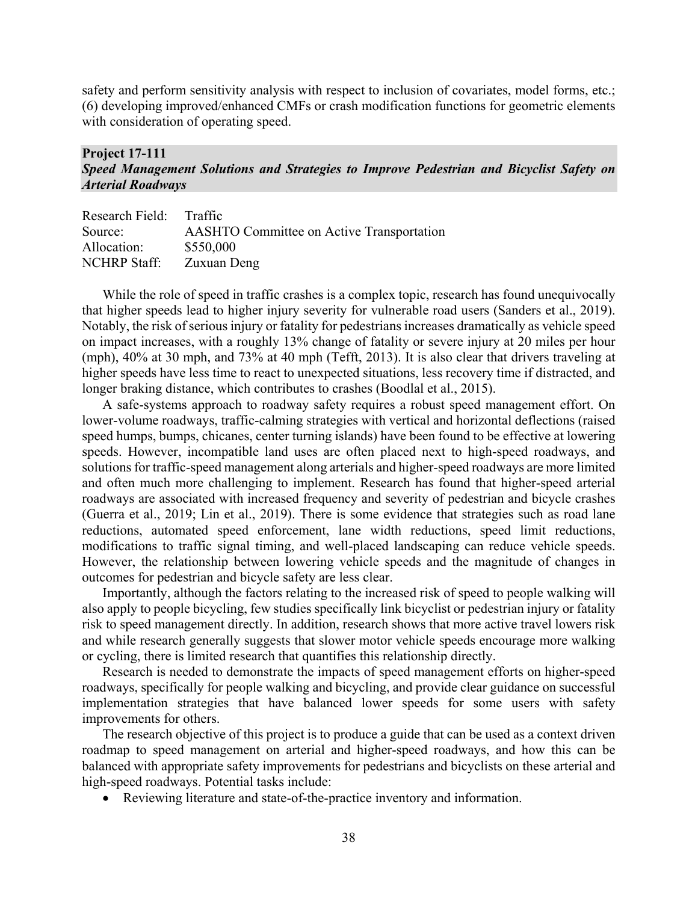safety and perform sensitivity analysis with respect to inclusion of covariates, model forms, etc.; (6) developing improved/enhanced CMFs or crash modification functions for geometric elements with consideration of operating speed.

#### **Project 17-111**  *Speed Management Solutions and Strategies to Improve Pedestrian and Bicyclist Safety on Arterial Roadways*

| Research Field: Traffic                          |
|--------------------------------------------------|
| <b>AASHTO Committee on Active Transportation</b> |
| \$550,000                                        |
| Zuxuan Deng                                      |
|                                                  |

While the role of speed in traffic crashes is a complex topic, research has found unequivocally that higher speeds lead to higher injury severity for vulnerable road users (Sanders et al., 2019). Notably, the risk of serious injury or fatality for pedestrians increases dramatically as vehicle speed on impact increases, with a roughly 13% change of fatality or severe injury at 20 miles per hour (mph), 40% at 30 mph, and 73% at 40 mph (Tefft, 2013). It is also clear that drivers traveling at higher speeds have less time to react to unexpected situations, less recovery time if distracted, and longer braking distance, which contributes to crashes (Boodlal et al., 2015).

A safe-systems approach to roadway safety requires a robust speed management effort. On lower-volume roadways, traffic-calming strategies with vertical and horizontal deflections (raised speed humps, bumps, chicanes, center turning islands) have been found to be effective at lowering speeds. However, incompatible land uses are often placed next to high-speed roadways, and solutions for traffic-speed management along arterials and higher-speed roadways are more limited and often much more challenging to implement. Research has found that higher-speed arterial roadways are associated with increased frequency and severity of pedestrian and bicycle crashes (Guerra et al., 2019; Lin et al., 2019). There is some evidence that strategies such as road lane reductions, automated speed enforcement, lane width reductions, speed limit reductions, modifications to traffic signal timing, and well-placed landscaping can reduce vehicle speeds. However, the relationship between lowering vehicle speeds and the magnitude of changes in outcomes for pedestrian and bicycle safety are less clear.

Importantly, although the factors relating to the increased risk of speed to people walking will also apply to people bicycling, few studies specifically link bicyclist or pedestrian injury or fatality risk to speed management directly. In addition, research shows that more active travel lowers risk and while research generally suggests that slower motor vehicle speeds encourage more walking or cycling, there is limited research that quantifies this relationship directly.

Research is needed to demonstrate the impacts of speed management efforts on higher-speed roadways, specifically for people walking and bicycling, and provide clear guidance on successful implementation strategies that have balanced lower speeds for some users with safety improvements for others.

The research objective of this project is to produce a guide that can be used as a context driven roadmap to speed management on arterial and higher-speed roadways, and how this can be balanced with appropriate safety improvements for pedestrians and bicyclists on these arterial and high-speed roadways. Potential tasks include:

• Reviewing literature and state-of-the-practice inventory and information.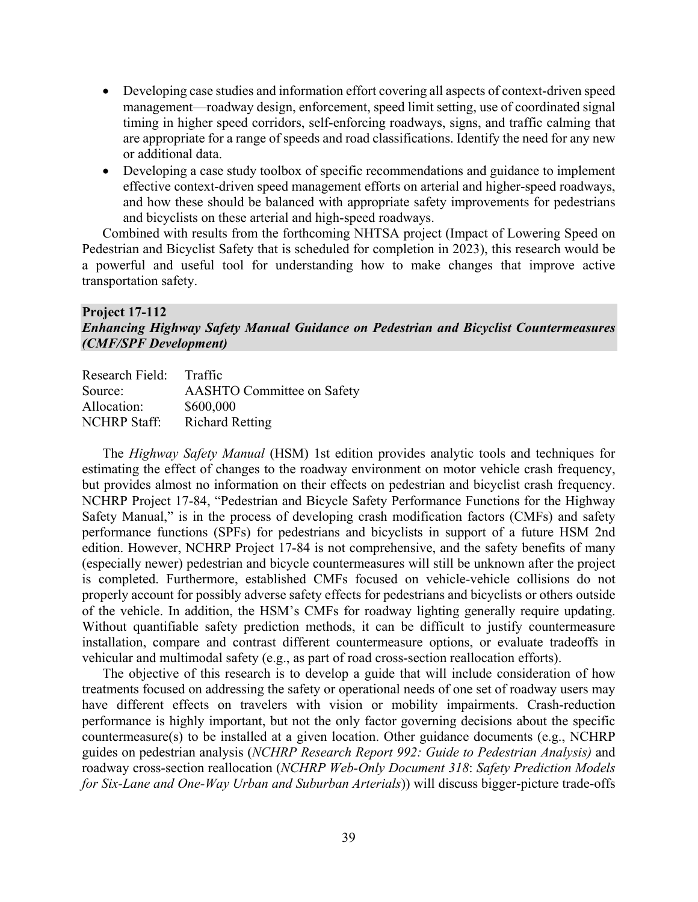- Developing case studies and information effort covering all aspects of context-driven speed management—roadway design, enforcement, speed limit setting, use of coordinated signal timing in higher speed corridors, self-enforcing roadways, signs, and traffic calming that are appropriate for a range of speeds and road classifications. Identify the need for any new or additional data.
- Developing a case study toolbox of specific recommendations and guidance to implement effective context-driven speed management efforts on arterial and higher-speed roadways, and how these should be balanced with appropriate safety improvements for pedestrians and bicyclists on these arterial and high-speed roadways.

Combined with results from the forthcoming NHTSA project (Impact of Lowering Speed on Pedestrian and Bicyclist Safety that is scheduled for completion in 2023), this research would be a powerful and useful tool for understanding how to make changes that improve active transportation safety.

#### **Project 17-112** *Enhancing Highway Safety Manual Guidance on Pedestrian and Bicyclist Countermeasures (CMF/SPF Development)*

| Research Field: Traffic |                                   |
|-------------------------|-----------------------------------|
| Source:                 | <b>AASHTO Committee on Safety</b> |
| Allocation:             | \$600,000                         |
| <b>NCHRP Staff:</b>     | <b>Richard Retting</b>            |

The *Highway Safety Manual* (HSM) 1st edition provides analytic tools and techniques for estimating the effect of changes to the roadway environment on motor vehicle crash frequency, but provides almost no information on their effects on pedestrian and bicyclist crash frequency. NCHRP Project 17-84, "Pedestrian and Bicycle Safety Performance Functions for the Highway Safety Manual," is in the process of developing crash modification factors (CMFs) and safety performance functions (SPFs) for pedestrians and bicyclists in support of a future HSM 2nd edition. However, NCHRP Project 17-84 is not comprehensive, and the safety benefits of many (especially newer) pedestrian and bicycle countermeasures will still be unknown after the project is completed. Furthermore, established CMFs focused on vehicle-vehicle collisions do not properly account for possibly adverse safety effects for pedestrians and bicyclists or others outside of the vehicle. In addition, the HSM's CMFs for roadway lighting generally require updating. Without quantifiable safety prediction methods, it can be difficult to justify countermeasure installation, compare and contrast different countermeasure options, or evaluate tradeoffs in vehicular and multimodal safety (e.g., as part of road cross-section reallocation efforts).

The objective of this research is to develop a guide that will include consideration of how treatments focused on addressing the safety or operational needs of one set of roadway users may have different effects on travelers with vision or mobility impairments. Crash-reduction performance is highly important, but not the only factor governing decisions about the specific countermeasure(s) to be installed at a given location. Other guidance documents (e.g., NCHRP guides on pedestrian analysis (*NCHRP [Research Report 992: Guide to Pedestrian Analysis\)](https://www.trb.org/main/blurbs/182687.aspx)* and roadway cross-section reallocation (*NCHRP Web-Only Document 318*: *Safety Prediction Models for Six-Lane and One-Way Urban and Suburban Arterials*)) will discuss bigger-picture trade-offs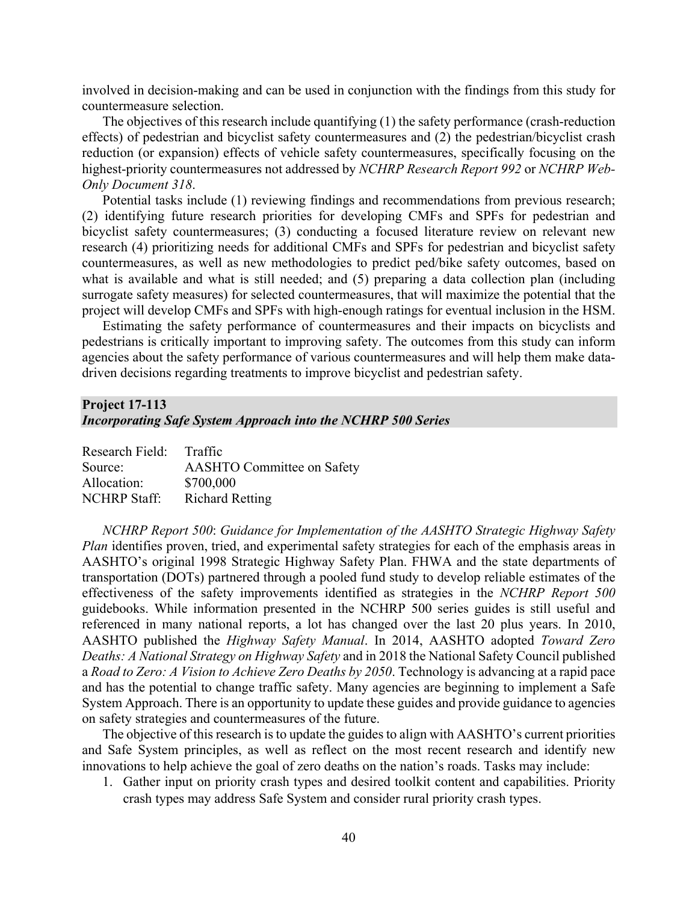involved in decision-making and can be used in conjunction with the findings from this study for countermeasure selection.

The objectives of this research include quantifying (1) the safety performance (crash-reduction effects) of pedestrian and bicyclist safety countermeasures and (2) the pedestrian/bicyclist crash reduction (or expansion) effects of vehicle safety countermeasures, specifically focusing on the highest-priority countermeasures not addressed by *NCHRP Research Report 992* or *NCHRP Web-Only Document 318*.

Potential tasks include (1) reviewing findings and recommendations from previous research; (2) identifying future research priorities for developing CMFs and SPFs for pedestrian and bicyclist safety countermeasures; (3) conducting a focused literature review on relevant new research (4) prioritizing needs for additional CMFs and SPFs for pedestrian and bicyclist safety countermeasures, as well as new methodologies to predict ped/bike safety outcomes, based on what is available and what is still needed; and (5) preparing a data collection plan (including surrogate safety measures) for selected countermeasures, that will maximize the potential that the project will develop CMFs and SPFs with high-enough ratings for eventual inclusion in the HSM.

Estimating the safety performance of countermeasures and their impacts on bicyclists and pedestrians is critically important to improving safety. The outcomes from this study can inform agencies about the safety performance of various countermeasures and will help them make datadriven decisions regarding treatments to improve bicyclist and pedestrian safety.

#### **Project 17-113**

#### *Incorporating Safe System Approach into the NCHRP 500 Series*

| Research Field: Traffic |                                   |
|-------------------------|-----------------------------------|
| Source:                 | <b>AASHTO Committee on Safety</b> |
| Allocation:             | \$700,000                         |
| <b>NCHRP Staff:</b>     | <b>Richard Retting</b>            |

*NCHRP Report 500*: *Guidance for Implementation of the AASHTO Strategic Highway Safety Plan* identifies proven, tried, and experimental safety strategies for each of the emphasis areas in AASHTO's original 1998 Strategic Highway Safety Plan. FHWA and the state departments of transportation (DOTs) partnered through a pooled fund study to develop reliable estimates of the effectiveness of the safety improvements identified as strategies in the *NCHRP Report 500* guidebooks. While information presented in the NCHRP 500 series guides is still useful and referenced in many national reports, a lot has changed over the last 20 plus years. In 2010, AASHTO published the *Highway Safety Manual*. In 2014, AASHTO adopted *Toward Zero Deaths: A National Strategy on Highway Safety* and in 2018 the National Safety Council published a *Road to Zero: A Vision to Achieve Zero Deaths by 2050*. Technology is advancing at a rapid pace and has the potential to change traffic safety. Many agencies are beginning to implement a Safe System Approach. There is an opportunity to update these guides and provide guidance to agencies on safety strategies and countermeasures of the future.

The objective of this research is to update the guides to align with AASHTO's current priorities and Safe System principles, as well as reflect on the most recent research and identify new innovations to help achieve the goal of zero deaths on the nation's roads. Tasks may include:

1. Gather input on priority crash types and desired toolkit content and capabilities. Priority crash types may address Safe System and consider rural priority crash types.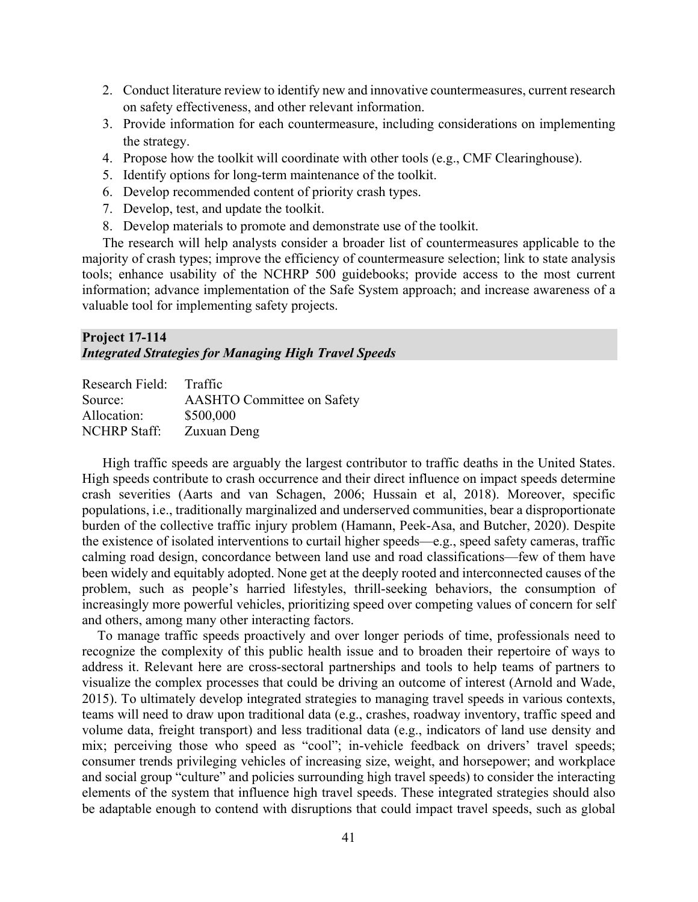- 2. Conduct literature review to identify new and innovative countermeasures, current research on safety effectiveness, and other relevant information.
- 3. Provide information for each countermeasure, including considerations on implementing the strategy.
- 4. Propose how the toolkit will coordinate with other tools (e.g., CMF Clearinghouse).
- 5. Identify options for long-term maintenance of the toolkit.
- 6. Develop recommended content of priority crash types.
- 7. Develop, test, and update the toolkit.
- 8. Develop materials to promote and demonstrate use of the toolkit.

The research will help analysts consider a broader list of countermeasures applicable to the majority of crash types; improve the efficiency of countermeasure selection; link to state analysis tools; enhance usability of the NCHRP 500 guidebooks; provide access to the most current information; advance implementation of the Safe System approach; and increase awareness of a valuable tool for implementing safety projects.

#### **Project 17-114** *Integrated Strategies for Managing High Travel Speeds*

| Research Field:     | Traffic                           |
|---------------------|-----------------------------------|
| Source:             | <b>AASHTO Committee on Safety</b> |
| Allocation:         | \$500,000                         |
| <b>NCHRP</b> Staff: | Zuxuan Deng                       |

High traffic speeds are arguably the largest contributor to traffic deaths in the United States. High speeds contribute to crash occurrence and their direct influence on impact speeds determine crash severities (Aarts and van Schagen, 2006; Hussain et al, 2018). Moreover, specific populations, i.e., traditionally marginalized and underserved communities, bear a disproportionate burden of the collective traffic injury problem (Hamann, Peek-Asa, and Butcher, 2020). Despite the existence of isolated interventions to curtail higher speeds—e.g., speed safety cameras, traffic calming road design, concordance between land use and road classifications—few of them have been widely and equitably adopted. None get at the deeply rooted and interconnected causes of the problem, such as people's harried lifestyles, thrill-seeking behaviors, the consumption of increasingly more powerful vehicles, prioritizing speed over competing values of concern for self and others, among many other interacting factors.

To manage traffic speeds proactively and over longer periods of time, professionals need to recognize the complexity of this public health issue and to broaden their repertoire of ways to address it. Relevant here are cross-sectoral partnerships and tools to help teams of partners to visualize the complex processes that could be driving an outcome of interest (Arnold and Wade, 2015). To ultimately develop integrated strategies to managing travel speeds in various contexts, teams will need to draw upon traditional data (e.g., crashes, roadway inventory, traffic speed and volume data, freight transport) and less traditional data (e.g., indicators of land use density and mix; perceiving those who speed as "cool"; in-vehicle feedback on drivers' travel speeds; consumer trends privileging vehicles of increasing size, weight, and horsepower; and workplace and social group "culture" and policies surrounding high travel speeds) to consider the interacting elements of the system that influence high travel speeds. These integrated strategies should also be adaptable enough to contend with disruptions that could impact travel speeds, such as global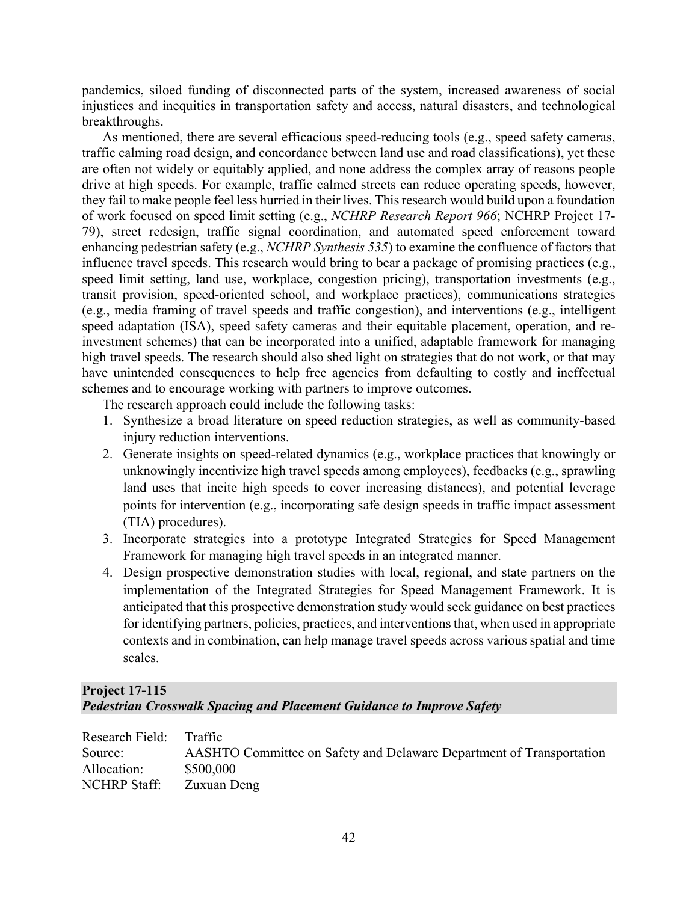pandemics, siloed funding of disconnected parts of the system, increased awareness of social injustices and inequities in transportation safety and access, natural disasters, and technological breakthroughs.

As mentioned, there are several efficacious speed-reducing tools (e.g., speed safety cameras, traffic calming road design, and concordance between land use and road classifications), yet these are often not widely or equitably applied, and none address the complex array of reasons people drive at high speeds. For example, traffic calmed streets can reduce operating speeds, however, they fail to make people feel less hurried in their lives. This research would build upon a foundation of work focused on speed limit setting (e.g., *NCHRP Research Report 966*; NCHRP Project 17- 79), street redesign, traffic signal coordination, and automated speed enforcement toward enhancing pedestrian safety (e.g., *NCHRP Synthesis 535*) to examine the confluence of factors that influence travel speeds. This research would bring to bear a package of promising practices (e.g., speed limit setting, land use, workplace, congestion pricing), transportation investments (e.g., transit provision, speed-oriented school, and workplace practices), communications strategies (e.g., media framing of travel speeds and traffic congestion), and interventions (e.g., intelligent speed adaptation (ISA), speed safety cameras and their equitable placement, operation, and reinvestment schemes) that can be incorporated into a unified, adaptable framework for managing high travel speeds. The research should also shed light on strategies that do not work, or that may have unintended consequences to help free agencies from defaulting to costly and ineffectual schemes and to encourage working with partners to improve outcomes.

The research approach could include the following tasks:

- 1. Synthesize a broad literature on speed reduction strategies, as well as community-based injury reduction interventions.
- 2. Generate insights on speed-related dynamics (e.g., workplace practices that knowingly or unknowingly incentivize high travel speeds among employees), feedbacks (e.g., sprawling land uses that incite high speeds to cover increasing distances), and potential leverage points for intervention (e.g., incorporating safe design speeds in traffic impact assessment (TIA) procedures).
- 3. Incorporate strategies into a prototype Integrated Strategies for Speed Management Framework for managing high travel speeds in an integrated manner.
- 4. Design prospective demonstration studies with local, regional, and state partners on the implementation of the Integrated Strategies for Speed Management Framework. It is anticipated that this prospective demonstration study would seek guidance on best practices for identifying partners, policies, practices, and interventions that, when used in appropriate contexts and in combination, can help manage travel speeds across various spatial and time scales.

## **Project 17-115**  *Pedestrian Crosswalk Spacing and Placement Guidance to Improve Safety*

| Research Field: Traffic |                                                                      |
|-------------------------|----------------------------------------------------------------------|
| Source:                 | AASHTO Committee on Safety and Delaware Department of Transportation |
| Allocation:             | \$500,000                                                            |
| NCHRP Staff:            | Zuxuan Deng                                                          |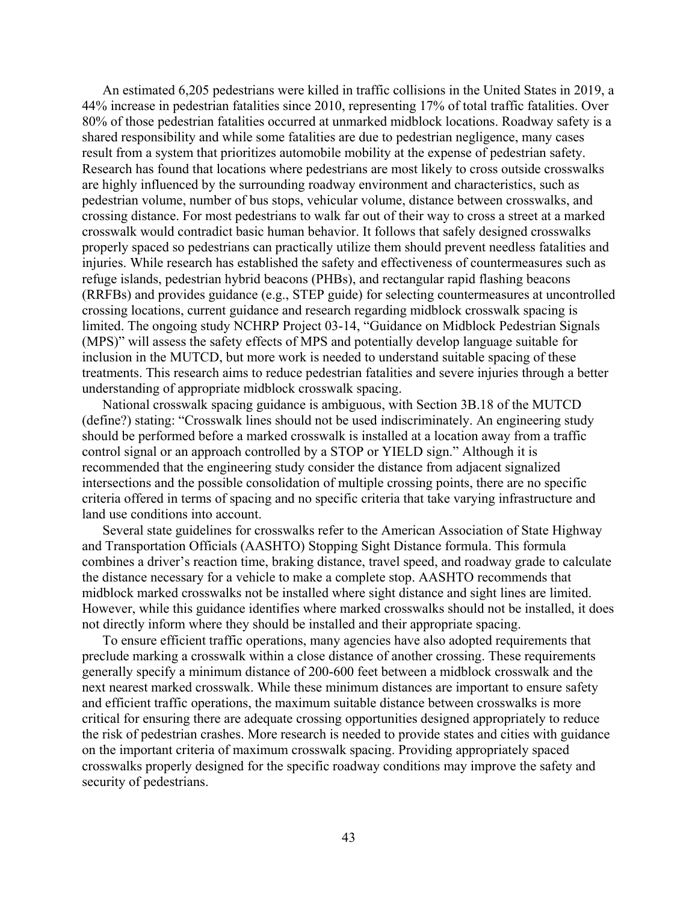An estimated 6,205 pedestrians were killed in traffic collisions in the United States in 2019, a 44% increase in pedestrian fatalities since 2010, representing 17% of total traffic fatalities. Over 80% of those pedestrian fatalities occurred at unmarked midblock locations. Roadway safety is a shared responsibility and while some fatalities are due to pedestrian negligence, many cases result from a system that prioritizes automobile mobility at the expense of pedestrian safety. Research has found that locations where pedestrians are most likely to cross outside crosswalks are highly influenced by the surrounding roadway environment and characteristics, such as pedestrian volume, number of bus stops, vehicular volume, distance between crosswalks, and crossing distance. For most pedestrians to walk far out of their way to cross a street at a marked crosswalk would contradict basic human behavior. It follows that safely designed crosswalks properly spaced so pedestrians can practically utilize them should prevent needless fatalities and injuries. While research has established the safety and effectiveness of countermeasures such as refuge islands, pedestrian hybrid beacons (PHBs), and rectangular rapid flashing beacons (RRFBs) and provides guidance (e.g., STEP guide) for selecting countermeasures at uncontrolled crossing locations, current guidance and research regarding midblock crosswalk spacing is limited. The ongoing study NCHRP Project 03-14, "Guidance on Midblock Pedestrian Signals (MPS)" will assess the safety effects of MPS and potentially develop language suitable for inclusion in the MUTCD, but more work is needed to understand suitable spacing of these treatments. This research aims to reduce pedestrian fatalities and severe injuries through a better understanding of appropriate midblock crosswalk spacing.

National crosswalk spacing guidance is ambiguous, with Section 3B.18 of the MUTCD (define?) stating: "Crosswalk lines should not be used indiscriminately. An engineering study should be performed before a marked crosswalk is installed at a location away from a traffic control signal or an approach controlled by a STOP or YIELD sign." Although it is recommended that the engineering study consider the distance from adjacent signalized intersections and the possible consolidation of multiple crossing points, there are no specific criteria offered in terms of spacing and no specific criteria that take varying infrastructure and land use conditions into account.

Several state guidelines for crosswalks refer to the American Association of State Highway and Transportation Officials (AASHTO) Stopping Sight Distance formula. This formula combines a driver's reaction time, braking distance, travel speed, and roadway grade to calculate the distance necessary for a vehicle to make a complete stop. AASHTO recommends that midblock marked crosswalks not be installed where sight distance and sight lines are limited. However, while this guidance identifies where marked crosswalks should not be installed, it does not directly inform where they should be installed and their appropriate spacing.

To ensure efficient traffic operations, many agencies have also adopted requirements that preclude marking a crosswalk within a close distance of another crossing. These requirements generally specify a minimum distance of 200-600 feet between a midblock crosswalk and the next nearest marked crosswalk. While these minimum distances are important to ensure safety and efficient traffic operations, the maximum suitable distance between crosswalks is more critical for ensuring there are adequate crossing opportunities designed appropriately to reduce the risk of pedestrian crashes. More research is needed to provide states and cities with guidance on the important criteria of maximum crosswalk spacing. Providing appropriately spaced crosswalks properly designed for the specific roadway conditions may improve the safety and security of pedestrians.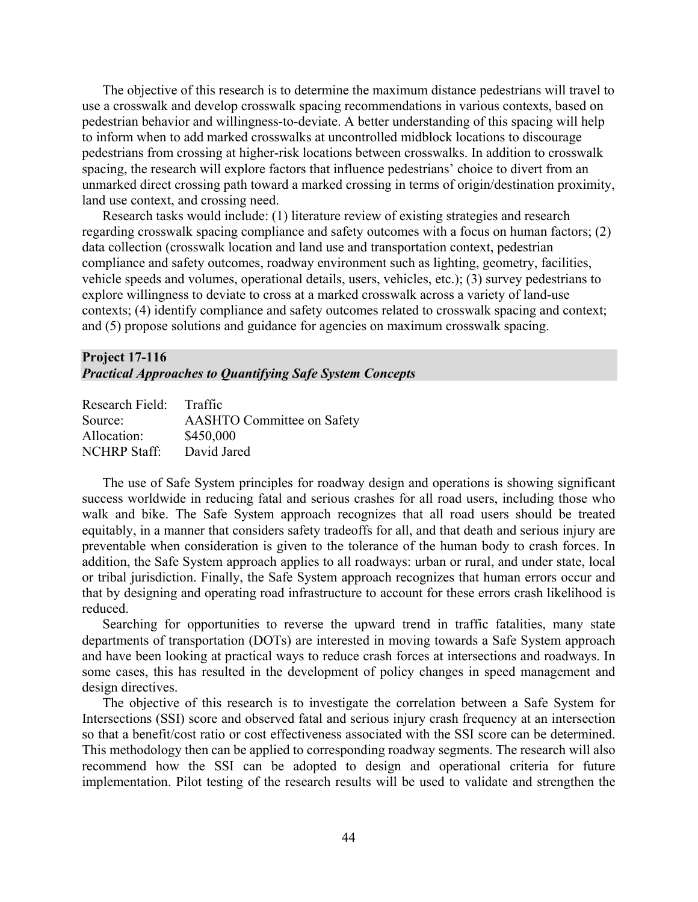The objective of this research is to determine the maximum distance pedestrians will travel to use a crosswalk and develop crosswalk spacing recommendations in various contexts, based on pedestrian behavior and willingness-to-deviate. A better understanding of this spacing will help to inform when to add marked crosswalks at uncontrolled midblock locations to discourage pedestrians from crossing at higher-risk locations between crosswalks. In addition to crosswalk spacing, the research will explore factors that influence pedestrians' choice to divert from an unmarked direct crossing path toward a marked crossing in terms of origin/destination proximity, land use context, and crossing need.

Research tasks would include: (1) literature review of existing strategies and research regarding crosswalk spacing compliance and safety outcomes with a focus on human factors; (2) data collection (crosswalk location and land use and transportation context, pedestrian compliance and safety outcomes, roadway environment such as lighting, geometry, facilities, vehicle speeds and volumes, operational details, users, vehicles, etc.); (3) survey pedestrians to explore willingness to deviate to cross at a marked crosswalk across a variety of land-use contexts; (4) identify compliance and safety outcomes related to crosswalk spacing and context; and (5) propose solutions and guidance for agencies on maximum crosswalk spacing.

#### **Project 17-116** *Practical Approaches to Quantifying Safe System Concepts*

| Research Field: Traffic           |
|-----------------------------------|
| <b>AASHTO Committee on Safety</b> |
| \$450,000                         |
| David Jared                       |
|                                   |

The use of Safe System principles for roadway design and operations is showing significant success worldwide in reducing fatal and serious crashes for all road users, including those who walk and bike. The Safe System approach recognizes that all road users should be treated equitably, in a manner that considers safety tradeoffs for all, and that death and serious injury are preventable when consideration is given to the tolerance of the human body to crash forces. In addition, the Safe System approach applies to all roadways: urban or rural, and under state, local or tribal jurisdiction. Finally, the Safe System approach recognizes that human errors occur and that by designing and operating road infrastructure to account for these errors crash likelihood is reduced.

Searching for opportunities to reverse the upward trend in traffic fatalities, many state departments of transportation (DOTs) are interested in moving towards a Safe System approach and have been looking at practical ways to reduce crash forces at intersections and roadways. In some cases, this has resulted in the development of policy changes in speed management and design directives.

The objective of this research is to investigate the correlation between a Safe System for Intersections (SSI) score and observed fatal and serious injury crash frequency at an intersection so that a benefit/cost ratio or cost effectiveness associated with the SSI score can be determined. This methodology then can be applied to corresponding roadway segments. The research will also recommend how the SSI can be adopted to design and operational criteria for future implementation. Pilot testing of the research results will be used to validate and strengthen the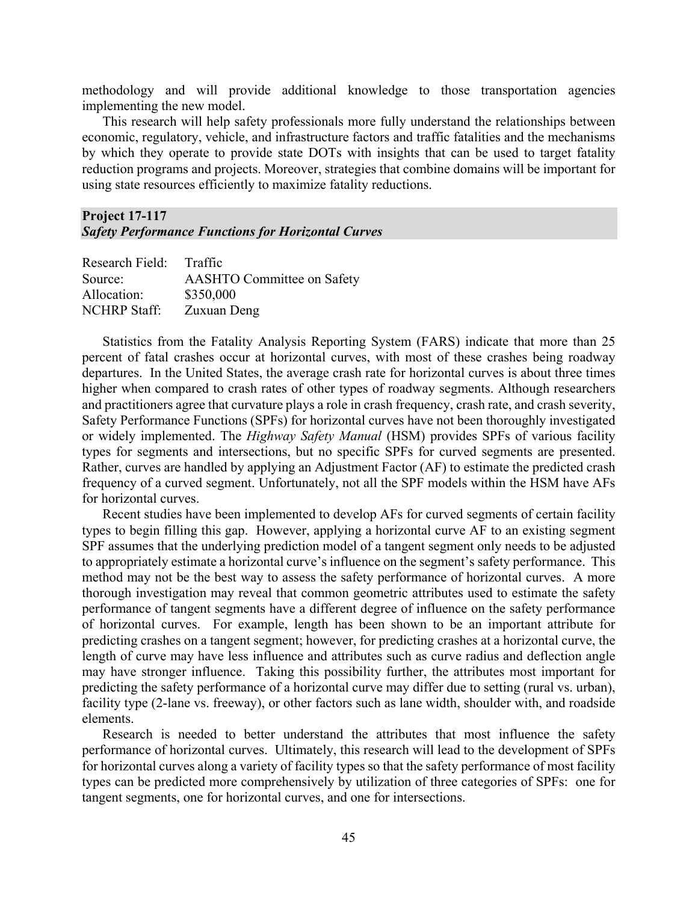methodology and will provide additional knowledge to those transportation agencies implementing the new model.

This research will help safety professionals more fully understand the relationships between economic, regulatory, vehicle, and infrastructure factors and traffic fatalities and the mechanisms by which they operate to provide state DOTs with insights that can be used to target fatality reduction programs and projects. Moreover, strategies that combine domains will be important for using state resources efficiently to maximize fatality reductions.

#### **Project 17-117** *Safety Performance Functions for Horizontal Curves*

| Research Field: Traffic           |
|-----------------------------------|
| <b>AASHTO Committee on Safety</b> |
| \$350,000                         |
| Zuxuan Deng                       |
|                                   |

Statistics from the Fatality Analysis Reporting System (FARS) indicate that more than 25 percent of fatal crashes occur at horizontal curves, with most of these crashes being roadway departures. In the United States, the average crash rate for horizontal curves is about three times higher when compared to crash rates of other types of roadway segments. Although researchers and practitioners agree that curvature plays a role in crash frequency, crash rate, and crash severity, Safety Performance Functions (SPFs) for horizontal curves have not been thoroughly investigated or widely implemented. The *Highway Safety Manual* (HSM) provides SPFs of various facility types for segments and intersections, but no specific SPFs for curved segments are presented. Rather, curves are handled by applying an Adjustment Factor (AF) to estimate the predicted crash frequency of a curved segment. Unfortunately, not all the SPF models within the HSM have AFs for horizontal curves.

Recent studies have been implemented to develop AFs for curved segments of certain facility types to begin filling this gap. However, applying a horizontal curve AF to an existing segment SPF assumes that the underlying prediction model of a tangent segment only needs to be adjusted to appropriately estimate a horizontal curve's influence on the segment's safety performance. This method may not be the best way to assess the safety performance of horizontal curves. A more thorough investigation may reveal that common geometric attributes used to estimate the safety performance of tangent segments have a different degree of influence on the safety performance of horizontal curves. For example, length has been shown to be an important attribute for predicting crashes on a tangent segment; however, for predicting crashes at a horizontal curve, the length of curve may have less influence and attributes such as curve radius and deflection angle may have stronger influence. Taking this possibility further, the attributes most important for predicting the safety performance of a horizontal curve may differ due to setting (rural vs. urban), facility type (2-lane vs. freeway), or other factors such as lane width, shoulder with, and roadside elements.

Research is needed to better understand the attributes that most influence the safety performance of horizontal curves. Ultimately, this research will lead to the development of SPFs for horizontal curves along a variety of facility types so that the safety performance of most facility types can be predicted more comprehensively by utilization of three categories of SPFs: one for tangent segments, one for horizontal curves, and one for intersections.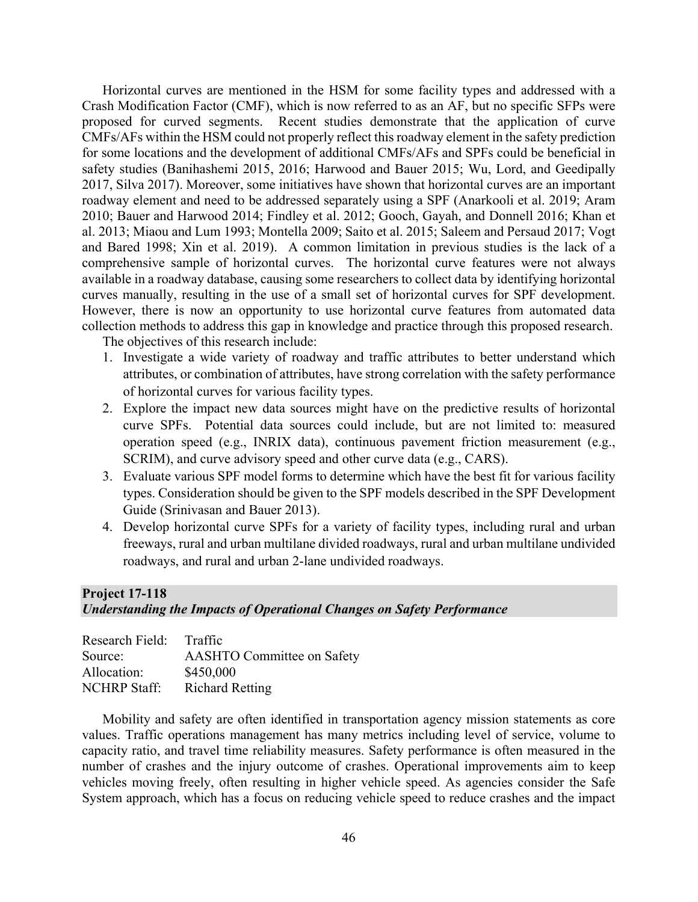Horizontal curves are mentioned in the HSM for some facility types and addressed with a Crash Modification Factor (CMF), which is now referred to as an AF, but no specific SFPs were proposed for curved segments. Recent studies demonstrate that the application of curve CMFs/AFs within the HSM could not properly reflect this roadway element in the safety prediction for some locations and the development of additional CMFs/AFs and SPFs could be beneficial in safety studies (Banihashemi 2015, 2016; Harwood and Bauer 2015; Wu, Lord, and Geedipally 2017, Silva 2017). Moreover, some initiatives have shown that horizontal curves are an important roadway element and need to be addressed separately using a SPF (Anarkooli et al. 2019; Aram 2010; Bauer and Harwood 2014; Findley et al. 2012; Gooch, Gayah, and Donnell 2016; Khan et al. 2013; Miaou and Lum 1993; Montella 2009; Saito et al. 2015; Saleem and Persaud 2017; Vogt and Bared 1998; Xin et al. 2019). A common limitation in previous studies is the lack of a comprehensive sample of horizontal curves. The horizontal curve features were not always available in a roadway database, causing some researchers to collect data by identifying horizontal curves manually, resulting in the use of a small set of horizontal curves for SPF development. However, there is now an opportunity to use horizontal curve features from automated data collection methods to address this gap in knowledge and practice through this proposed research.

The objectives of this research include:

- 1. Investigate a wide variety of roadway and traffic attributes to better understand which attributes, or combination of attributes, have strong correlation with the safety performance of horizontal curves for various facility types.
- 2. Explore the impact new data sources might have on the predictive results of horizontal curve SPFs. Potential data sources could include, but are not limited to: measured operation speed (e.g., INRIX data), continuous pavement friction measurement (e.g., SCRIM), and curve advisory speed and other curve data (e.g., CARS).
- 3. Evaluate various SPF model forms to determine which have the best fit for various facility types. Consideration should be given to the SPF models described in the SPF Development Guide (Srinivasan and Bauer 2013).
- 4. Develop horizontal curve SPFs for a variety of facility types, including rural and urban freeways, rural and urban multilane divided roadways, rural and urban multilane undivided roadways, and rural and urban 2-lane undivided roadways.

#### **Project 17-118**

#### *Understanding the Impacts of Operational Changes on Safety Performance*

| Research Field:     | <b>Traffic</b>                    |
|---------------------|-----------------------------------|
| Source:             | <b>AASHTO Committee on Safety</b> |
| Allocation:         | \$450,000                         |
| <b>NCHRP Staff:</b> | <b>Richard Retting</b>            |

Mobility and safety are often identified in transportation agency mission statements as core values. Traffic operations management has many metrics including level of service, volume to capacity ratio, and travel time reliability measures. Safety performance is often measured in the number of crashes and the injury outcome of crashes. Operational improvements aim to keep vehicles moving freely, often resulting in higher vehicle speed. As agencies consider the Safe System approach, which has a focus on reducing vehicle speed to reduce crashes and the impact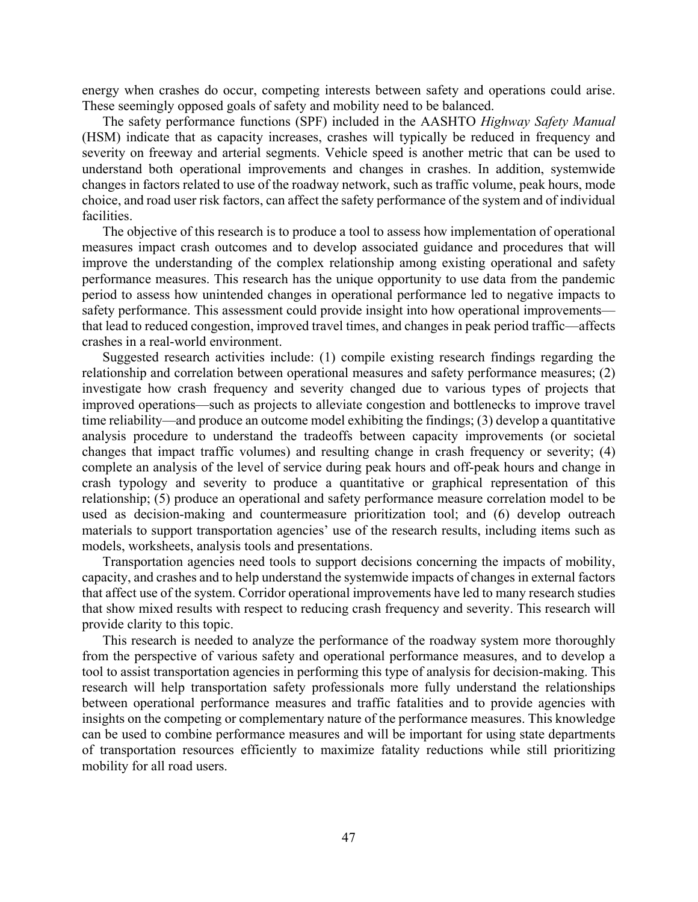energy when crashes do occur, competing interests between safety and operations could arise. These seemingly opposed goals of safety and mobility need to be balanced.

The safety performance functions (SPF) included in the AASHTO *Highway Safety Manual* (HSM) indicate that as capacity increases, crashes will typically be reduced in frequency and severity on freeway and arterial segments. Vehicle speed is another metric that can be used to understand both operational improvements and changes in crashes. In addition, systemwide changes in factors related to use of the roadway network, such as traffic volume, peak hours, mode choice, and road user risk factors, can affect the safety performance of the system and of individual facilities.

The objective of this research is to produce a tool to assess how implementation of operational measures impact crash outcomes and to develop associated guidance and procedures that will improve the understanding of the complex relationship among existing operational and safety performance measures. This research has the unique opportunity to use data from the pandemic period to assess how unintended changes in operational performance led to negative impacts to safety performance. This assessment could provide insight into how operational improvements that lead to reduced congestion, improved travel times, and changes in peak period traffic—affects crashes in a real-world environment.

Suggested research activities include: (1) compile existing research findings regarding the relationship and correlation between operational measures and safety performance measures; (2) investigate how crash frequency and severity changed due to various types of projects that improved operations—such as projects to alleviate congestion and bottlenecks to improve travel time reliability—and produce an outcome model exhibiting the findings; (3) develop a quantitative analysis procedure to understand the tradeoffs between capacity improvements (or societal changes that impact traffic volumes) and resulting change in crash frequency or severity; (4) complete an analysis of the level of service during peak hours and off-peak hours and change in crash typology and severity to produce a quantitative or graphical representation of this relationship; (5) produce an operational and safety performance measure correlation model to be used as decision-making and countermeasure prioritization tool; and (6) develop outreach materials to support transportation agencies' use of the research results, including items such as models, worksheets, analysis tools and presentations.

Transportation agencies need tools to support decisions concerning the impacts of mobility, capacity, and crashes and to help understand the systemwide impacts of changes in external factors that affect use of the system. Corridor operational improvements have led to many research studies that show mixed results with respect to reducing crash frequency and severity. This research will provide clarity to this topic.

This research is needed to analyze the performance of the roadway system more thoroughly from the perspective of various safety and operational performance measures, and to develop a tool to assist transportation agencies in performing this type of analysis for decision-making. This research will help transportation safety professionals more fully understand the relationships between operational performance measures and traffic fatalities and to provide agencies with insights on the competing or complementary nature of the performance measures. This knowledge can be used to combine performance measures and will be important for using state departments of transportation resources efficiently to maximize fatality reductions while still prioritizing mobility for all road users.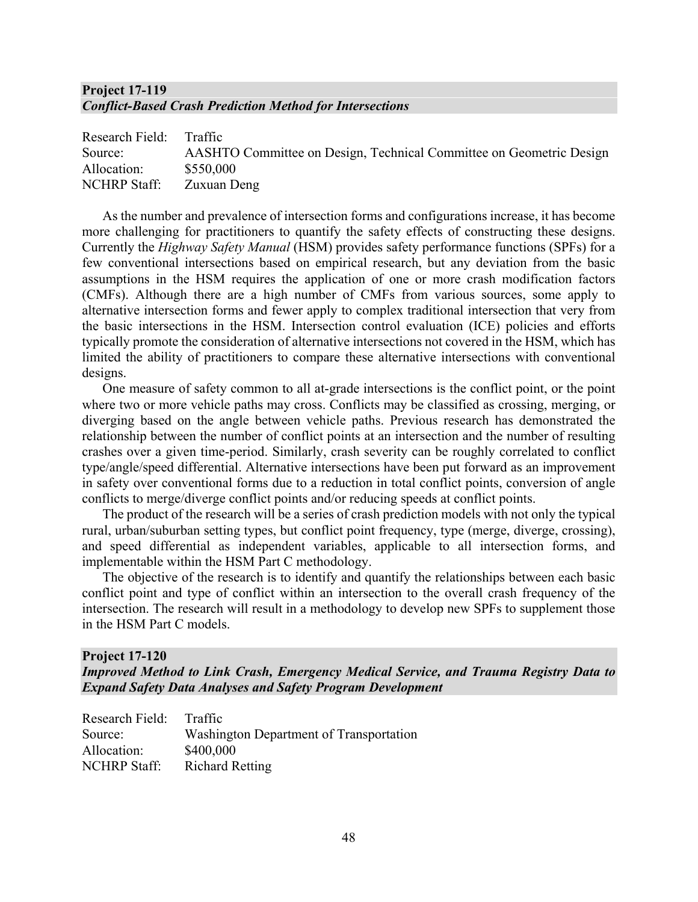## **Project 17-119**  *Conflict-Based Crash Prediction Method for Intersections*

| Research Field: Traffic |                                                                     |
|-------------------------|---------------------------------------------------------------------|
| Source:                 | AASHTO Committee on Design, Technical Committee on Geometric Design |
| Allocation:             | \$550,000                                                           |
| <b>NCHRP</b> Staff:     | Zuxuan Deng                                                         |

As the number and prevalence of intersection forms and configurations increase, it has become more challenging for practitioners to quantify the safety effects of constructing these designs. Currently the *Highway Safety Manual* (HSM) provides safety performance functions (SPFs) for a few conventional intersections based on empirical research, but any deviation from the basic assumptions in the HSM requires the application of one or more crash modification factors (CMFs). Although there are a high number of CMFs from various sources, some apply to alternative intersection forms and fewer apply to complex traditional intersection that very from the basic intersections in the HSM. Intersection control evaluation (ICE) policies and efforts typically promote the consideration of alternative intersections not covered in the HSM, which has limited the ability of practitioners to compare these alternative intersections with conventional designs.

One measure of safety common to all at-grade intersections is the conflict point, or the point where two or more vehicle paths may cross. Conflicts may be classified as crossing, merging, or diverging based on the angle between vehicle paths. Previous research has demonstrated the relationship between the number of conflict points at an intersection and the number of resulting crashes over a given time-period. Similarly, crash severity can be roughly correlated to conflict type/angle/speed differential. Alternative intersections have been put forward as an improvement in safety over conventional forms due to a reduction in total conflict points, conversion of angle conflicts to merge/diverge conflict points and/or reducing speeds at conflict points.

The product of the research will be a series of crash prediction models with not only the typical rural, urban/suburban setting types, but conflict point frequency, type (merge, diverge, crossing), and speed differential as independent variables, applicable to all intersection forms, and implementable within the HSM Part C methodology.

The objective of the research is to identify and quantify the relationships between each basic conflict point and type of conflict within an intersection to the overall crash frequency of the intersection. The research will result in a methodology to develop new SPFs to supplement those in the HSM Part C models.

#### **Project 17-120**

*Improved Method to Link Crash, Emergency Medical Service, and Trauma Registry Data to Expand Safety Data Analyses and Safety Program Development*

| Research Field:     | Traffic                                 |
|---------------------|-----------------------------------------|
| Source:             | Washington Department of Transportation |
| Allocation:         | \$400,000                               |
| <b>NCHRP</b> Staff: | <b>Richard Retting</b>                  |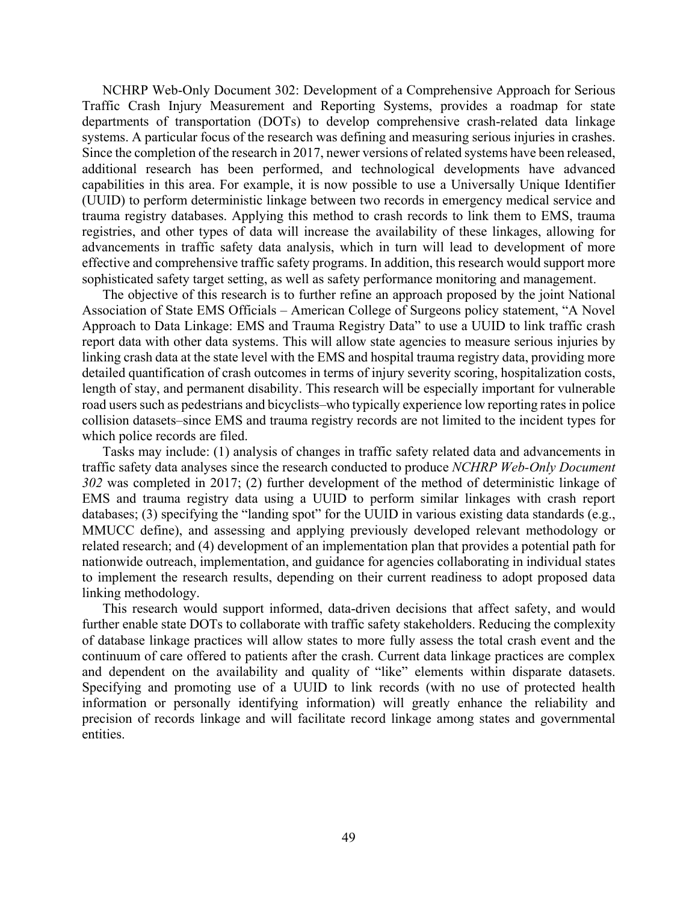NCHRP Web-Only Document 302: Development of a Comprehensive Approach for Serious Traffic Crash Injury Measurement and Reporting Systems, provides a roadmap for state departments of transportation (DOTs) to develop comprehensive crash-related data linkage systems. A particular focus of the research was defining and measuring serious injuries in crashes. Since the completion of the research in 2017, newer versions of related systems have been released, additional research has been performed, and technological developments have advanced capabilities in this area. For example, it is now possible to use a Universally Unique Identifier (UUID) to perform deterministic linkage between two records in emergency medical service and trauma registry databases. Applying this method to crash records to link them to EMS, trauma registries, and other types of data will increase the availability of these linkages, allowing for advancements in traffic safety data analysis, which in turn will lead to development of more effective and comprehensive traffic safety programs. In addition, this research would support more sophisticated safety target setting, as well as safety performance monitoring and management.

The objective of this research is to further refine an approach proposed by the joint National Association of State EMS Officials – American College of Surgeons policy statement, "A Novel Approach to Data Linkage: EMS and Trauma Registry Data" to use a UUID to link traffic crash report data with other data systems. This will allow state agencies to measure serious injuries by linking crash data at the state level with the EMS and hospital trauma registry data, providing more detailed quantification of crash outcomes in terms of injury severity scoring, hospitalization costs, length of stay, and permanent disability. This research will be especially important for vulnerable road users such as pedestrians and bicyclists–who typically experience low reporting rates in police collision datasets–since EMS and trauma registry records are not limited to the incident types for which police records are filed.

Tasks may include: (1) analysis of changes in traffic safety related data and advancements in traffic safety data analyses since the research conducted to produce *NCHRP Web-Only Document 302* was completed in 2017; (2) further development of the method of deterministic linkage of EMS and trauma registry data using a UUID to perform similar linkages with crash report databases; (3) specifying the "landing spot" for the UUID in various existing data standards (e.g., MMUCC define), and assessing and applying previously developed relevant methodology or related research; and (4) development of an implementation plan that provides a potential path for nationwide outreach, implementation, and guidance for agencies collaborating in individual states to implement the research results, depending on their current readiness to adopt proposed data linking methodology.

This research would support informed, data-driven decisions that affect safety, and would further enable state DOTs to collaborate with traffic safety stakeholders. Reducing the complexity of database linkage practices will allow states to more fully assess the total crash event and the continuum of care offered to patients after the crash. Current data linkage practices are complex and dependent on the availability and quality of "like" elements within disparate datasets. Specifying and promoting use of a UUID to link records (with no use of protected health information or personally identifying information) will greatly enhance the reliability and precision of records linkage and will facilitate record linkage among states and governmental entities.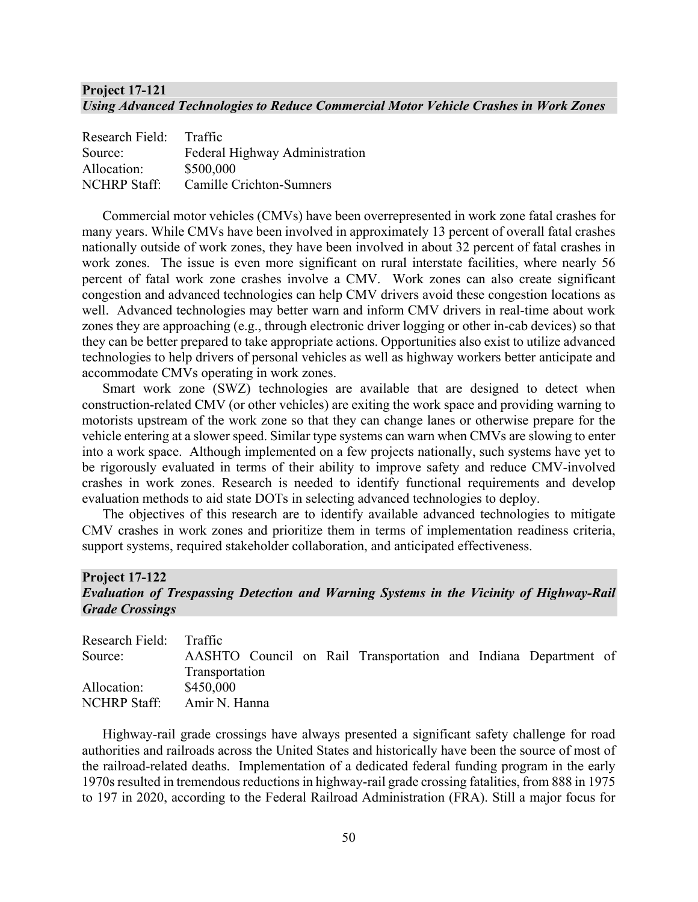#### **Project 17-121** *Using Advanced Technologies to Reduce Commercial Motor Vehicle Crashes in Work Zones*

| Research Field:     | Traffic                        |
|---------------------|--------------------------------|
| Source:             | Federal Highway Administration |
| Allocation:         | \$500,000                      |
| <b>NCHRP Staff:</b> | Camille Crichton-Sumners       |

Commercial motor vehicles (CMVs) have been overrepresented in work zone fatal crashes for many years. While CMVs have been involved in approximately 13 percent of overall fatal crashes nationally outside of work zones, they have been involved in about 32 percent of fatal crashes in work zones. The issue is even more significant on rural interstate facilities, where nearly 56 percent of fatal work zone crashes involve a CMV. Work zones can also create significant congestion and advanced technologies can help CMV drivers avoid these congestion locations as well. Advanced technologies may better warn and inform CMV drivers in real-time about work zones they are approaching (e.g., through electronic driver logging or other in-cab devices) so that they can be better prepared to take appropriate actions. Opportunities also exist to utilize advanced technologies to help drivers of personal vehicles as well as highway workers better anticipate and accommodate CMVs operating in work zones.

Smart work zone (SWZ) technologies are available that are designed to detect when construction-related CMV (or other vehicles) are exiting the work space and providing warning to motorists upstream of the work zone so that they can change lanes or otherwise prepare for the vehicle entering at a slower speed. Similar type systems can warn when CMVs are slowing to enter into a work space. Although implemented on a few projects nationally, such systems have yet to be rigorously evaluated in terms of their ability to improve safety and reduce CMV-involved crashes in work zones. Research is needed to identify functional requirements and develop evaluation methods to aid state DOTs in selecting advanced technologies to deploy.

The objectives of this research are to identify available advanced technologies to mitigate CMV crashes in work zones and prioritize them in terms of implementation readiness criteria, support systems, required stakeholder collaboration, and anticipated effectiveness.

#### **Project 17-122**

#### *Evaluation of Trespassing Detection and Warning Systems in the Vicinity of Highway-Rail Grade Crossings*

| Research Field: Traffic |                |  |                                                                 |  |  |
|-------------------------|----------------|--|-----------------------------------------------------------------|--|--|
| Source:                 |                |  | AASHTO Council on Rail Transportation and Indiana Department of |  |  |
|                         | Transportation |  |                                                                 |  |  |
| Allocation:             | \$450,000      |  |                                                                 |  |  |
| NCHRP Staff:            | Amir N. Hanna  |  |                                                                 |  |  |

Highway-rail grade crossings have always presented a significant safety challenge for road authorities and railroads across the United States and historically have been the source of most of the railroad-related deaths. Implementation of a dedicated federal funding program in the early 1970s resulted in tremendous reductions in highway-rail grade crossing fatalities, from 888 in 1975 to 197 in 2020, according to the Federal Railroad Administration (FRA). Still a major focus for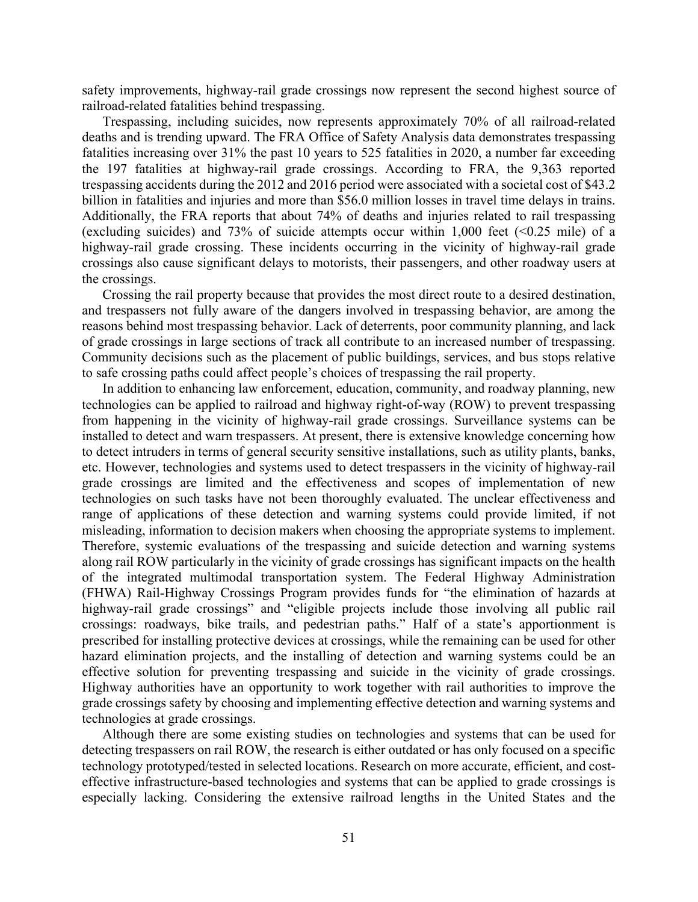safety improvements, highway-rail grade crossings now represent the second highest source of railroad-related fatalities behind trespassing.

Trespassing, including suicides, now represents approximately 70% of all railroad-related deaths and is trending upward. The FRA Office of Safety Analysis data demonstrates trespassing fatalities increasing over 31% the past 10 years to 525 fatalities in 2020, a number far exceeding the 197 fatalities at highway-rail grade crossings. According to FRA, the 9,363 reported trespassing accidents during the 2012 and 2016 period were associated with a societal cost of \$43.2 billion in fatalities and injuries and more than \$56.0 million losses in travel time delays in trains. Additionally, the FRA reports that about 74% of deaths and injuries related to rail trespassing (excluding suicides) and 73% of suicide attempts occur within 1,000 feet  $(\le 0.25 \text{ mile})$  of a highway-rail grade crossing. These incidents occurring in the vicinity of highway-rail grade crossings also cause significant delays to motorists, their passengers, and other roadway users at the crossings.

Crossing the rail property because that provides the most direct route to a desired destination, and trespassers not fully aware of the dangers involved in trespassing behavior, are among the reasons behind most trespassing behavior. Lack of deterrents, poor community planning, and lack of grade crossings in large sections of track all contribute to an increased number of trespassing. Community decisions such as the placement of public buildings, services, and bus stops relative to safe crossing paths could affect people's choices of trespassing the rail property.

In addition to enhancing law enforcement, education, community, and roadway planning, new technologies can be applied to railroad and highway right-of-way (ROW) to prevent trespassing from happening in the vicinity of highway-rail grade crossings. Surveillance systems can be installed to detect and warn trespassers. At present, there is extensive knowledge concerning how to detect intruders in terms of general security sensitive installations, such as utility plants, banks, etc. However, technologies and systems used to detect trespassers in the vicinity of highway-rail grade crossings are limited and the effectiveness and scopes of implementation of new technologies on such tasks have not been thoroughly evaluated. The unclear effectiveness and range of applications of these detection and warning systems could provide limited, if not misleading, information to decision makers when choosing the appropriate systems to implement. Therefore, systemic evaluations of the trespassing and suicide detection and warning systems along rail ROW particularly in the vicinity of grade crossings has significant impacts on the health of the integrated multimodal transportation system. The Federal Highway Administration (FHWA) Rail-Highway Crossings Program provides funds for "the elimination of hazards at highway-rail grade crossings" and "eligible projects include those involving all public rail crossings: roadways, bike trails, and pedestrian paths." Half of a state's apportionment is prescribed for installing protective devices at crossings, while the remaining can be used for other hazard elimination projects, and the installing of detection and warning systems could be an effective solution for preventing trespassing and suicide in the vicinity of grade crossings. Highway authorities have an opportunity to work together with rail authorities to improve the grade crossings safety by choosing and implementing effective detection and warning systems and technologies at grade crossings.

Although there are some existing studies on technologies and systems that can be used for detecting trespassers on rail ROW, the research is either outdated or has only focused on a specific technology prototyped/tested in selected locations. Research on more accurate, efficient, and costeffective infrastructure-based technologies and systems that can be applied to grade crossings is especially lacking. Considering the extensive railroad lengths in the United States and the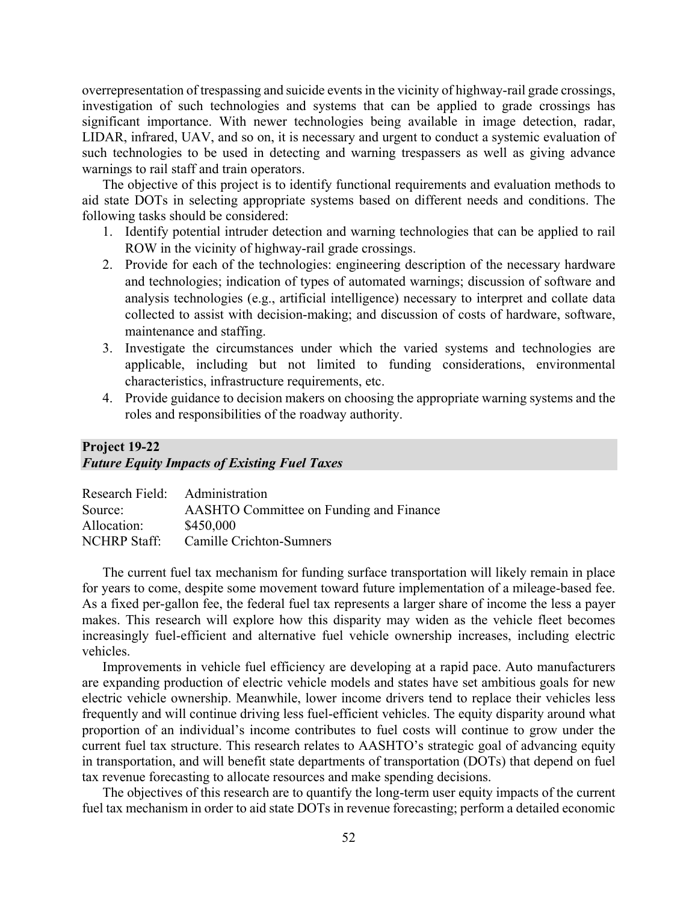overrepresentation of trespassing and suicide events in the vicinity of highway-rail grade crossings, investigation of such technologies and systems that can be applied to grade crossings has significant importance. With newer technologies being available in image detection, radar, LIDAR, infrared, UAV, and so on, it is necessary and urgent to conduct a systemic evaluation of such technologies to be used in detecting and warning trespassers as well as giving advance warnings to rail staff and train operators.

The objective of this project is to identify functional requirements and evaluation methods to aid state DOTs in selecting appropriate systems based on different needs and conditions. The following tasks should be considered:

- 1. Identify potential intruder detection and warning technologies that can be applied to rail ROW in the vicinity of highway-rail grade crossings.
- 2. Provide for each of the technologies: engineering description of the necessary hardware and technologies; indication of types of automated warnings; discussion of software and analysis technologies (e.g., artificial intelligence) necessary to interpret and collate data collected to assist with decision-making; and discussion of costs of hardware, software, maintenance and staffing.
- 3. Investigate the circumstances under which the varied systems and technologies are applicable, including but not limited to funding considerations, environmental characteristics, infrastructure requirements, etc.
- 4. Provide guidance to decision makers on choosing the appropriate warning systems and the roles and responsibilities of the roadway authority.

## **Project 19-22**  *Future Equity Impacts of Existing Fuel Taxes*

| Research Field: Administration |                                         |
|--------------------------------|-----------------------------------------|
| Source:                        | AASHTO Committee on Funding and Finance |
| Allocation:                    | \$450,000                               |
| <b>NCHRP Staff:</b>            | Camille Crichton-Sumners                |
|                                |                                         |

The current fuel tax mechanism for funding surface transportation will likely remain in place for years to come, despite some movement toward future implementation of a mileage-based fee. As a fixed per-gallon fee, the federal fuel tax represents a larger share of income the less a payer makes. This research will explore how this disparity may widen as the vehicle fleet becomes increasingly fuel-efficient and alternative fuel vehicle ownership increases, including electric vehicles.

Improvements in vehicle fuel efficiency are developing at a rapid pace. Auto manufacturers are expanding production of electric vehicle models and states have set ambitious goals for new electric vehicle ownership. Meanwhile, lower income drivers tend to replace their vehicles less frequently and will continue driving less fuel-efficient vehicles. The equity disparity around what proportion of an individual's income contributes to fuel costs will continue to grow under the current fuel tax structure. This research relates to AASHTO's strategic goal of advancing equity in transportation, and will benefit state departments of transportation (DOTs) that depend on fuel tax revenue forecasting to allocate resources and make spending decisions.

The objectives of this research are to quantify the long-term user equity impacts of the current fuel tax mechanism in order to aid state DOTs in revenue forecasting; perform a detailed economic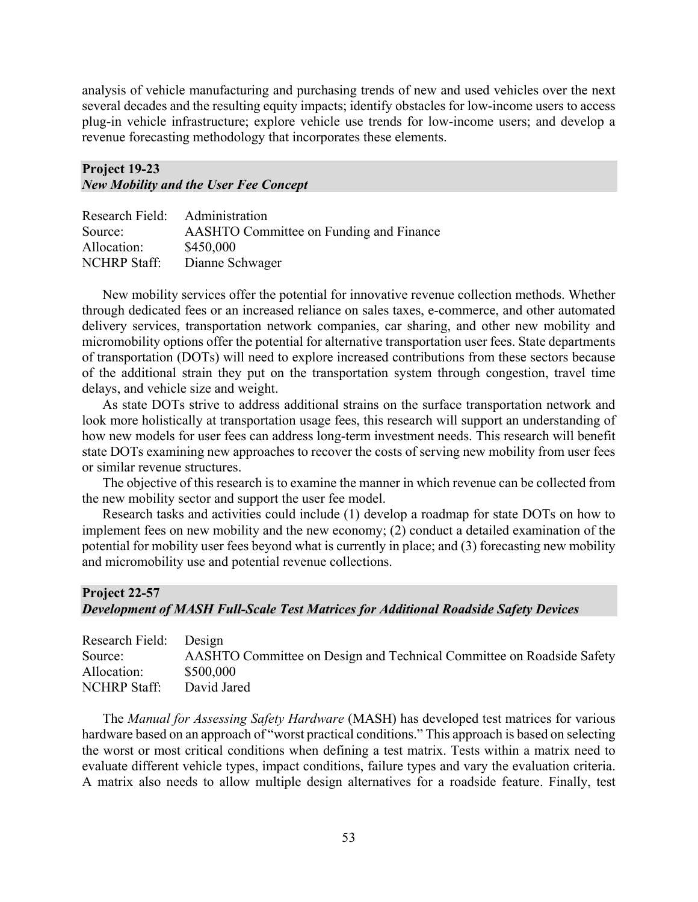analysis of vehicle manufacturing and purchasing trends of new and used vehicles over the next several decades and the resulting equity impacts; identify obstacles for low-income users to access plug-in vehicle infrastructure; explore vehicle use trends for low-income users; and develop a revenue forecasting methodology that incorporates these elements.

#### **Project 19-23**  *New Mobility and the User Fee Concept*

| Research Field: Administration |                                         |
|--------------------------------|-----------------------------------------|
| Source:                        | AASHTO Committee on Funding and Finance |
| Allocation:                    | \$450,000                               |
| <b>NCHRP Staff:</b>            | Dianne Schwager                         |

New mobility services offer the potential for innovative revenue collection methods. Whether through dedicated fees or an increased reliance on sales taxes, e-commerce, and other automated delivery services, transportation network companies, car sharing, and other new mobility and micromobility options offer the potential for alternative transportation user fees. State departments of transportation (DOTs) will need to explore increased contributions from these sectors because of the additional strain they put on the transportation system through congestion, travel time delays, and vehicle size and weight.

As state DOTs strive to address additional strains on the surface transportation network and look more holistically at transportation usage fees, this research will support an understanding of how new models for user fees can address long-term investment needs. This research will benefit state DOTs examining new approaches to recover the costs of serving new mobility from user fees or similar revenue structures.

The objective of this research is to examine the manner in which revenue can be collected from the new mobility sector and support the user fee model.

Research tasks and activities could include (1) develop a roadmap for state DOTs on how to implement fees on new mobility and the new economy; (2) conduct a detailed examination of the potential for mobility user fees beyond what is currently in place; and (3) forecasting new mobility and micromobility use and potential revenue collections.

#### **Project 22-57**  *Development of MASH Full-Scale Test Matrices for Additional Roadside Safety Devices*

| Research Field: Design |                                                                       |
|------------------------|-----------------------------------------------------------------------|
| Source:                | AASHTO Committee on Design and Technical Committee on Roadside Safety |
| Allocation:            | \$500,000                                                             |
| NCHRP Staff:           | David Jared                                                           |

The *Manual for Assessing Safety Hardware* (MASH) has developed test matrices for various hardware based on an approach of "worst practical conditions." This approach is based on selecting the worst or most critical conditions when defining a test matrix. Tests within a matrix need to evaluate different vehicle types, impact conditions, failure types and vary the evaluation criteria. A matrix also needs to allow multiple design alternatives for a roadside feature. Finally, test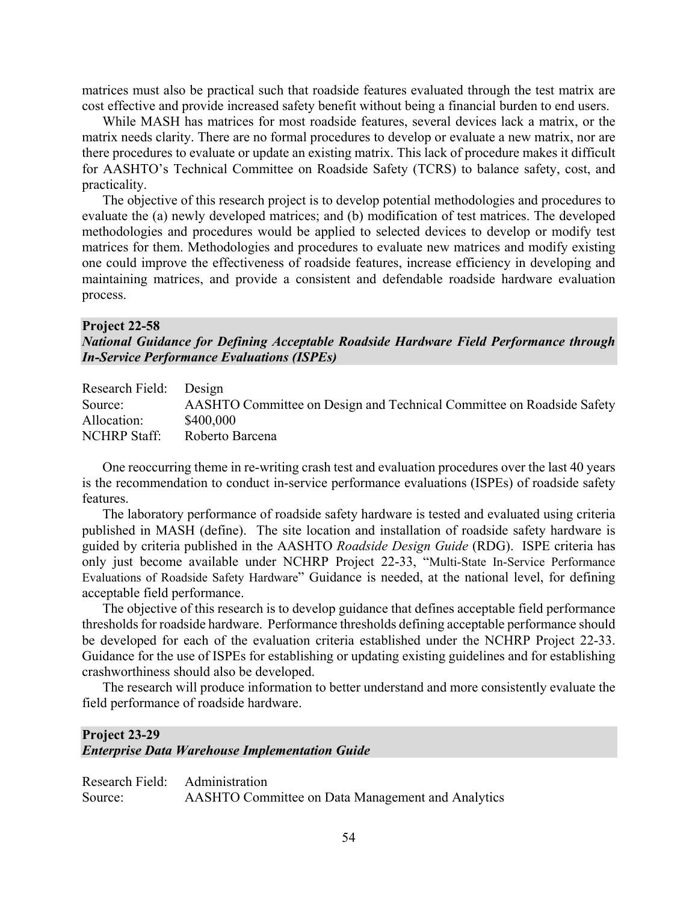matrices must also be practical such that roadside features evaluated through the test matrix are cost effective and provide increased safety benefit without being a financial burden to end users.

While MASH has matrices for most roadside features, several devices lack a matrix, or the matrix needs clarity. There are no formal procedures to develop or evaluate a new matrix, nor are there procedures to evaluate or update an existing matrix. This lack of procedure makes it difficult for AASHTO's Technical Committee on Roadside Safety (TCRS) to balance safety, cost, and practicality.

The objective of this research project is to develop potential methodologies and procedures to evaluate the (a) newly developed matrices; and (b) modification of test matrices. The developed methodologies and procedures would be applied to selected devices to develop or modify test matrices for them. Methodologies and procedures to evaluate new matrices and modify existing one could improve the effectiveness of roadside features, increase efficiency in developing and maintaining matrices, and provide a consistent and defendable roadside hardware evaluation process.

#### **Project 22-58**

*National Guidance for Defining Acceptable Roadside Hardware Field Performance through In-Service Performance Evaluations (ISPEs)*

| Research Field: Design |                                                                       |
|------------------------|-----------------------------------------------------------------------|
| Source:                | AASHTO Committee on Design and Technical Committee on Roadside Safety |
| Allocation:            | \$400,000                                                             |
| <b>NCHRP Staff:</b>    | Roberto Barcena                                                       |

One reoccurring theme in re-writing crash test and evaluation procedures over the last 40 years is the recommendation to conduct in-service performance evaluations (ISPEs) of roadside safety features.

The laboratory performance of roadside safety hardware is tested and evaluated using criteria published in MASH (define). The site location and installation of roadside safety hardware is guided by criteria published in the AASHTO *Roadside Design Guide* (RDG). ISPE criteria has only just become available under NCHRP Project 22-33, "Multi-State In-Service Performance Evaluations of Roadside Safety Hardware" Guidance is needed, at the national level, for defining acceptable field performance.

The objective of this research is to develop guidance that defines acceptable field performance thresholds for roadside hardware. Performance thresholds defining acceptable performance should be developed for each of the evaluation criteria established under the NCHRP Project 22-33. Guidance for the use of ISPEs for establishing or updating existing guidelines and for establishing crashworthiness should also be developed.

The research will produce information to better understand and more consistently evaluate the field performance of roadside hardware.

## **Project 23-29** *Enterprise Data Warehouse Implementation Guide*

|         | Research Field: Administration                    |
|---------|---------------------------------------------------|
| Source: | AASHTO Committee on Data Management and Analytics |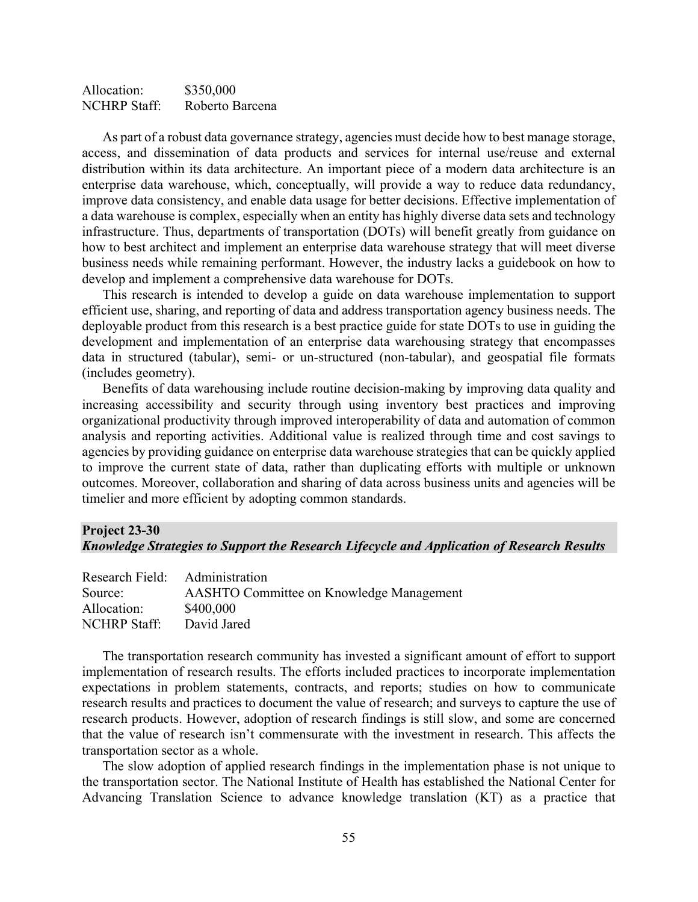| Allocation:         | \$350,000       |
|---------------------|-----------------|
| <b>NCHRP Staff:</b> | Roberto Barcena |

As part of a robust data governance strategy, agencies must decide how to best manage storage, access, and dissemination of data products and services for internal use/reuse and external distribution within its data architecture. An important piece of a modern data architecture is an enterprise data warehouse, which, conceptually, will provide a way to reduce data redundancy, improve data consistency, and enable data usage for better decisions. Effective implementation of a data warehouse is complex, especially when an entity has highly diverse data sets and technology infrastructure. Thus, departments of transportation (DOTs) will benefit greatly from guidance on how to best architect and implement an enterprise data warehouse strategy that will meet diverse business needs while remaining performant. However, the industry lacks a guidebook on how to develop and implement a comprehensive data warehouse for DOTs.

This research is intended to develop a guide on data warehouse implementation to support efficient use, sharing, and reporting of data and address transportation agency business needs. The deployable product from this research is a best practice guide for state DOTs to use in guiding the development and implementation of an enterprise data warehousing strategy that encompasses data in structured (tabular), semi- or un-structured (non-tabular), and geospatial file formats (includes geometry).

Benefits of data warehousing include routine decision-making by improving data quality and increasing accessibility and security through using inventory best practices and improving organizational productivity through improved interoperability of data and automation of common analysis and reporting activities. Additional value is realized through time and cost savings to agencies by providing guidance on enterprise data warehouse strategies that can be quickly applied to improve the current state of data, rather than duplicating efforts with multiple or unknown outcomes. Moreover, collaboration and sharing of data across business units and agencies will be timelier and more efficient by adopting common standards.

#### **Project 23-30**

#### *Knowledge Strategies to Support the Research Lifecycle and Application of Research Results*

| Research Field: Administration |                                                 |
|--------------------------------|-------------------------------------------------|
| Source:                        | <b>AASHTO Committee on Knowledge Management</b> |
| Allocation:                    | \$400,000                                       |
| <b>NCHRP</b> Staff:            | David Jared                                     |

The transportation research community has invested a significant amount of effort to support implementation of research results. The efforts included practices to incorporate implementation expectations in problem statements, contracts, and reports; studies on how to communicate research results and practices to document the value of research; and surveys to capture the use of research products. However, adoption of research findings is still slow, and some are concerned that the value of research isn't commensurate with the investment in research. This affects the transportation sector as a whole.

The slow adoption of applied research findings in the implementation phase is not unique to the transportation sector. The National Institute of Health has established the National Center for Advancing Translation Science to advance knowledge translation (KT) as a practice that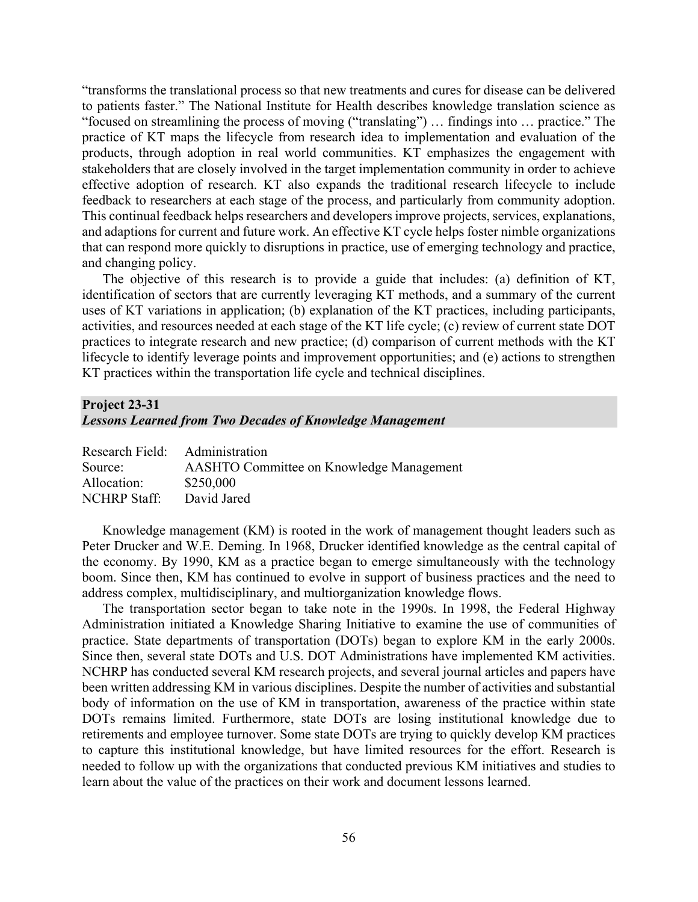"transforms the translational process so that new treatments and cures for disease can be delivered to patients faster." The National Institute for Health describes knowledge translation science as "focused on streamlining the process of moving ("translating") … findings into … practice." The practice of KT maps the lifecycle from research idea to implementation and evaluation of the products, through adoption in real world communities. KT emphasizes the engagement with stakeholders that are closely involved in the target implementation community in order to achieve effective adoption of research. KT also expands the traditional research lifecycle to include feedback to researchers at each stage of the process, and particularly from community adoption. This continual feedback helps researchers and developers improve projects, services, explanations, and adaptions for current and future work. An effective KT cycle helps foster nimble organizations that can respond more quickly to disruptions in practice, use of emerging technology and practice, and changing policy.

The objective of this research is to provide a guide that includes: (a) definition of KT, identification of sectors that are currently leveraging KT methods, and a summary of the current uses of KT variations in application; (b) explanation of the KT practices, including participants, activities, and resources needed at each stage of the KT life cycle; (c) review of current state DOT practices to integrate research and new practice; (d) comparison of current methods with the KT lifecycle to identify leverage points and improvement opportunities; and (e) actions to strengthen KT practices within the transportation life cycle and technical disciplines.

# **Project 23-31**

### *Lessons Learned from Two Decades of Knowledge Management*

| Research Field: Administration                  |
|-------------------------------------------------|
| <b>AASHTO Committee on Knowledge Management</b> |
| \$250,000                                       |
| David Jared                                     |
|                                                 |

Knowledge management (KM) is rooted in the work of management thought leaders such as Peter Drucker and W.E. Deming. In 1968, Drucker identified knowledge as the central capital of the economy. By 1990, KM as a practice began to emerge simultaneously with the technology boom. Since then, KM has continued to evolve in support of business practices and the need to address complex, multidisciplinary, and multiorganization knowledge flows.

The transportation sector began to take note in the 1990s. In 1998, the Federal Highway Administration initiated a Knowledge Sharing Initiative to examine the use of communities of practice. State departments of transportation (DOTs) began to explore KM in the early 2000s. Since then, several state DOTs and U.S. DOT Administrations have implemented KM activities. NCHRP has conducted several KM research projects, and several journal articles and papers have been written addressing KM in various disciplines. Despite the number of activities and substantial body of information on the use of KM in transportation, awareness of the practice within state DOTs remains limited. Furthermore, state DOTs are losing institutional knowledge due to retirements and employee turnover. Some state DOTs are trying to quickly develop KM practices to capture this institutional knowledge, but have limited resources for the effort. Research is needed to follow up with the organizations that conducted previous KM initiatives and studies to learn about the value of the practices on their work and document lessons learned.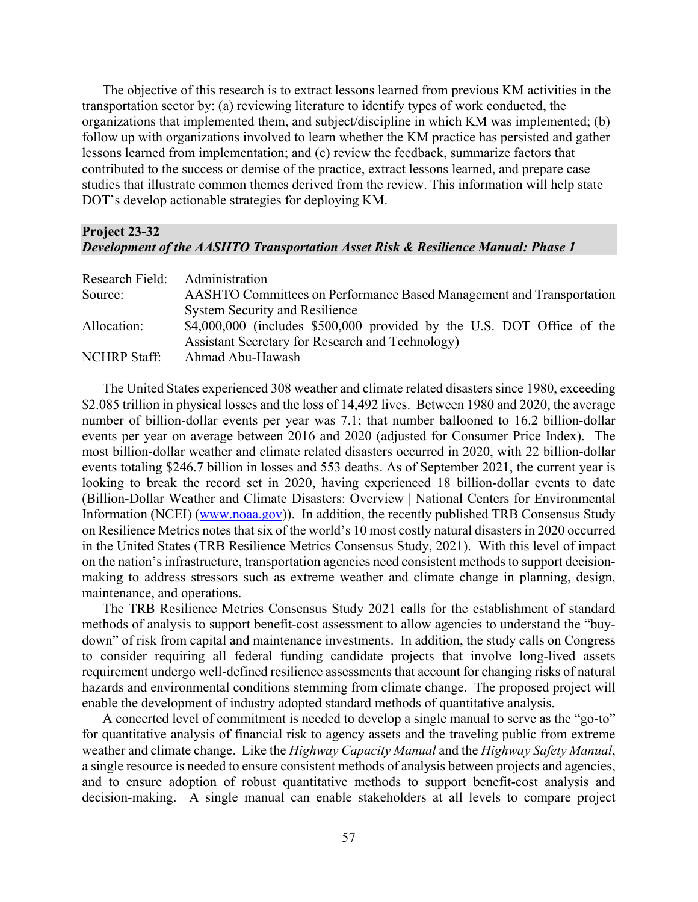The objective of this research is to extract lessons learned from previous KM activities in the transportation sector by: (a) reviewing literature to identify types of work conducted, the organizations that implemented them, and subject/discipline in which KM was implemented; (b) follow up with organizations involved to learn whether the KM practice has persisted and gather lessons learned from implementation; and (c) review the feedback, summarize factors that contributed to the success or demise of the practice, extract lessons learned, and prepare case studies that illustrate common themes derived from the review. This information will help state DOT's develop actionable strategies for deploying KM.

#### **Project 23-32** *Development of the AASHTO Transportation Asset Risk & Resilience Manual: Phase 1*

| Research Field: Administration |                                                                             |
|--------------------------------|-----------------------------------------------------------------------------|
| Source:                        | <b>AASHTO Committees on Performance Based Management and Transportation</b> |
|                                | <b>System Security and Resilience</b>                                       |
| Allocation:                    | \$4,000,000 (includes \$500,000 provided by the U.S. DOT Office of the      |
|                                | Assistant Secretary for Research and Technology)                            |
| <b>NCHRP Staff:</b>            | Ahmad Abu-Hawash                                                            |

The United States experienced 308 weather and climate related disasters since 1980, exceeding \$2.085 trillion in physical losses and the loss of 14,492 lives. Between 1980 and 2020, the average number of billion-dollar events per year was 7.1; that number ballooned to 16.2 billion-dollar events per year on average between 2016 and 2020 (adjusted for Consumer Price Index). The most billion-dollar weather and climate related disasters occurred in 2020, with 22 billion-dollar events totaling \$246.7 billion in losses and 553 deaths. As of September 2021, the current year is looking to break the record set in 2020, having experienced 18 billion-dollar events to date (Billion-Dollar Weather and Climate Disasters: Overview | National Centers for Environmental Information (NCEI) [\(www.noaa.gov\)](http://www.noaa.gov/)). In addition, the recently published TRB Consensus Study on Resilience Metrics notes that six of the world's 10 most costly natural disasters in 2020 occurred in the United States (TRB Resilience Metrics Consensus Study, 2021). With this level of impact on the nation's infrastructure, transportation agencies need consistent methods to support decisionmaking to address stressors such as extreme weather and climate change in planning, design, maintenance, and operations.

The TRB Resilience Metrics Consensus Study 2021 calls for the establishment of standard methods of analysis to support benefit-cost assessment to allow agencies to understand the "buydown" of risk from capital and maintenance investments. In addition, the study calls on Congress to consider requiring all federal funding candidate projects that involve long-lived assets requirement undergo well-defined resilience assessments that account for changing risks of natural hazards and environmental conditions stemming from climate change. The proposed project will enable the development of industry adopted standard methods of quantitative analysis.

A concerted level of commitment is needed to develop a single manual to serve as the "go-to" for quantitative analysis of financial risk to agency assets and the traveling public from extreme weather and climate change. Like the *Highway Capacity Manual* and the *Highway Safety Manual*, a single resource is needed to ensure consistent methods of analysis between projects and agencies, and to ensure adoption of robust quantitative methods to support benefit-cost analysis and decision-making. A single manual can enable stakeholders at all levels to compare project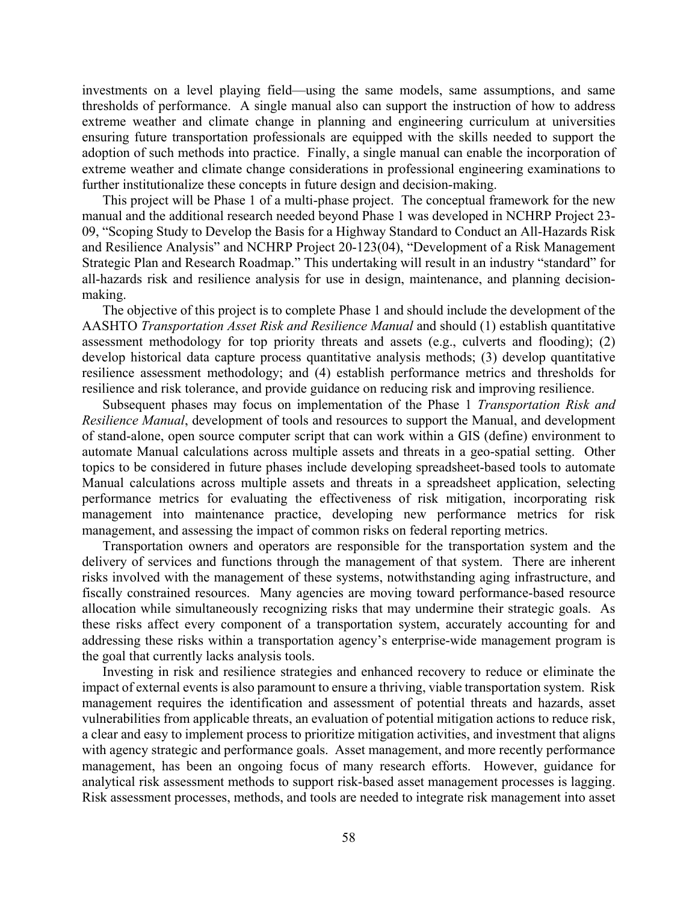investments on a level playing field—using the same models, same assumptions, and same thresholds of performance. A single manual also can support the instruction of how to address extreme weather and climate change in planning and engineering curriculum at universities ensuring future transportation professionals are equipped with the skills needed to support the adoption of such methods into practice. Finally, a single manual can enable the incorporation of extreme weather and climate change considerations in professional engineering examinations to further institutionalize these concepts in future design and decision-making.

This project will be Phase 1 of a multi-phase project. The conceptual framework for the new manual and the additional research needed beyond Phase 1 was developed in NCHRP Project 23- 09, "Scoping Study to Develop the Basis for a Highway Standard to Conduct an All-Hazards Risk and Resilience Analysis" and NCHRP Project 20-123(04), "Development of a Risk Management Strategic Plan and Research Roadmap." This undertaking will result in an industry "standard" for all-hazards risk and resilience analysis for use in design, maintenance, and planning decisionmaking.

The objective of this project is to complete Phase 1 and should include the development of the AASHTO *Transportation Asset Risk and Resilience Manual* and should (1) establish quantitative assessment methodology for top priority threats and assets (e.g., culverts and flooding); (2) develop historical data capture process quantitative analysis methods; (3) develop quantitative resilience assessment methodology; and (4) establish performance metrics and thresholds for resilience and risk tolerance, and provide guidance on reducing risk and improving resilience.

Subsequent phases may focus on implementation of the Phase 1 *Transportation Risk and Resilience Manual*, development of tools and resources to support the Manual, and development of stand-alone, open source computer script that can work within a GIS (define) environment to automate Manual calculations across multiple assets and threats in a geo-spatial setting. Other topics to be considered in future phases include developing spreadsheet-based tools to automate Manual calculations across multiple assets and threats in a spreadsheet application, selecting performance metrics for evaluating the effectiveness of risk mitigation, incorporating risk management into maintenance practice, developing new performance metrics for risk management, and assessing the impact of common risks on federal reporting metrics.

Transportation owners and operators are responsible for the transportation system and the delivery of services and functions through the management of that system. There are inherent risks involved with the management of these systems, notwithstanding aging infrastructure, and fiscally constrained resources. Many agencies are moving toward performance-based resource allocation while simultaneously recognizing risks that may undermine their strategic goals. As these risks affect every component of a transportation system, accurately accounting for and addressing these risks within a transportation agency's enterprise-wide management program is the goal that currently lacks analysis tools.

Investing in risk and resilience strategies and enhanced recovery to reduce or eliminate the impact of external events is also paramount to ensure a thriving, viable transportation system. Risk management requires the identification and assessment of potential threats and hazards, asset vulnerabilities from applicable threats, an evaluation of potential mitigation actions to reduce risk, a clear and easy to implement process to prioritize mitigation activities, and investment that aligns with agency strategic and performance goals. Asset management, and more recently performance management, has been an ongoing focus of many research efforts. However, guidance for analytical risk assessment methods to support risk-based asset management processes is lagging. Risk assessment processes, methods, and tools are needed to integrate risk management into asset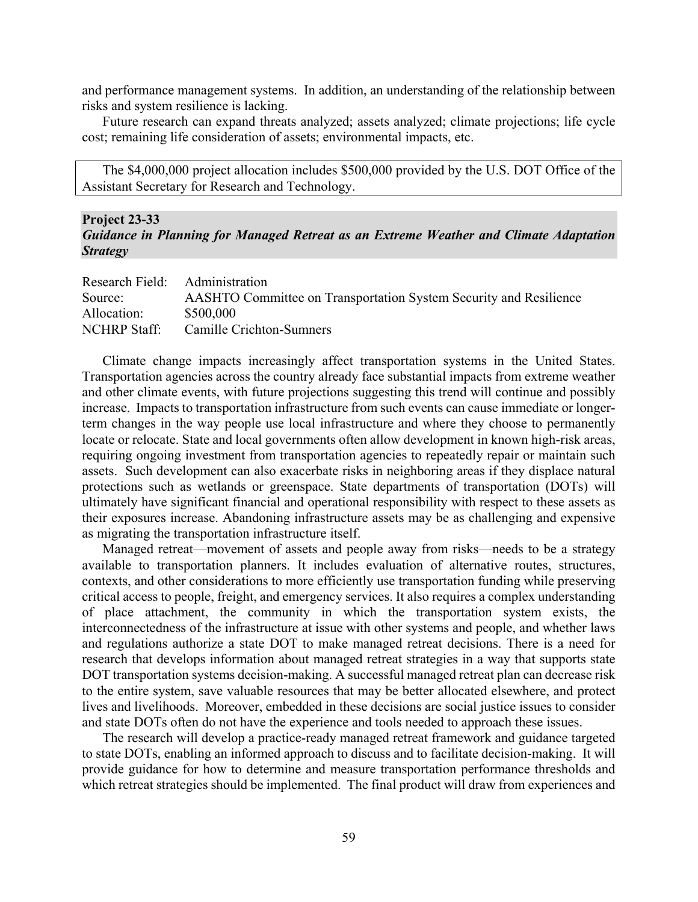and performance management systems. In addition, an understanding of the relationship between risks and system resilience is lacking.

Future research can expand threats analyzed; assets analyzed; climate projections; life cycle cost; remaining life consideration of assets; environmental impacts, etc.

The \$4,000,000 project allocation includes \$500,000 provided by the U.S. DOT Office of the Assistant Secretary for Research and Technology.

#### **Project 23-33**

#### *Guidance in Planning for Managed Retreat as an Extreme Weather and Climate Adaptation Strategy*

| Research Field: Administration |                                                                          |
|--------------------------------|--------------------------------------------------------------------------|
| Source:                        | <b>AASHTO Committee on Transportation System Security and Resilience</b> |
| Allocation:                    | \$500,000                                                                |
| NCHRP Staff:                   | Camille Crichton-Sumners                                                 |

Climate change impacts increasingly affect transportation systems in the United States. Transportation agencies across the country already face substantial impacts from extreme weather and other climate events, with future projections suggesting this trend will continue and possibly increase. Impacts to transportation infrastructure from such events can cause immediate or longerterm changes in the way people use local infrastructure and where they choose to permanently locate or relocate. State and local governments often allow development in known high-risk areas, requiring ongoing investment from transportation agencies to repeatedly repair or maintain such assets. Such development can also exacerbate risks in neighboring areas if they displace natural protections such as wetlands or greenspace. State departments of transportation (DOTs) will ultimately have significant financial and operational responsibility with respect to these assets as their exposures increase. Abandoning infrastructure assets may be as challenging and expensive as migrating the transportation infrastructure itself.

Managed retreat—movement of assets and people away from risks—needs to be a strategy available to transportation planners. It includes evaluation of alternative routes, structures, contexts, and other considerations to more efficiently use transportation funding while preserving critical access to people, freight, and emergency services. It also requires a complex understanding of place attachment, the community in which the transportation system exists, the interconnectedness of the infrastructure at issue with other systems and people, and whether laws and regulations authorize a state DOT to make managed retreat decisions. There is a need for research that develops information about managed retreat strategies in a way that supports state DOT transportation systems decision-making. A successful managed retreat plan can decrease risk to the entire system, save valuable resources that may be better allocated elsewhere, and protect lives and livelihoods. Moreover, embedded in these decisions are social justice issues to consider and state DOTs often do not have the experience and tools needed to approach these issues.

The research will develop a practice-ready managed retreat framework and guidance targeted to state DOTs, enabling an informed approach to discuss and to facilitate decision-making. It will provide guidance for how to determine and measure transportation performance thresholds and which retreat strategies should be implemented. The final product will draw from experiences and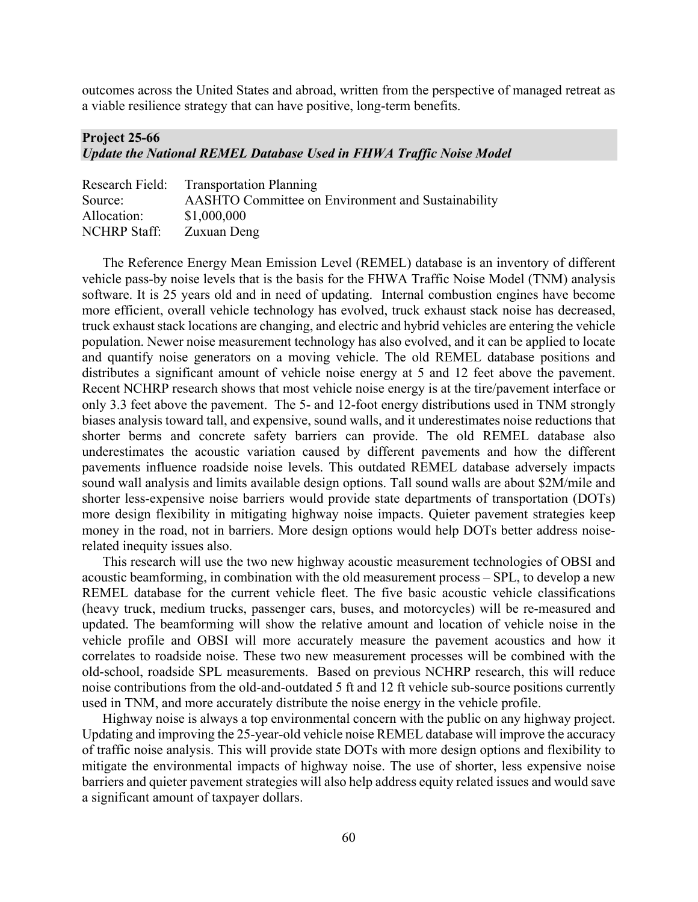outcomes across the United States and abroad, written from the perspective of managed retreat as a viable resilience strategy that can have positive, long-term benefits.

#### **Project 25-66** *Update the National REMEL Database Used in FHWA Traffic Noise Model*

|                     | Research Field: Transportation Planning            |
|---------------------|----------------------------------------------------|
| Source:             | AASHTO Committee on Environment and Sustainability |
| Allocation:         | \$1,000,000                                        |
| <b>NCHRP</b> Staff: | Zuxuan Deng                                        |

The Reference Energy Mean Emission Level (REMEL) database is an inventory of different vehicle pass-by noise levels that is the basis for the FHWA Traffic Noise Model (TNM) analysis software. It is 25 years old and in need of updating. Internal combustion engines have become more efficient, overall vehicle technology has evolved, truck exhaust stack noise has decreased, truck exhaust stack locations are changing, and electric and hybrid vehicles are entering the vehicle population. Newer noise measurement technology has also evolved, and it can be applied to locate and quantify noise generators on a moving vehicle. The old REMEL database positions and distributes a significant amount of vehicle noise energy at 5 and 12 feet above the pavement. Recent NCHRP research shows that most vehicle noise energy is at the tire/pavement interface or only 3.3 feet above the pavement. The 5- and 12-foot energy distributions used in TNM strongly biases analysis toward tall, and expensive, sound walls, and it underestimates noise reductions that shorter berms and concrete safety barriers can provide. The old REMEL database also underestimates the acoustic variation caused by different pavements and how the different pavements influence roadside noise levels. This outdated REMEL database adversely impacts sound wall analysis and limits available design options. Tall sound walls are about \$2M/mile and shorter less-expensive noise barriers would provide state departments of transportation (DOTs) more design flexibility in mitigating highway noise impacts. Quieter pavement strategies keep money in the road, not in barriers. More design options would help DOTs better address noiserelated inequity issues also.

This research will use the two new highway acoustic measurement technologies of OBSI and acoustic beamforming, in combination with the old measurement process – SPL, to develop a new REMEL database for the current vehicle fleet. The five basic acoustic vehicle classifications (heavy truck, medium trucks, passenger cars, buses, and motorcycles) will be re-measured and updated. The beamforming will show the relative amount and location of vehicle noise in the vehicle profile and OBSI will more accurately measure the pavement acoustics and how it correlates to roadside noise. These two new measurement processes will be combined with the old-school, roadside SPL measurements. Based on previous NCHRP research, this will reduce noise contributions from the old-and-outdated 5 ft and 12 ft vehicle sub-source positions currently used in TNM, and more accurately distribute the noise energy in the vehicle profile.

Highway noise is always a top environmental concern with the public on any highway project. Updating and improving the 25-year-old vehicle noise REMEL database will improve the accuracy of traffic noise analysis. This will provide state DOTs with more design options and flexibility to mitigate the environmental impacts of highway noise. The use of shorter, less expensive noise barriers and quieter pavement strategies will also help address equity related issues and would save a significant amount of taxpayer dollars.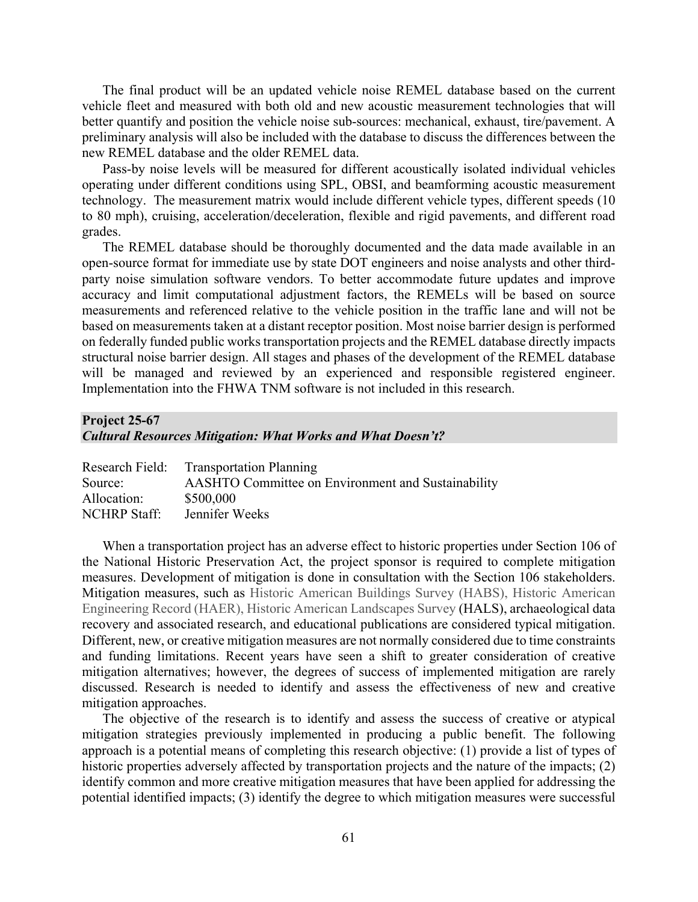The final product will be an updated vehicle noise REMEL database based on the current vehicle fleet and measured with both old and new acoustic measurement technologies that will better quantify and position the vehicle noise sub-sources: mechanical, exhaust, tire/pavement. A preliminary analysis will also be included with the database to discuss the differences between the new REMEL database and the older REMEL data.

Pass-by noise levels will be measured for different acoustically isolated individual vehicles operating under different conditions using SPL, OBSI, and beamforming acoustic measurement technology. The measurement matrix would include different vehicle types, different speeds (10 to 80 mph), cruising, acceleration/deceleration, flexible and rigid pavements, and different road grades.

The REMEL database should be thoroughly documented and the data made available in an open-source format for immediate use by state DOT engineers and noise analysts and other thirdparty noise simulation software vendors. To better accommodate future updates and improve accuracy and limit computational adjustment factors, the REMELs will be based on source measurements and referenced relative to the vehicle position in the traffic lane and will not be based on measurements taken at a distant receptor position. Most noise barrier design is performed on federally funded public works transportation projects and the REMEL database directly impacts structural noise barrier design. All stages and phases of the development of the REMEL database will be managed and reviewed by an experienced and responsible registered engineer. Implementation into the FHWA TNM software is not included in this research.

## **Project 25-67**

#### *Cultural Resources Mitigation: What Works and What Doesn't?*

|              | Research Field: Transportation Planning            |
|--------------|----------------------------------------------------|
| Source:      | AASHTO Committee on Environment and Sustainability |
| Allocation:  | \$500,000                                          |
| NCHRP Staff: | Jennifer Weeks                                     |

When a transportation project has an adverse effect to historic properties under Section 106 of the National Historic Preservation Act, the project sponsor is required to complete mitigation measures. Development of mitigation is done in consultation with the Section 106 stakeholders. Mitigation measures, such as Historic American Buildings Survey (HABS), Historic American Engineering Record (HAER), Historic American Landscapes Survey (HALS), archaeological data recovery and associated research, and educational publications are considered typical mitigation. Different, new, or creative mitigation measures are not normally considered due to time constraints and funding limitations. Recent years have seen a shift to greater consideration of creative mitigation alternatives; however, the degrees of success of implemented mitigation are rarely discussed. Research is needed to identify and assess the effectiveness of new and creative mitigation approaches.

The objective of the research is to identify and assess the success of creative or atypical mitigation strategies previously implemented in producing a public benefit. The following approach is a potential means of completing this research objective: (1) provide a list of types of historic properties adversely affected by transportation projects and the nature of the impacts; (2) identify common and more creative mitigation measures that have been applied for addressing the potential identified impacts; (3) identify the degree to which mitigation measures were successful